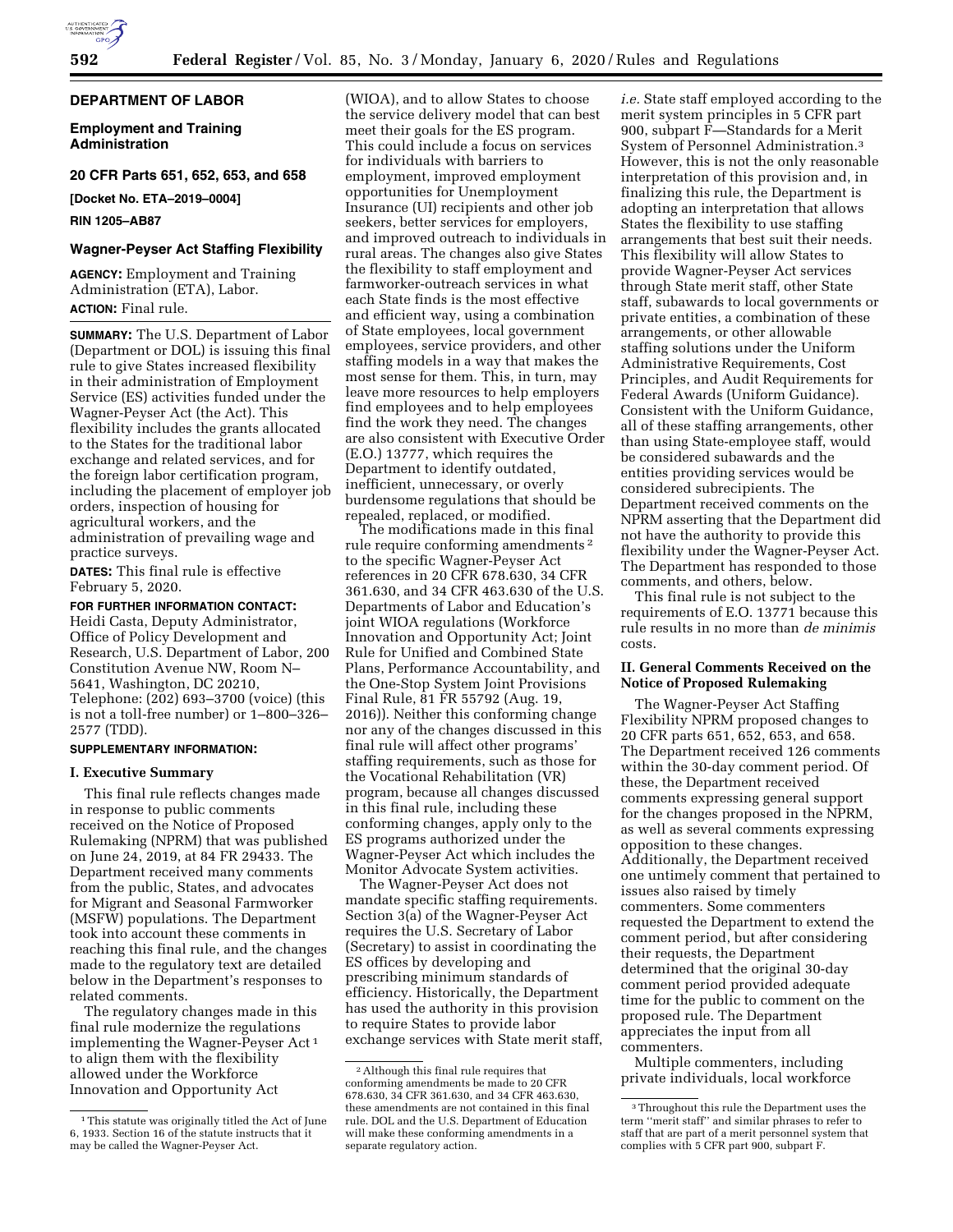# **DEPARTMENT OF LABOR**

**Employment and Training Administration** 

# **20 CFR Parts 651, 652, 653, and 658**

**[Docket No. ETA–2019–0004]** 

### **RIN 1205–AB87**

### **Wagner-Peyser Act Staffing Flexibility**

**AGENCY:** Employment and Training Administration (ETA), Labor. **ACTION:** Final rule.

**SUMMARY:** The U.S. Department of Labor (Department or DOL) is issuing this final rule to give States increased flexibility in their administration of Employment Service (ES) activities funded under the Wagner-Peyser Act (the Act). This flexibility includes the grants allocated to the States for the traditional labor exchange and related services, and for the foreign labor certification program, including the placement of employer job orders, inspection of housing for agricultural workers, and the administration of prevailing wage and practice surveys.

**DATES:** This final rule is effective February 5, 2020.

#### **FOR FURTHER INFORMATION CONTACT:**

Heidi Casta, Deputy Administrator, Office of Policy Development and Research, U.S. Department of Labor, 200 Constitution Avenue NW, Room N– 5641, Washington, DC 20210, Telephone: (202) 693–3700 (voice) (this is not a toll-free number) or 1–800–326– 2577 (TDD).

# **SUPPLEMENTARY INFORMATION:**

### **I. Executive Summary**

This final rule reflects changes made in response to public comments received on the Notice of Proposed Rulemaking (NPRM) that was published on June 24, 2019, at 84 FR 29433. The Department received many comments from the public, States, and advocates for Migrant and Seasonal Farmworker (MSFW) populations. The Department took into account these comments in reaching this final rule, and the changes made to the regulatory text are detailed below in the Department's responses to related comments.

The regulatory changes made in this final rule modernize the regulations implementing the Wagner-Peyser Act 1 to align them with the flexibility allowed under the Workforce Innovation and Opportunity Act

(WIOA), and to allow States to choose the service delivery model that can best meet their goals for the ES program. This could include a focus on services for individuals with barriers to employment, improved employment opportunities for Unemployment Insurance (UI) recipients and other job seekers, better services for employers, and improved outreach to individuals in rural areas. The changes also give States the flexibility to staff employment and farmworker-outreach services in what each State finds is the most effective and efficient way, using a combination of State employees, local government employees, service providers, and other staffing models in a way that makes the most sense for them. This, in turn, may leave more resources to help employers find employees and to help employees find the work they need. The changes are also consistent with Executive Order (E.O.) 13777, which requires the Department to identify outdated, inefficient, unnecessary, or overly burdensome regulations that should be repealed, replaced, or modified.

The modifications made in this final rule require conforming amendments 2 to the specific Wagner-Peyser Act references in 20 CFR 678.630, 34 CFR 361.630, and 34 CFR 463.630 of the U.S. Departments of Labor and Education's joint WIOA regulations (Workforce Innovation and Opportunity Act; Joint Rule for Unified and Combined State Plans, Performance Accountability, and the One-Stop System Joint Provisions Final Rule, 81 FR 55792 (Aug. 19, 2016)). Neither this conforming change nor any of the changes discussed in this final rule will affect other programs' staffing requirements, such as those for the Vocational Rehabilitation (VR) program, because all changes discussed in this final rule, including these conforming changes, apply only to the ES programs authorized under the Wagner-Peyser Act which includes the Monitor Advocate System activities.

The Wagner-Peyser Act does not mandate specific staffing requirements. Section 3(a) of the Wagner-Peyser Act requires the U.S. Secretary of Labor (Secretary) to assist in coordinating the ES offices by developing and prescribing minimum standards of efficiency. Historically, the Department has used the authority in this provision to require States to provide labor exchange services with State merit staff, *i.e.* State staff employed according to the merit system principles in 5 CFR part 900, subpart F—Standards for a Merit System of Personnel Administration.3 However, this is not the only reasonable interpretation of this provision and, in finalizing this rule, the Department is adopting an interpretation that allows States the flexibility to use staffing arrangements that best suit their needs. This flexibility will allow States to provide Wagner-Peyser Act services through State merit staff, other State staff, subawards to local governments or private entities, a combination of these arrangements, or other allowable staffing solutions under the Uniform Administrative Requirements, Cost Principles, and Audit Requirements for Federal Awards (Uniform Guidance). Consistent with the Uniform Guidance, all of these staffing arrangements, other than using State-employee staff, would be considered subawards and the entities providing services would be considered subrecipients. The Department received comments on the NPRM asserting that the Department did not have the authority to provide this flexibility under the Wagner-Peyser Act. The Department has responded to those comments, and others, below.

This final rule is not subject to the requirements of E.O. 13771 because this rule results in no more than *de minimis*  costs.

### **II. General Comments Received on the Notice of Proposed Rulemaking**

The Wagner-Peyser Act Staffing Flexibility NPRM proposed changes to 20 CFR parts 651, 652, 653, and 658. The Department received 126 comments within the 30-day comment period. Of these, the Department received comments expressing general support for the changes proposed in the NPRM, as well as several comments expressing opposition to these changes. Additionally, the Department received one untimely comment that pertained to issues also raised by timely commenters. Some commenters requested the Department to extend the comment period, but after considering their requests, the Department determined that the original 30-day comment period provided adequate time for the public to comment on the proposed rule. The Department appreciates the input from all commenters.

Multiple commenters, including private individuals, local workforce

<sup>&</sup>lt;sup>1</sup>This statute was originally titled the Act of June 6, 1933. Section 16 of the statute instructs that it may be called the Wagner-Peyser Act.

<sup>2</sup>Although this final rule requires that conforming amendments be made to 20 CFR 678.630, 34 CFR 361.630, and 34 CFR 463.630, these amendments are not contained in this final rule. DOL and the U.S. Department of Education will make these conforming amendments in a separate regulatory action.

<sup>3</sup>Throughout this rule the Department uses the term ''merit staff'' and similar phrases to refer to staff that are part of a merit personnel system that complies with 5 CFR part  $900$ , subpart F.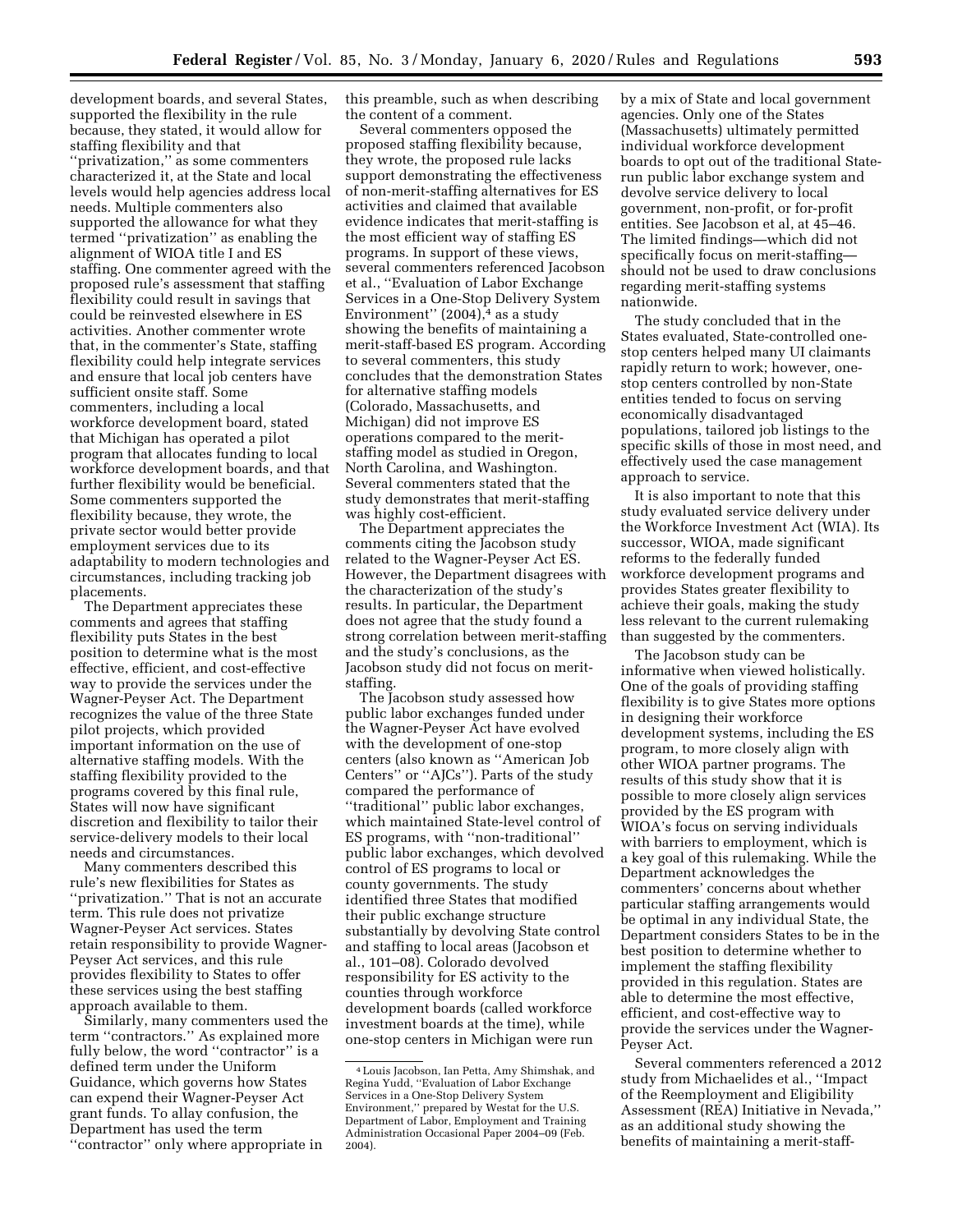development boards, and several States, supported the flexibility in the rule because, they stated, it would allow for staffing flexibility and that ''privatization,'' as some commenters characterized it, at the State and local levels would help agencies address local needs. Multiple commenters also supported the allowance for what they termed ''privatization'' as enabling the alignment of WIOA title I and ES staffing. One commenter agreed with the proposed rule's assessment that staffing flexibility could result in savings that could be reinvested elsewhere in ES activities. Another commenter wrote that, in the commenter's State, staffing flexibility could help integrate services and ensure that local job centers have sufficient onsite staff. Some commenters, including a local workforce development board, stated that Michigan has operated a pilot program that allocates funding to local workforce development boards, and that further flexibility would be beneficial. Some commenters supported the flexibility because, they wrote, the private sector would better provide employment services due to its adaptability to modern technologies and circumstances, including tracking job placements.

The Department appreciates these comments and agrees that staffing flexibility puts States in the best position to determine what is the most effective, efficient, and cost-effective way to provide the services under the Wagner-Peyser Act. The Department recognizes the value of the three State pilot projects, which provided important information on the use of alternative staffing models. With the staffing flexibility provided to the programs covered by this final rule, States will now have significant discretion and flexibility to tailor their service-delivery models to their local needs and circumstances.

Many commenters described this rule's new flexibilities for States as ''privatization.'' That is not an accurate term. This rule does not privatize Wagner-Peyser Act services. States retain responsibility to provide Wagner-Peyser Act services, and this rule provides flexibility to States to offer these services using the best staffing approach available to them.

Similarly, many commenters used the term ''contractors.'' As explained more fully below, the word "contractor" is a defined term under the Uniform Guidance, which governs how States can expend their Wagner-Peyser Act grant funds. To allay confusion, the Department has used the term ''contractor'' only where appropriate in

this preamble, such as when describing the content of a comment.

Several commenters opposed the proposed staffing flexibility because, they wrote, the proposed rule lacks support demonstrating the effectiveness of non-merit-staffing alternatives for ES activities and claimed that available evidence indicates that merit-staffing is the most efficient way of staffing ES programs. In support of these views, several commenters referenced Jacobson et al., ''Evaluation of Labor Exchange Services in a One-Stop Delivery System Environment"  $(2004),$ <sup>4</sup> as a study showing the benefits of maintaining a merit-staff-based ES program. According to several commenters, this study concludes that the demonstration States for alternative staffing models (Colorado, Massachusetts, and Michigan) did not improve ES operations compared to the meritstaffing model as studied in Oregon, North Carolina, and Washington. Several commenters stated that the study demonstrates that merit-staffing was highly cost-efficient.

The Department appreciates the comments citing the Jacobson study related to the Wagner-Peyser Act ES. However, the Department disagrees with the characterization of the study's results. In particular, the Department does not agree that the study found a strong correlation between merit-staffing and the study's conclusions, as the Jacobson study did not focus on meritstaffing.

The Jacobson study assessed how public labor exchanges funded under the Wagner-Peyser Act have evolved with the development of one-stop centers (also known as ''American Job Centers'' or ''AJCs''). Parts of the study compared the performance of ''traditional'' public labor exchanges, which maintained State-level control of ES programs, with ''non-traditional'' public labor exchanges, which devolved control of ES programs to local or county governments. The study identified three States that modified their public exchange structure substantially by devolving State control and staffing to local areas (Jacobson et al., 101–08). Colorado devolved responsibility for ES activity to the counties through workforce development boards (called workforce investment boards at the time), while one-stop centers in Michigan were run

by a mix of State and local government agencies. Only one of the States (Massachusetts) ultimately permitted individual workforce development boards to opt out of the traditional Staterun public labor exchange system and devolve service delivery to local government, non-profit, or for-profit entities. See Jacobson et al, at 45–46. The limited findings—which did not specifically focus on merit-staffing should not be used to draw conclusions regarding merit-staffing systems nationwide.

The study concluded that in the States evaluated, State-controlled onestop centers helped many UI claimants rapidly return to work; however, onestop centers controlled by non-State entities tended to focus on serving economically disadvantaged populations, tailored job listings to the specific skills of those in most need, and effectively used the case management approach to service.

It is also important to note that this study evaluated service delivery under the Workforce Investment Act (WIA). Its successor, WIOA, made significant reforms to the federally funded workforce development programs and provides States greater flexibility to achieve their goals, making the study less relevant to the current rulemaking than suggested by the commenters.

The Jacobson study can be informative when viewed holistically. One of the goals of providing staffing flexibility is to give States more options in designing their workforce development systems, including the ES program, to more closely align with other WIOA partner programs. The results of this study show that it is possible to more closely align services provided by the ES program with WIOA's focus on serving individuals with barriers to employment, which is a key goal of this rulemaking. While the Department acknowledges the commenters' concerns about whether particular staffing arrangements would be optimal in any individual State, the Department considers States to be in the best position to determine whether to implement the staffing flexibility provided in this regulation. States are able to determine the most effective, efficient, and cost-effective way to provide the services under the Wagner-Peyser Act.

Several commenters referenced a 2012 study from Michaelides et al., ''Impact of the Reemployment and Eligibility Assessment (REA) Initiative in Nevada,'' as an additional study showing the benefits of maintaining a merit-staff-

<sup>4</sup>Louis Jacobson, Ian Petta, Amy Shimshak, and Regina Yudd, ''Evaluation of Labor Exchange Services in a One-Stop Delivery System Environment,'' prepared by Westat for the U.S. Department of Labor, Employment and Training Administration Occasional Paper 2004–09 (Feb. 2004).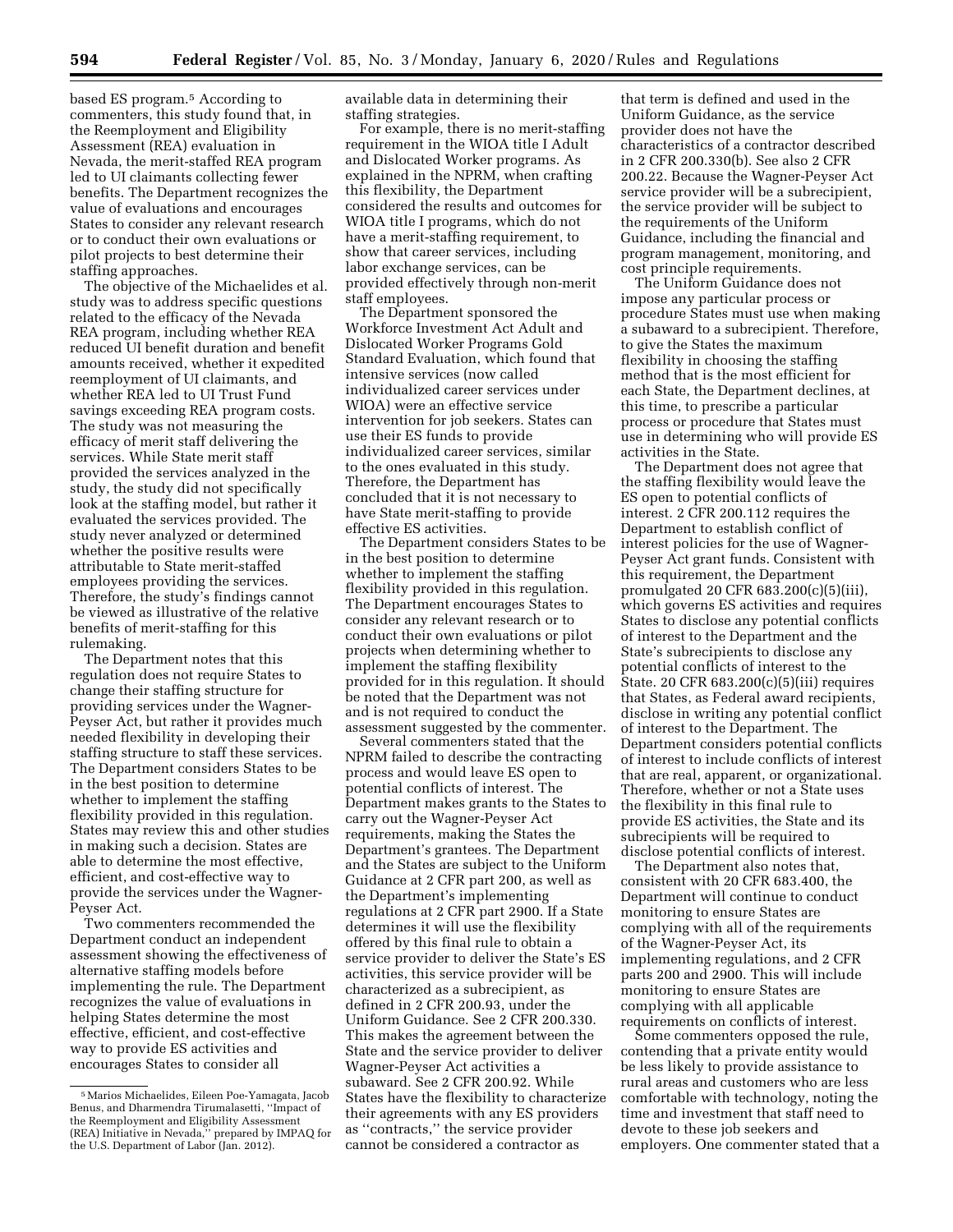based ES program.5 According to commenters, this study found that, in the Reemployment and Eligibility Assessment (REA) evaluation in Nevada, the merit-staffed REA program led to UI claimants collecting fewer benefits. The Department recognizes the value of evaluations and encourages States to consider any relevant research or to conduct their own evaluations or pilot projects to best determine their staffing approaches.

The objective of the Michaelides et al. study was to address specific questions related to the efficacy of the Nevada REA program, including whether REA reduced UI benefit duration and benefit amounts received, whether it expedited reemployment of UI claimants, and whether REA led to UI Trust Fund savings exceeding REA program costs. The study was not measuring the efficacy of merit staff delivering the services. While State merit staff provided the services analyzed in the study, the study did not specifically look at the staffing model, but rather it evaluated the services provided. The study never analyzed or determined whether the positive results were attributable to State merit-staffed employees providing the services. Therefore, the study's findings cannot be viewed as illustrative of the relative benefits of merit-staffing for this rulemaking.

The Department notes that this regulation does not require States to change their staffing structure for providing services under the Wagner-Peyser Act, but rather it provides much needed flexibility in developing their staffing structure to staff these services. The Department considers States to be in the best position to determine whether to implement the staffing flexibility provided in this regulation. States may review this and other studies in making such a decision. States are able to determine the most effective, efficient, and cost-effective way to provide the services under the Wagner-Peyser Act.

Two commenters recommended the Department conduct an independent assessment showing the effectiveness of alternative staffing models before implementing the rule. The Department recognizes the value of evaluations in helping States determine the most effective, efficient, and cost-effective way to provide ES activities and encourages States to consider all

available data in determining their staffing strategies.

For example, there is no merit-staffing requirement in the WIOA title I Adult and Dislocated Worker programs. As explained in the NPRM, when crafting this flexibility, the Department considered the results and outcomes for WIOA title I programs, which do not have a merit-staffing requirement, to show that career services, including labor exchange services, can be provided effectively through non-merit staff employees.

The Department sponsored the Workforce Investment Act Adult and Dislocated Worker Programs Gold Standard Evaluation, which found that intensive services (now called individualized career services under WIOA) were an effective service intervention for job seekers. States can use their ES funds to provide individualized career services, similar to the ones evaluated in this study. Therefore, the Department has concluded that it is not necessary to have State merit-staffing to provide effective ES activities.

The Department considers States to be in the best position to determine whether to implement the staffing flexibility provided in this regulation. The Department encourages States to consider any relevant research or to conduct their own evaluations or pilot projects when determining whether to implement the staffing flexibility provided for in this regulation. It should be noted that the Department was not and is not required to conduct the assessment suggested by the commenter.

Several commenters stated that the NPRM failed to describe the contracting process and would leave ES open to potential conflicts of interest. The Department makes grants to the States to carry out the Wagner-Peyser Act requirements, making the States the Department's grantees. The Department and the States are subject to the Uniform Guidance at 2 CFR part 200, as well as the Department's implementing regulations at 2 CFR part 2900. If a State determines it will use the flexibility offered by this final rule to obtain a service provider to deliver the State's ES activities, this service provider will be characterized as a subrecipient, as defined in 2 CFR 200.93, under the Uniform Guidance. See 2 CFR 200.330. This makes the agreement between the State and the service provider to deliver Wagner-Peyser Act activities a subaward. See 2 CFR 200.92. While States have the flexibility to characterize their agreements with any ES providers as ''contracts,'' the service provider cannot be considered a contractor as

that term is defined and used in the Uniform Guidance, as the service provider does not have the characteristics of a contractor described in 2 CFR 200.330(b). See also 2 CFR 200.22. Because the Wagner-Peyser Act service provider will be a subrecipient, the service provider will be subject to the requirements of the Uniform Guidance, including the financial and program management, monitoring, and cost principle requirements.

The Uniform Guidance does not impose any particular process or procedure States must use when making a subaward to a subrecipient. Therefore, to give the States the maximum flexibility in choosing the staffing method that is the most efficient for each State, the Department declines, at this time, to prescribe a particular process or procedure that States must use in determining who will provide ES activities in the State.

The Department does not agree that the staffing flexibility would leave the ES open to potential conflicts of interest. 2 CFR 200.112 requires the Department to establish conflict of interest policies for the use of Wagner-Peyser Act grant funds. Consistent with this requirement, the Department promulgated 20 CFR 683.200(c)(5)(iii), which governs ES activities and requires States to disclose any potential conflicts of interest to the Department and the State's subrecipients to disclose any potential conflicts of interest to the State. 20 CFR 683.200(c)(5)(iii) requires that States, as Federal award recipients, disclose in writing any potential conflict of interest to the Department. The Department considers potential conflicts of interest to include conflicts of interest that are real, apparent, or organizational. Therefore, whether or not a State uses the flexibility in this final rule to provide ES activities, the State and its subrecipients will be required to disclose potential conflicts of interest.

The Department also notes that, consistent with 20 CFR 683.400, the Department will continue to conduct monitoring to ensure States are complying with all of the requirements of the Wagner-Peyser Act, its implementing regulations, and 2 CFR parts 200 and 2900. This will include monitoring to ensure States are complying with all applicable requirements on conflicts of interest.

Some commenters opposed the rule, contending that a private entity would be less likely to provide assistance to rural areas and customers who are less comfortable with technology, noting the time and investment that staff need to devote to these job seekers and employers. One commenter stated that a

<sup>5</sup>Marios Michaelides, Eileen Poe-Yamagata, Jacob Benus, and Dharmendra Tirumalasetti, ''Impact of the Reemployment and Eligibility Assessment (REA) Initiative in Nevada,'' prepared by IMPAQ for the U.S. Department of Labor (Jan. 2012).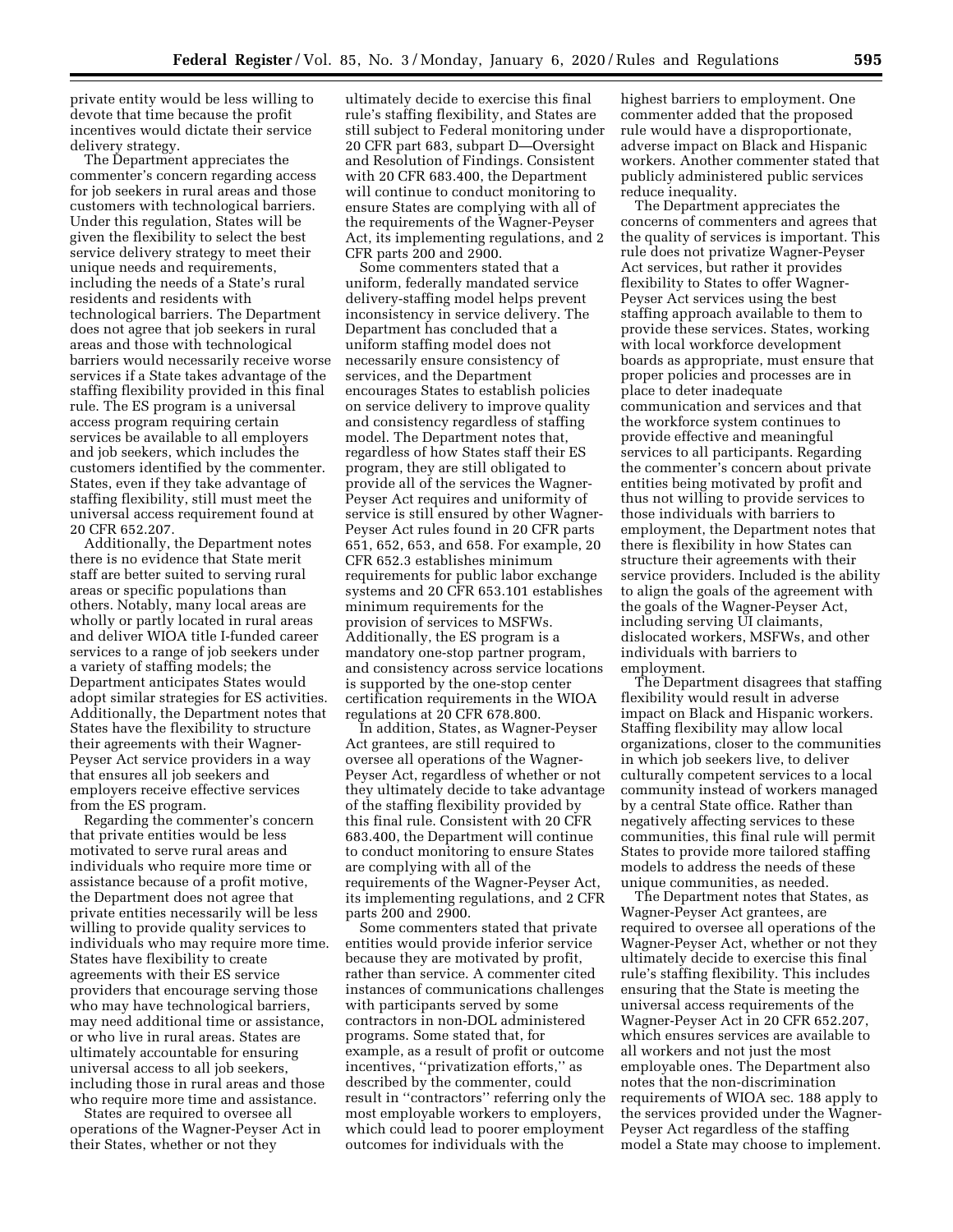private entity would be less willing to devote that time because the profit incentives would dictate their service delivery strategy.

The Department appreciates the commenter's concern regarding access for job seekers in rural areas and those customers with technological barriers. Under this regulation, States will be given the flexibility to select the best service delivery strategy to meet their unique needs and requirements, including the needs of a State's rural residents and residents with technological barriers. The Department does not agree that job seekers in rural areas and those with technological barriers would necessarily receive worse services if a State takes advantage of the staffing flexibility provided in this final rule. The ES program is a universal access program requiring certain services be available to all employers and job seekers, which includes the customers identified by the commenter. States, even if they take advantage of staffing flexibility, still must meet the universal access requirement found at 20 CFR 652.207.

Additionally, the Department notes there is no evidence that State merit staff are better suited to serving rural areas or specific populations than others. Notably, many local areas are wholly or partly located in rural areas and deliver WIOA title I-funded career services to a range of job seekers under a variety of staffing models; the Department anticipates States would adopt similar strategies for ES activities. Additionally, the Department notes that States have the flexibility to structure their agreements with their Wagner-Peyser Act service providers in a way that ensures all job seekers and employers receive effective services from the ES program.

Regarding the commenter's concern that private entities would be less motivated to serve rural areas and individuals who require more time or assistance because of a profit motive, the Department does not agree that private entities necessarily will be less willing to provide quality services to individuals who may require more time. States have flexibility to create agreements with their ES service providers that encourage serving those who may have technological barriers, may need additional time or assistance, or who live in rural areas. States are ultimately accountable for ensuring universal access to all job seekers, including those in rural areas and those who require more time and assistance.

States are required to oversee all operations of the Wagner-Peyser Act in their States, whether or not they

ultimately decide to exercise this final rule's staffing flexibility, and States are still subject to Federal monitoring under 20 CFR part 683, subpart D—Oversight and Resolution of Findings. Consistent with 20 CFR 683.400, the Department will continue to conduct monitoring to ensure States are complying with all of the requirements of the Wagner-Peyser Act, its implementing regulations, and 2 CFR parts 200 and 2900.

Some commenters stated that a uniform, federally mandated service delivery-staffing model helps prevent inconsistency in service delivery. The Department has concluded that a uniform staffing model does not necessarily ensure consistency of services, and the Department encourages States to establish policies on service delivery to improve quality and consistency regardless of staffing model. The Department notes that, regardless of how States staff their ES program, they are still obligated to provide all of the services the Wagner-Peyser Act requires and uniformity of service is still ensured by other Wagner-Peyser Act rules found in 20 CFR parts 651, 652, 653, and 658. For example, 20 CFR 652.3 establishes minimum requirements for public labor exchange systems and 20 CFR 653.101 establishes minimum requirements for the provision of services to MSFWs. Additionally, the ES program is a mandatory one-stop partner program, and consistency across service locations is supported by the one-stop center certification requirements in the WIOA regulations at 20 CFR 678.800.

In addition, States, as Wagner-Peyser Act grantees, are still required to oversee all operations of the Wagner-Peyser Act, regardless of whether or not they ultimately decide to take advantage of the staffing flexibility provided by this final rule. Consistent with 20 CFR 683.400, the Department will continue to conduct monitoring to ensure States are complying with all of the requirements of the Wagner-Peyser Act, its implementing regulations, and 2 CFR parts 200 and 2900.

Some commenters stated that private entities would provide inferior service because they are motivated by profit, rather than service. A commenter cited instances of communications challenges with participants served by some contractors in non-DOL administered programs. Some stated that, for example, as a result of profit or outcome incentives, ''privatization efforts,'' as described by the commenter, could result in ''contractors'' referring only the most employable workers to employers, which could lead to poorer employment outcomes for individuals with the

highest barriers to employment. One commenter added that the proposed rule would have a disproportionate, adverse impact on Black and Hispanic workers. Another commenter stated that publicly administered public services reduce inequality.

The Department appreciates the concerns of commenters and agrees that the quality of services is important. This rule does not privatize Wagner-Peyser Act services, but rather it provides flexibility to States to offer Wagner-Peyser Act services using the best staffing approach available to them to provide these services. States, working with local workforce development boards as appropriate, must ensure that proper policies and processes are in place to deter inadequate communication and services and that the workforce system continues to provide effective and meaningful services to all participants. Regarding the commenter's concern about private entities being motivated by profit and thus not willing to provide services to those individuals with barriers to employment, the Department notes that there is flexibility in how States can structure their agreements with their service providers. Included is the ability to align the goals of the agreement with the goals of the Wagner-Peyser Act, including serving UI claimants, dislocated workers, MSFWs, and other individuals with barriers to employment.

The Department disagrees that staffing flexibility would result in adverse impact on Black and Hispanic workers. Staffing flexibility may allow local organizations, closer to the communities in which job seekers live, to deliver culturally competent services to a local community instead of workers managed by a central State office. Rather than negatively affecting services to these communities, this final rule will permit States to provide more tailored staffing models to address the needs of these unique communities, as needed.

The Department notes that States, as Wagner-Peyser Act grantees, are required to oversee all operations of the Wagner-Peyser Act, whether or not they ultimately decide to exercise this final rule's staffing flexibility. This includes ensuring that the State is meeting the universal access requirements of the Wagner-Peyser Act in 20 CFR 652.207, which ensures services are available to all workers and not just the most employable ones. The Department also notes that the non-discrimination requirements of WIOA sec. 188 apply to the services provided under the Wagner-Peyser Act regardless of the staffing model a State may choose to implement.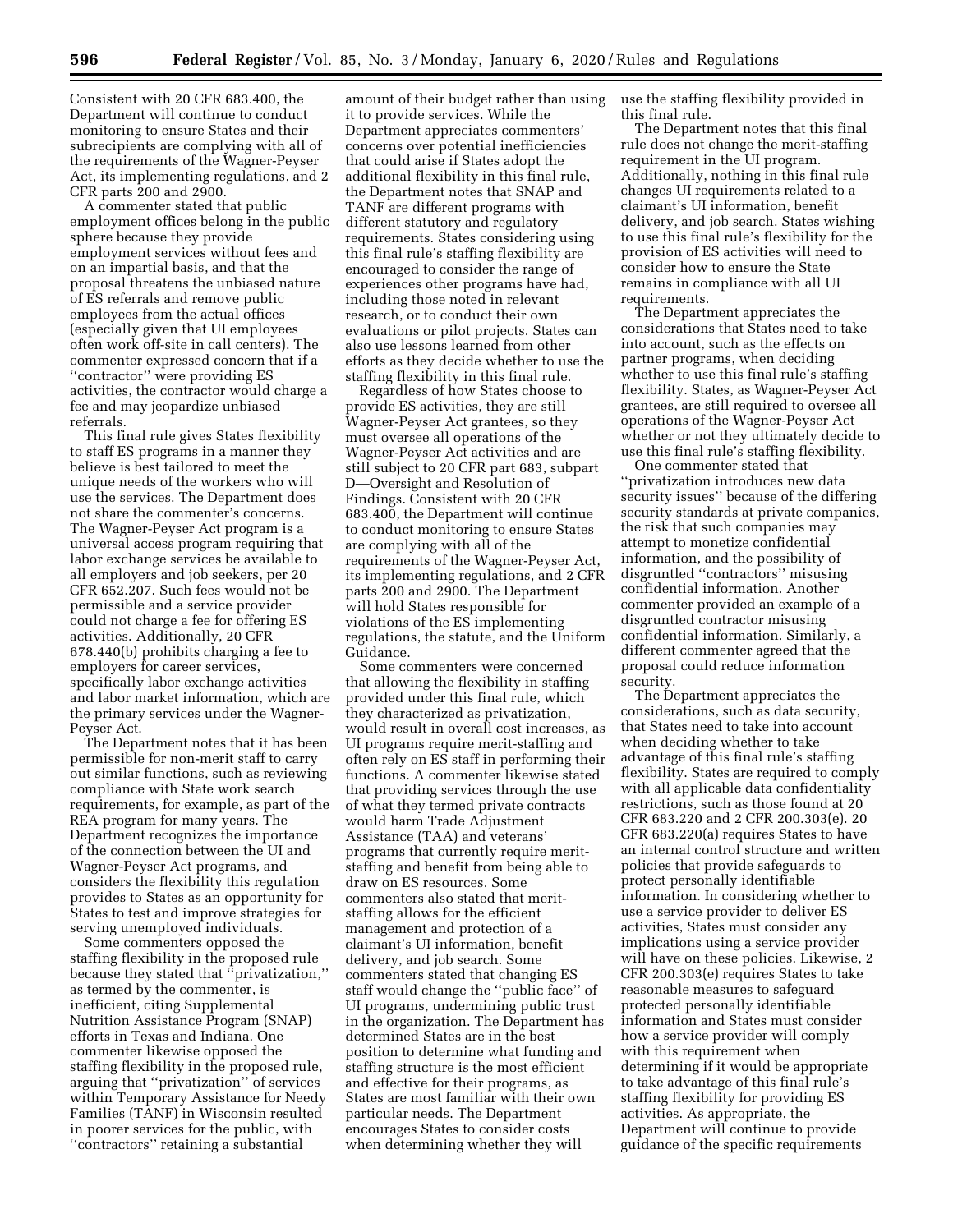Consistent with 20 CFR 683.400, the Department will continue to conduct monitoring to ensure States and their subrecipients are complying with all of the requirements of the Wagner-Peyser Act, its implementing regulations, and 2 CFR parts 200 and 2900.

A commenter stated that public employment offices belong in the public sphere because they provide employment services without fees and on an impartial basis, and that the proposal threatens the unbiased nature of ES referrals and remove public employees from the actual offices (especially given that UI employees often work off-site in call centers). The commenter expressed concern that if a ''contractor'' were providing ES activities, the contractor would charge a fee and may jeopardize unbiased referrals.

This final rule gives States flexibility to staff ES programs in a manner they believe is best tailored to meet the unique needs of the workers who will use the services. The Department does not share the commenter's concerns. The Wagner-Peyser Act program is a universal access program requiring that labor exchange services be available to all employers and job seekers, per 20 CFR 652.207. Such fees would not be permissible and a service provider could not charge a fee for offering ES activities. Additionally, 20 CFR 678.440(b) prohibits charging a fee to employers for career services, specifically labor exchange activities and labor market information, which are the primary services under the Wagner-Peyser Act.

The Department notes that it has been permissible for non-merit staff to carry out similar functions, such as reviewing compliance with State work search requirements, for example, as part of the REA program for many years. The Department recognizes the importance of the connection between the UI and Wagner-Peyser Act programs, and considers the flexibility this regulation provides to States as an opportunity for States to test and improve strategies for serving unemployed individuals.

Some commenters opposed the staffing flexibility in the proposed rule because they stated that ''privatization,'' as termed by the commenter, is inefficient, citing Supplemental Nutrition Assistance Program (SNAP) efforts in Texas and Indiana. One commenter likewise opposed the staffing flexibility in the proposed rule, arguing that ''privatization'' of services within Temporary Assistance for Needy Families (TANF) in Wisconsin resulted in poorer services for the public, with ''contractors'' retaining a substantial

amount of their budget rather than using it to provide services. While the Department appreciates commenters' concerns over potential inefficiencies that could arise if States adopt the additional flexibility in this final rule, the Department notes that SNAP and TANF are different programs with different statutory and regulatory requirements. States considering using this final rule's staffing flexibility are encouraged to consider the range of experiences other programs have had, including those noted in relevant research, or to conduct their own evaluations or pilot projects. States can also use lessons learned from other efforts as they decide whether to use the staffing flexibility in this final rule.

Regardless of how States choose to provide ES activities, they are still Wagner-Peyser Act grantees, so they must oversee all operations of the Wagner-Peyser Act activities and are still subject to 20 CFR part 683, subpart D—Oversight and Resolution of Findings. Consistent with 20 CFR 683.400, the Department will continue to conduct monitoring to ensure States are complying with all of the requirements of the Wagner-Peyser Act, its implementing regulations, and 2 CFR parts 200 and 2900. The Department will hold States responsible for violations of the ES implementing regulations, the statute, and the Uniform Guidance.

Some commenters were concerned that allowing the flexibility in staffing provided under this final rule, which they characterized as privatization, would result in overall cost increases, as UI programs require merit-staffing and often rely on ES staff in performing their functions. A commenter likewise stated that providing services through the use of what they termed private contracts would harm Trade Adjustment Assistance (TAA) and veterans' programs that currently require meritstaffing and benefit from being able to draw on ES resources. Some commenters also stated that meritstaffing allows for the efficient management and protection of a claimant's UI information, benefit delivery, and job search. Some commenters stated that changing ES staff would change the ''public face'' of UI programs, undermining public trust in the organization. The Department has determined States are in the best position to determine what funding and staffing structure is the most efficient and effective for their programs, as States are most familiar with their own particular needs. The Department encourages States to consider costs when determining whether they will

use the staffing flexibility provided in this final rule.

The Department notes that this final rule does not change the merit-staffing requirement in the UI program. Additionally, nothing in this final rule changes UI requirements related to a claimant's UI information, benefit delivery, and job search. States wishing to use this final rule's flexibility for the provision of ES activities will need to consider how to ensure the State remains in compliance with all UI requirements.

The Department appreciates the considerations that States need to take into account, such as the effects on partner programs, when deciding whether to use this final rule's staffing flexibility. States, as Wagner-Peyser Act grantees, are still required to oversee all operations of the Wagner-Peyser Act whether or not they ultimately decide to use this final rule's staffing flexibility.

One commenter stated that ''privatization introduces new data security issues'' because of the differing security standards at private companies, the risk that such companies may attempt to monetize confidential information, and the possibility of disgruntled ''contractors'' misusing confidential information. Another commenter provided an example of a disgruntled contractor misusing confidential information. Similarly, a different commenter agreed that the proposal could reduce information security.

The Department appreciates the considerations, such as data security, that States need to take into account when deciding whether to take advantage of this final rule's staffing flexibility. States are required to comply with all applicable data confidentiality restrictions, such as those found at 20 CFR 683.220 and 2 CFR 200.303(e). 20 CFR 683.220(a) requires States to have an internal control structure and written policies that provide safeguards to protect personally identifiable information. In considering whether to use a service provider to deliver ES activities, States must consider any implications using a service provider will have on these policies. Likewise, 2 CFR 200.303(e) requires States to take reasonable measures to safeguard protected personally identifiable information and States must consider how a service provider will comply with this requirement when determining if it would be appropriate to take advantage of this final rule's staffing flexibility for providing ES activities. As appropriate, the Department will continue to provide guidance of the specific requirements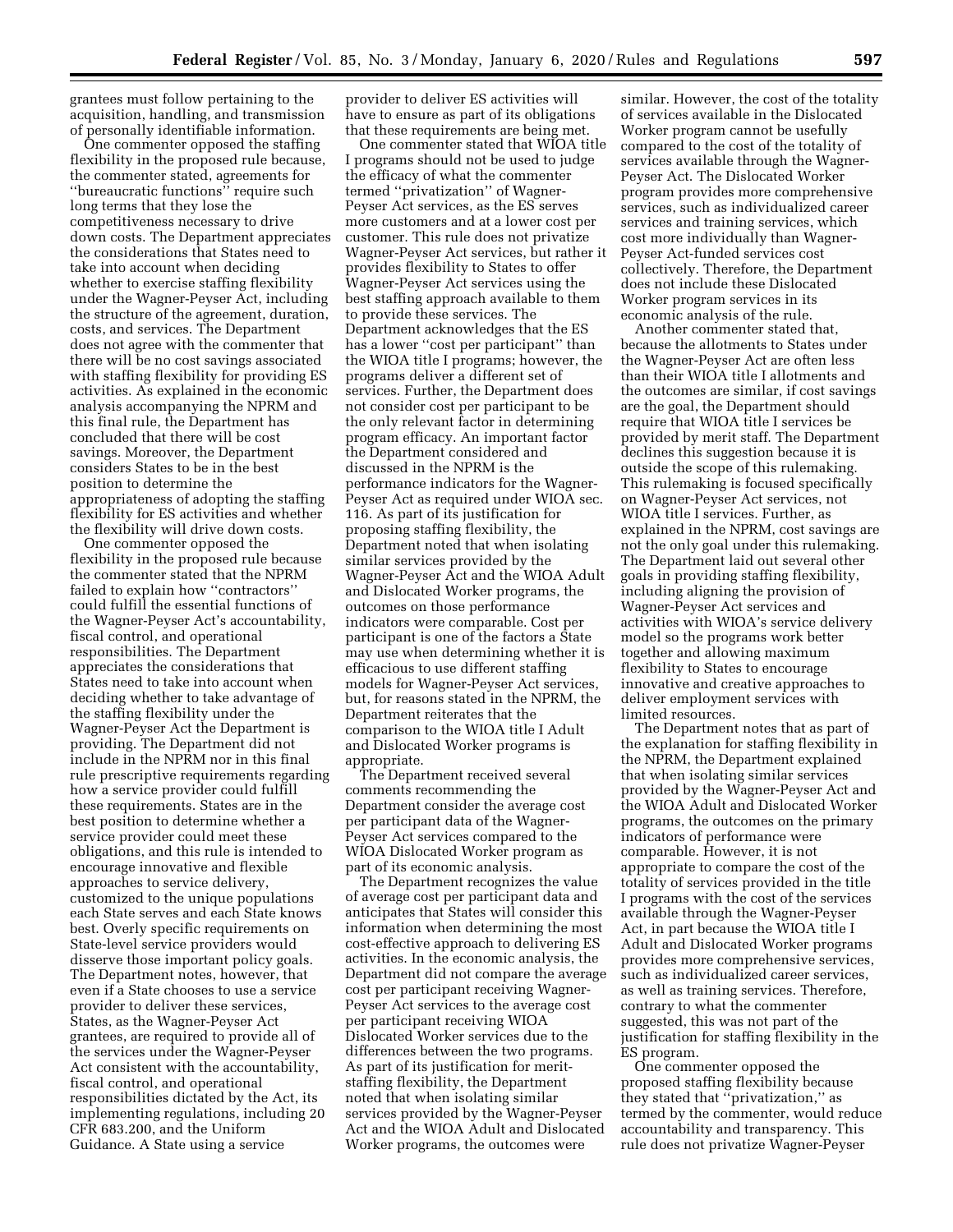grantees must follow pertaining to the acquisition, handling, and transmission of personally identifiable information.

One commenter opposed the staffing flexibility in the proposed rule because, the commenter stated, agreements for ''bureaucratic functions'' require such long terms that they lose the competitiveness necessary to drive down costs. The Department appreciates the considerations that States need to take into account when deciding whether to exercise staffing flexibility under the Wagner-Peyser Act, including the structure of the agreement, duration, costs, and services. The Department does not agree with the commenter that there will be no cost savings associated with staffing flexibility for providing ES activities. As explained in the economic analysis accompanying the NPRM and this final rule, the Department has concluded that there will be cost savings. Moreover, the Department considers States to be in the best position to determine the appropriateness of adopting the staffing flexibility for ES activities and whether the flexibility will drive down costs.

One commenter opposed the flexibility in the proposed rule because the commenter stated that the NPRM failed to explain how ''contractors'' could fulfill the essential functions of the Wagner-Peyser Act's accountability, fiscal control, and operational responsibilities. The Department appreciates the considerations that States need to take into account when deciding whether to take advantage of the staffing flexibility under the Wagner-Peyser Act the Department is providing. The Department did not include in the NPRM nor in this final rule prescriptive requirements regarding how a service provider could fulfill these requirements. States are in the best position to determine whether a service provider could meet these obligations, and this rule is intended to encourage innovative and flexible approaches to service delivery, customized to the unique populations each State serves and each State knows best. Overly specific requirements on State-level service providers would disserve those important policy goals. The Department notes, however, that even if a State chooses to use a service provider to deliver these services, States, as the Wagner-Peyser Act grantees, are required to provide all of the services under the Wagner-Peyser Act consistent with the accountability, fiscal control, and operational responsibilities dictated by the Act, its implementing regulations, including 20 CFR 683.200, and the Uniform Guidance. A State using a service

provider to deliver ES activities will have to ensure as part of its obligations that these requirements are being met.

One commenter stated that WIOA title I programs should not be used to judge the efficacy of what the commenter termed ''privatization'' of Wagner-Peyser Act services, as the ES serves more customers and at a lower cost per customer. This rule does not privatize Wagner-Peyser Act services, but rather it provides flexibility to States to offer Wagner-Peyser Act services using the best staffing approach available to them to provide these services. The Department acknowledges that the ES has a lower ''cost per participant'' than the WIOA title I programs; however, the programs deliver a different set of services. Further, the Department does not consider cost per participant to be the only relevant factor in determining program efficacy. An important factor the Department considered and discussed in the NPRM is the performance indicators for the Wagner-Peyser Act as required under WIOA sec. 116. As part of its justification for proposing staffing flexibility, the Department noted that when isolating similar services provided by the Wagner-Peyser Act and the WIOA Adult and Dislocated Worker programs, the outcomes on those performance indicators were comparable. Cost per participant is one of the factors a State may use when determining whether it is efficacious to use different staffing models for Wagner-Peyser Act services, but, for reasons stated in the NPRM, the Department reiterates that the comparison to the WIOA title I Adult and Dislocated Worker programs is appropriate.

The Department received several comments recommending the Department consider the average cost per participant data of the Wagner-Peyser Act services compared to the WIOA Dislocated Worker program as part of its economic analysis.

The Department recognizes the value of average cost per participant data and anticipates that States will consider this information when determining the most cost-effective approach to delivering ES activities. In the economic analysis, the Department did not compare the average cost per participant receiving Wagner-Peyser Act services to the average cost per participant receiving WIOA Dislocated Worker services due to the differences between the two programs. As part of its justification for meritstaffing flexibility, the Department noted that when isolating similar services provided by the Wagner-Peyser Act and the WIOA Adult and Dislocated Worker programs, the outcomes were

similar. However, the cost of the totality of services available in the Dislocated Worker program cannot be usefully compared to the cost of the totality of services available through the Wagner-Peyser Act. The Dislocated Worker program provides more comprehensive services, such as individualized career services and training services, which cost more individually than Wagner-Peyser Act-funded services cost collectively. Therefore, the Department does not include these Dislocated Worker program services in its economic analysis of the rule.

Another commenter stated that, because the allotments to States under the Wagner-Peyser Act are often less than their WIOA title I allotments and the outcomes are similar, if cost savings are the goal, the Department should require that WIOA title I services be provided by merit staff. The Department declines this suggestion because it is outside the scope of this rulemaking. This rulemaking is focused specifically on Wagner-Peyser Act services, not WIOA title I services. Further, as explained in the NPRM, cost savings are not the only goal under this rulemaking. The Department laid out several other goals in providing staffing flexibility, including aligning the provision of Wagner-Peyser Act services and activities with WIOA's service delivery model so the programs work better together and allowing maximum flexibility to States to encourage innovative and creative approaches to deliver employment services with limited resources.

The Department notes that as part of the explanation for staffing flexibility in the NPRM, the Department explained that when isolating similar services provided by the Wagner-Peyser Act and the WIOA Adult and Dislocated Worker programs, the outcomes on the primary indicators of performance were comparable. However, it is not appropriate to compare the cost of the totality of services provided in the title I programs with the cost of the services available through the Wagner-Peyser Act, in part because the WIOA title I Adult and Dislocated Worker programs provides more comprehensive services, such as individualized career services, as well as training services. Therefore, contrary to what the commenter suggested, this was not part of the justification for staffing flexibility in the ES program.

One commenter opposed the proposed staffing flexibility because they stated that ''privatization,'' as termed by the commenter, would reduce accountability and transparency. This rule does not privatize Wagner-Peyser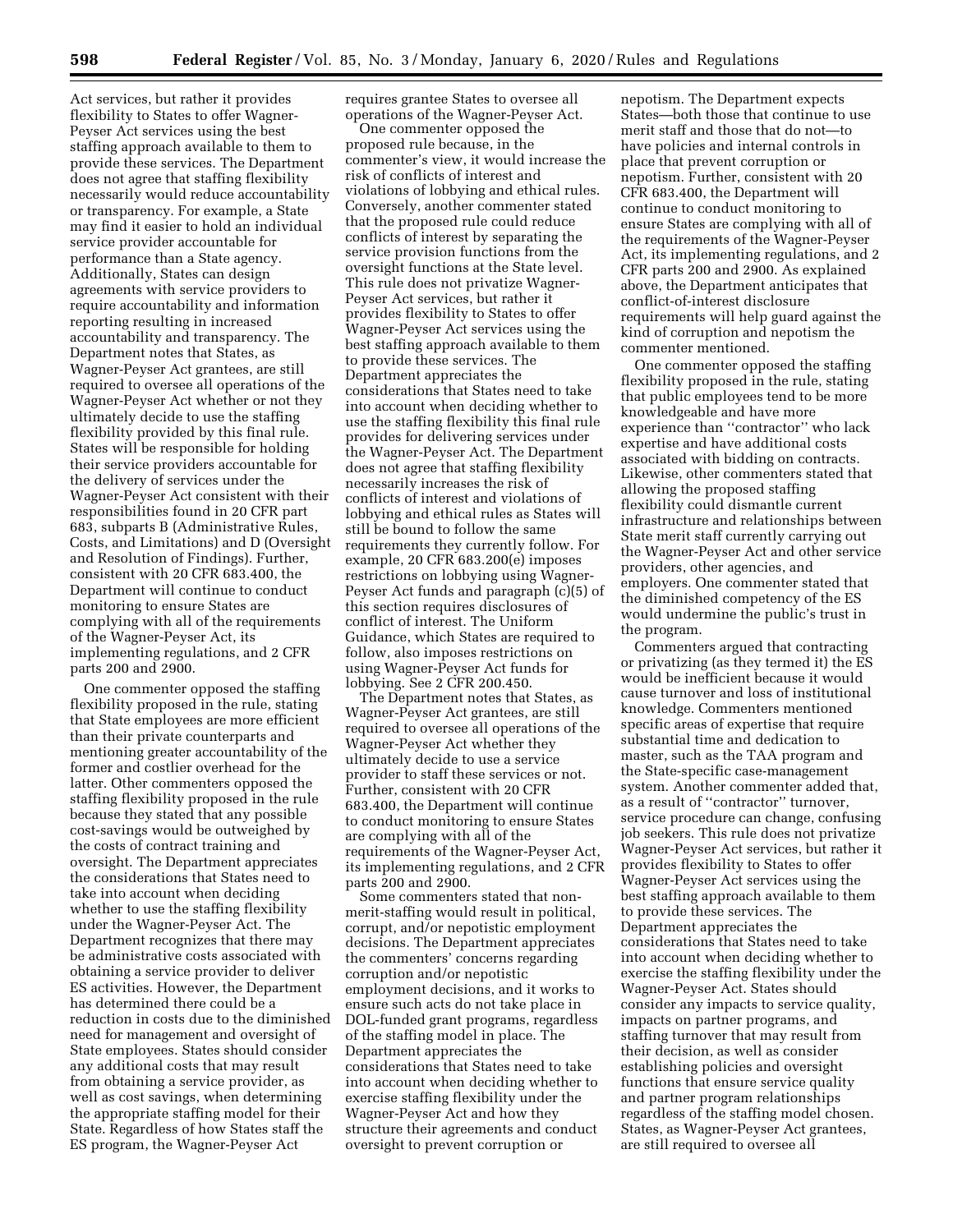Act services, but rather it provides flexibility to States to offer Wagner-Peyser Act services using the best staffing approach available to them to provide these services. The Department does not agree that staffing flexibility necessarily would reduce accountability or transparency. For example, a State may find it easier to hold an individual service provider accountable for performance than a State agency. Additionally, States can design agreements with service providers to require accountability and information reporting resulting in increased accountability and transparency. The Department notes that States, as Wagner-Peyser Act grantees, are still required to oversee all operations of the Wagner-Peyser Act whether or not they ultimately decide to use the staffing flexibility provided by this final rule. States will be responsible for holding their service providers accountable for the delivery of services under the Wagner-Peyser Act consistent with their responsibilities found in 20 CFR part 683, subparts B (Administrative Rules, Costs, and Limitations) and D (Oversight and Resolution of Findings). Further, consistent with 20 CFR 683.400, the Department will continue to conduct monitoring to ensure States are complying with all of the requirements of the Wagner-Peyser Act, its implementing regulations, and 2 CFR parts 200 and 2900.

One commenter opposed the staffing flexibility proposed in the rule, stating that State employees are more efficient than their private counterparts and mentioning greater accountability of the former and costlier overhead for the latter. Other commenters opposed the staffing flexibility proposed in the rule because they stated that any possible cost-savings would be outweighed by the costs of contract training and oversight. The Department appreciates the considerations that States need to take into account when deciding whether to use the staffing flexibility under the Wagner-Peyser Act. The Department recognizes that there may be administrative costs associated with obtaining a service provider to deliver ES activities. However, the Department has determined there could be a reduction in costs due to the diminished need for management and oversight of State employees. States should consider any additional costs that may result from obtaining a service provider, as well as cost savings, when determining the appropriate staffing model for their State. Regardless of how States staff the ES program, the Wagner-Peyser Act

requires grantee States to oversee all operations of the Wagner-Peyser Act.

One commenter opposed the proposed rule because, in the commenter's view, it would increase the risk of conflicts of interest and violations of lobbying and ethical rules. Conversely, another commenter stated that the proposed rule could reduce conflicts of interest by separating the service provision functions from the oversight functions at the State level. This rule does not privatize Wagner-Peyser Act services, but rather it provides flexibility to States to offer Wagner-Peyser Act services using the best staffing approach available to them to provide these services. The Department appreciates the considerations that States need to take into account when deciding whether to use the staffing flexibility this final rule provides for delivering services under the Wagner-Peyser Act. The Department does not agree that staffing flexibility necessarily increases the risk of conflicts of interest and violations of lobbying and ethical rules as States will still be bound to follow the same requirements they currently follow. For example, 20 CFR 683.200(e) imposes restrictions on lobbying using Wagner-Peyser Act funds and paragraph (c)(5) of this section requires disclosures of conflict of interest. The Uniform Guidance, which States are required to follow, also imposes restrictions on using Wagner-Peyser Act funds for lobbying. See 2 CFR 200.450.

The Department notes that States, as Wagner-Peyser Act grantees, are still required to oversee all operations of the Wagner-Peyser Act whether they ultimately decide to use a service provider to staff these services or not. Further, consistent with 20 CFR 683.400, the Department will continue to conduct monitoring to ensure States are complying with all of the requirements of the Wagner-Peyser Act, its implementing regulations, and 2 CFR parts 200 and 2900.

Some commenters stated that nonmerit-staffing would result in political, corrupt, and/or nepotistic employment decisions. The Department appreciates the commenters' concerns regarding corruption and/or nepotistic employment decisions, and it works to ensure such acts do not take place in DOL-funded grant programs, regardless of the staffing model in place. The Department appreciates the considerations that States need to take into account when deciding whether to exercise staffing flexibility under the Wagner-Peyser Act and how they structure their agreements and conduct oversight to prevent corruption or

nepotism. The Department expects States—both those that continue to use merit staff and those that do not—to have policies and internal controls in place that prevent corruption or nepotism. Further, consistent with 20 CFR 683.400, the Department will continue to conduct monitoring to ensure States are complying with all of the requirements of the Wagner-Peyser Act, its implementing regulations, and 2 CFR parts 200 and 2900. As explained above, the Department anticipates that conflict-of-interest disclosure requirements will help guard against the kind of corruption and nepotism the commenter mentioned.

One commenter opposed the staffing flexibility proposed in the rule, stating that public employees tend to be more knowledgeable and have more experience than ''contractor'' who lack expertise and have additional costs associated with bidding on contracts. Likewise, other commenters stated that allowing the proposed staffing flexibility could dismantle current infrastructure and relationships between State merit staff currently carrying out the Wagner-Peyser Act and other service providers, other agencies, and employers. One commenter stated that the diminished competency of the ES would undermine the public's trust in the program.

Commenters argued that contracting or privatizing (as they termed it) the ES would be inefficient because it would cause turnover and loss of institutional knowledge. Commenters mentioned specific areas of expertise that require substantial time and dedication to master, such as the TAA program and the State-specific case-management system. Another commenter added that, as a result of ''contractor'' turnover, service procedure can change, confusing job seekers. This rule does not privatize Wagner-Peyser Act services, but rather it provides flexibility to States to offer Wagner-Peyser Act services using the best staffing approach available to them to provide these services. The Department appreciates the considerations that States need to take into account when deciding whether to exercise the staffing flexibility under the Wagner-Peyser Act. States should consider any impacts to service quality, impacts on partner programs, and staffing turnover that may result from their decision, as well as consider establishing policies and oversight functions that ensure service quality and partner program relationships regardless of the staffing model chosen. States, as Wagner-Peyser Act grantees, are still required to oversee all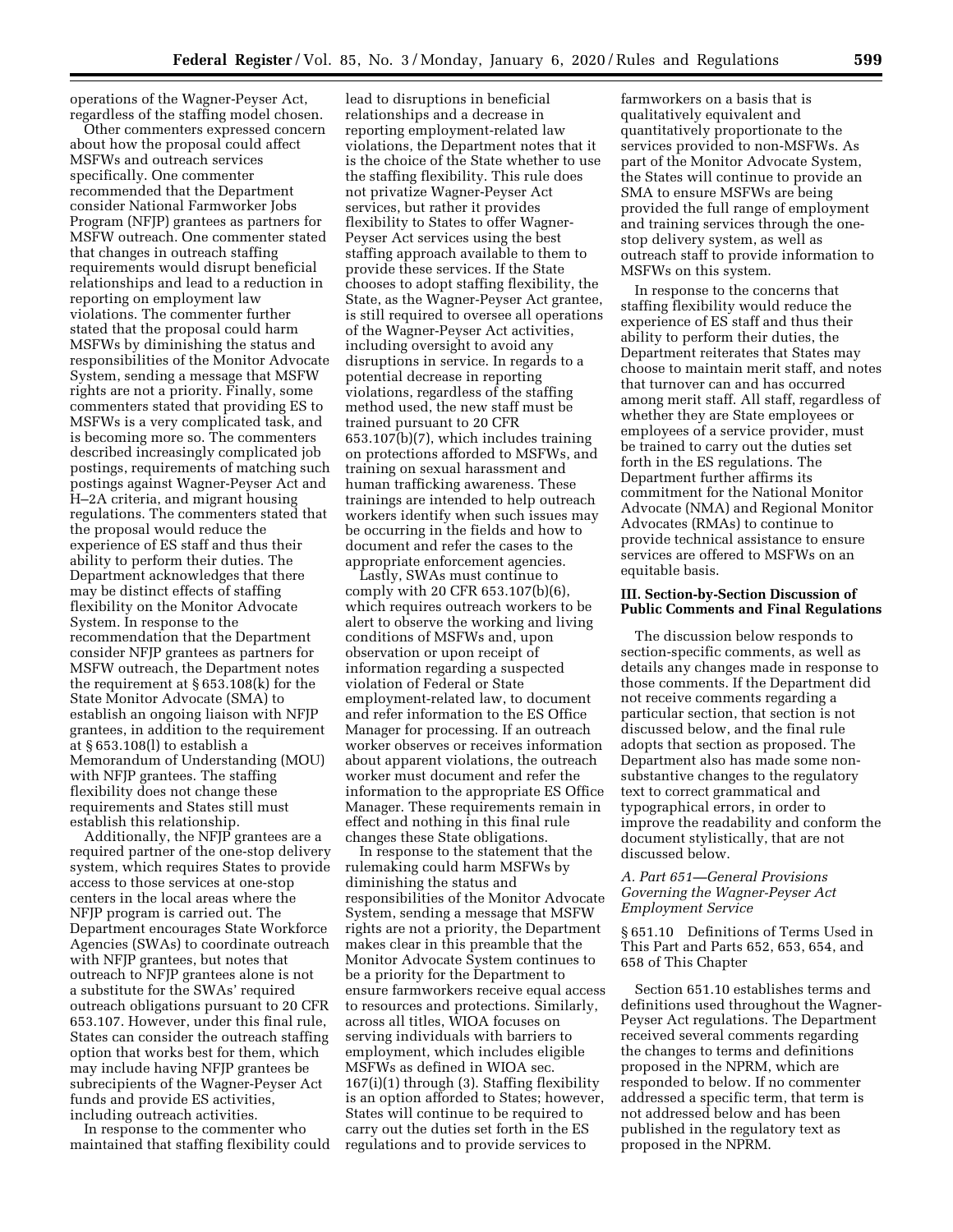operations of the Wagner-Peyser Act, regardless of the staffing model chosen.

Other commenters expressed concern about how the proposal could affect MSFWs and outreach services specifically. One commenter recommended that the Department consider National Farmworker Jobs Program (NFJP) grantees as partners for MSFW outreach. One commenter stated that changes in outreach staffing requirements would disrupt beneficial relationships and lead to a reduction in reporting on employment law violations. The commenter further stated that the proposal could harm MSFWs by diminishing the status and responsibilities of the Monitor Advocate System, sending a message that MSFW rights are not a priority. Finally, some commenters stated that providing ES to MSFWs is a very complicated task, and is becoming more so. The commenters described increasingly complicated job postings, requirements of matching such postings against Wagner-Peyser Act and H–2A criteria, and migrant housing regulations. The commenters stated that the proposal would reduce the experience of ES staff and thus their ability to perform their duties. The Department acknowledges that there may be distinct effects of staffing flexibility on the Monitor Advocate System. In response to the recommendation that the Department consider NFJP grantees as partners for MSFW outreach, the Department notes the requirement at § 653.108(k) for the State Monitor Advocate (SMA) to establish an ongoing liaison with NFJP grantees, in addition to the requirement at § 653.108(l) to establish a Memorandum of Understanding (MOU) with NFJP grantees. The staffing flexibility does not change these requirements and States still must establish this relationship.

Additionally, the NFJP grantees are a required partner of the one-stop delivery system, which requires States to provide access to those services at one-stop centers in the local areas where the NFJP program is carried out. The Department encourages State Workforce Agencies (SWAs) to coordinate outreach with NFJP grantees, but notes that outreach to NFJP grantees alone is not a substitute for the SWAs' required outreach obligations pursuant to 20 CFR 653.107. However, under this final rule, States can consider the outreach staffing option that works best for them, which may include having NFJP grantees be subrecipients of the Wagner-Peyser Act funds and provide ES activities, including outreach activities.

In response to the commenter who maintained that staffing flexibility could

lead to disruptions in beneficial relationships and a decrease in reporting employment-related law violations, the Department notes that it is the choice of the State whether to use the staffing flexibility. This rule does not privatize Wagner-Peyser Act services, but rather it provides flexibility to States to offer Wagner-Peyser Act services using the best staffing approach available to them to provide these services. If the State chooses to adopt staffing flexibility, the State, as the Wagner-Peyser Act grantee, is still required to oversee all operations of the Wagner-Peyser Act activities, including oversight to avoid any disruptions in service. In regards to a potential decrease in reporting violations, regardless of the staffing method used, the new staff must be trained pursuant to 20 CFR 653.107(b)(7), which includes training on protections afforded to MSFWs, and training on sexual harassment and human trafficking awareness. These trainings are intended to help outreach workers identify when such issues may be occurring in the fields and how to document and refer the cases to the appropriate enforcement agencies.

Lastly, SWAs must continue to comply with 20 CFR 653.107(b)(6), which requires outreach workers to be alert to observe the working and living conditions of MSFWs and, upon observation or upon receipt of information regarding a suspected violation of Federal or State employment-related law, to document and refer information to the ES Office Manager for processing. If an outreach worker observes or receives information about apparent violations, the outreach worker must document and refer the information to the appropriate ES Office Manager. These requirements remain in effect and nothing in this final rule changes these State obligations.

In response to the statement that the rulemaking could harm MSFWs by diminishing the status and responsibilities of the Monitor Advocate System, sending a message that MSFW rights are not a priority, the Department makes clear in this preamble that the Monitor Advocate System continues to be a priority for the Department to ensure farmworkers receive equal access to resources and protections. Similarly, across all titles, WIOA focuses on serving individuals with barriers to employment, which includes eligible MSFWs as defined in WIOA sec. 167(i)(1) through (3). Staffing flexibility is an option afforded to States; however, States will continue to be required to carry out the duties set forth in the ES regulations and to provide services to

farmworkers on a basis that is qualitatively equivalent and quantitatively proportionate to the services provided to non-MSFWs. As part of the Monitor Advocate System, the States will continue to provide an SMA to ensure MSFWs are being provided the full range of employment and training services through the onestop delivery system, as well as outreach staff to provide information to MSFWs on this system.

In response to the concerns that staffing flexibility would reduce the experience of ES staff and thus their ability to perform their duties, the Department reiterates that States may choose to maintain merit staff, and notes that turnover can and has occurred among merit staff. All staff, regardless of whether they are State employees or employees of a service provider, must be trained to carry out the duties set forth in the ES regulations. The Department further affirms its commitment for the National Monitor Advocate (NMA) and Regional Monitor Advocates (RMAs) to continue to provide technical assistance to ensure services are offered to MSFWs on an equitable basis.

#### **III. Section-by-Section Discussion of Public Comments and Final Regulations**

The discussion below responds to section-specific comments, as well as details any changes made in response to those comments. If the Department did not receive comments regarding a particular section, that section is not discussed below, and the final rule adopts that section as proposed. The Department also has made some nonsubstantive changes to the regulatory text to correct grammatical and typographical errors, in order to improve the readability and conform the document stylistically, that are not discussed below.

#### *A. Part 651—General Provisions Governing the Wagner-Peyser Act Employment Service*

§ 651.10 Definitions of Terms Used in This Part and Parts 652, 653, 654, and 658 of This Chapter

Section 651.10 establishes terms and definitions used throughout the Wagner-Peyser Act regulations. The Department received several comments regarding the changes to terms and definitions proposed in the NPRM, which are responded to below. If no commenter addressed a specific term, that term is not addressed below and has been published in the regulatory text as proposed in the NPRM.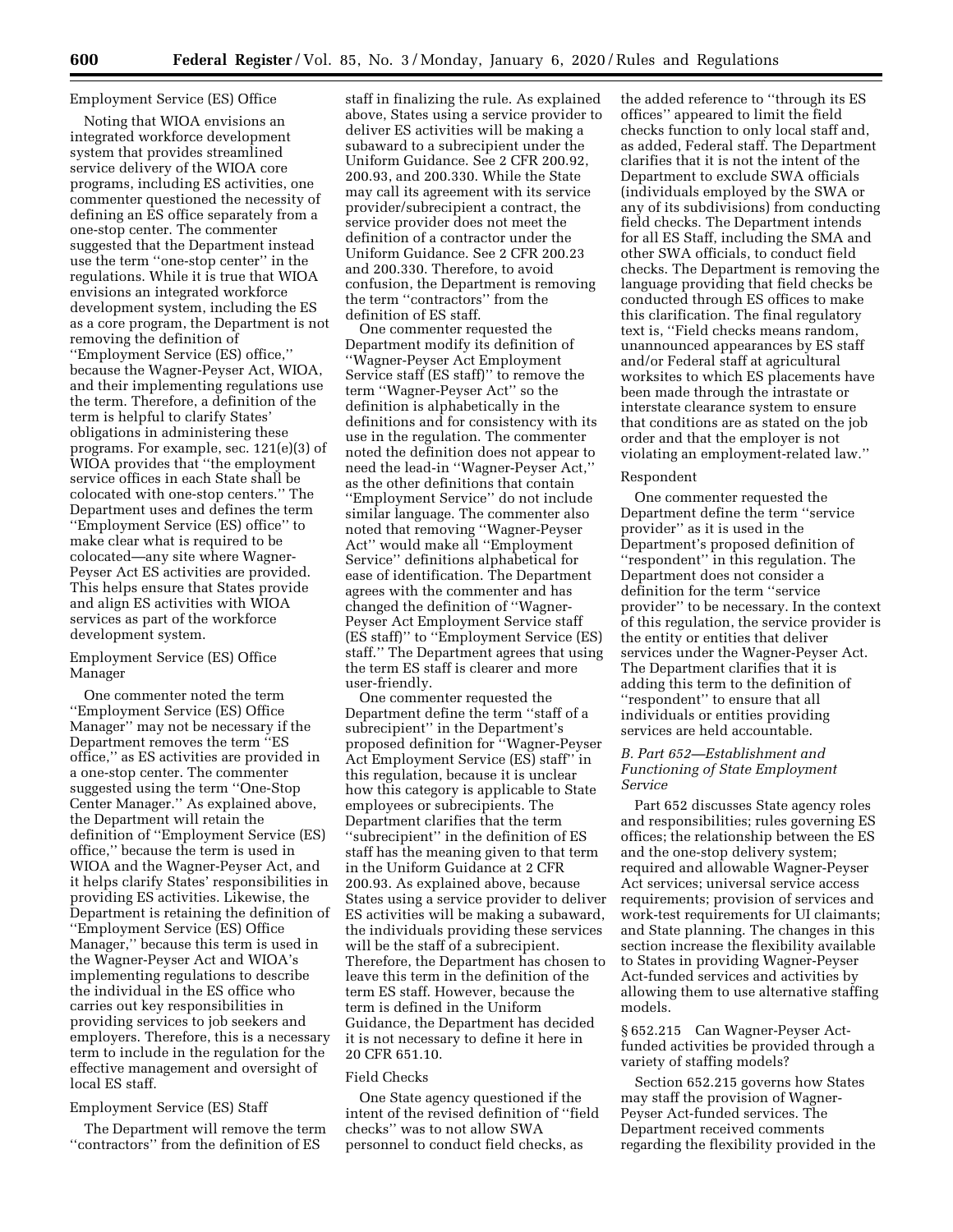# Employment Service (ES) Office

Noting that WIOA envisions an integrated workforce development system that provides streamlined service delivery of the WIOA core programs, including ES activities, one commenter questioned the necessity of defining an ES office separately from a one-stop center. The commenter suggested that the Department instead use the term ''one-stop center'' in the regulations. While it is true that WIOA envisions an integrated workforce development system, including the ES as a core program, the Department is not removing the definition of ''Employment Service (ES) office,'' because the Wagner-Peyser Act, WIOA, and their implementing regulations use the term. Therefore, a definition of the term is helpful to clarify States' obligations in administering these programs. For example, sec. 121(e)(3) of WIOA provides that ''the employment service offices in each State shall be colocated with one-stop centers.'' The Department uses and defines the term ''Employment Service (ES) office'' to make clear what is required to be colocated—any site where Wagner-Peyser Act ES activities are provided. This helps ensure that States provide and align ES activities with WIOA services as part of the workforce development system.

### Employment Service (ES) Office Manager

One commenter noted the term ''Employment Service (ES) Office Manager'' may not be necessary if the Department removes the term ''ES office,'' as ES activities are provided in a one-stop center. The commenter suggested using the term ''One-Stop Center Manager.'' As explained above, the Department will retain the definition of ''Employment Service (ES) office,'' because the term is used in WIOA and the Wagner-Peyser Act, and it helps clarify States' responsibilities in providing ES activities. Likewise, the Department is retaining the definition of ''Employment Service (ES) Office Manager,'' because this term is used in the Wagner-Peyser Act and WIOA's implementing regulations to describe the individual in the ES office who carries out key responsibilities in providing services to job seekers and employers. Therefore, this is a necessary term to include in the regulation for the effective management and oversight of local ES staff.

#### Employment Service (ES) Staff

The Department will remove the term ''contractors'' from the definition of ES

staff in finalizing the rule. As explained above, States using a service provider to deliver ES activities will be making a subaward to a subrecipient under the Uniform Guidance. See 2 CFR 200.92, 200.93, and 200.330. While the State may call its agreement with its service provider/subrecipient a contract, the service provider does not meet the definition of a contractor under the Uniform Guidance. See 2 CFR 200.23 and 200.330. Therefore, to avoid confusion, the Department is removing the term ''contractors'' from the definition of ES staff.

One commenter requested the Department modify its definition of ''Wagner-Peyser Act Employment Service staff (ES staff)'' to remove the term ''Wagner-Peyser Act'' so the definition is alphabetically in the definitions and for consistency with its use in the regulation. The commenter noted the definition does not appear to need the lead-in ''Wagner-Peyser Act,'' as the other definitions that contain ''Employment Service'' do not include similar language. The commenter also noted that removing ''Wagner-Peyser Act'' would make all ''Employment Service'' definitions alphabetical for ease of identification. The Department agrees with the commenter and has changed the definition of ''Wagner-Peyser Act Employment Service staff (ES staff)'' to ''Employment Service (ES) staff.'' The Department agrees that using the term ES staff is clearer and more user-friendly.

One commenter requested the Department define the term ''staff of a subrecipient'' in the Department's proposed definition for ''Wagner-Peyser Act Employment Service (ES) staff'' in this regulation, because it is unclear how this category is applicable to State employees or subrecipients. The Department clarifies that the term ''subrecipient'' in the definition of ES staff has the meaning given to that term in the Uniform Guidance at 2 CFR 200.93. As explained above, because States using a service provider to deliver ES activities will be making a subaward, the individuals providing these services will be the staff of a subrecipient. Therefore, the Department has chosen to leave this term in the definition of the term ES staff. However, because the term is defined in the Uniform Guidance, the Department has decided it is not necessary to define it here in 20 CFR 651.10.

#### Field Checks

One State agency questioned if the intent of the revised definition of ''field checks'' was to not allow SWA personnel to conduct field checks, as

the added reference to ''through its ES offices'' appeared to limit the field checks function to only local staff and, as added, Federal staff. The Department clarifies that it is not the intent of the Department to exclude SWA officials (individuals employed by the SWA or any of its subdivisions) from conducting field checks. The Department intends for all ES Staff, including the SMA and other SWA officials, to conduct field checks. The Department is removing the language providing that field checks be conducted through ES offices to make this clarification. The final regulatory text is, ''Field checks means random, unannounced appearances by ES staff and/or Federal staff at agricultural worksites to which ES placements have been made through the intrastate or interstate clearance system to ensure that conditions are as stated on the job order and that the employer is not violating an employment-related law.''

#### Respondent

One commenter requested the Department define the term ''service provider'' as it is used in the Department's proposed definition of ''respondent'' in this regulation. The Department does not consider a definition for the term ''service provider'' to be necessary. In the context of this regulation, the service provider is the entity or entities that deliver services under the Wagner-Peyser Act. The Department clarifies that it is adding this term to the definition of ''respondent'' to ensure that all individuals or entities providing services are held accountable.

### *B. Part 652—Establishment and Functioning of State Employment Service*

Part 652 discusses State agency roles and responsibilities; rules governing ES offices; the relationship between the ES and the one-stop delivery system; required and allowable Wagner-Peyser Act services; universal service access requirements; provision of services and work-test requirements for UI claimants; and State planning. The changes in this section increase the flexibility available to States in providing Wagner-Peyser Act-funded services and activities by allowing them to use alternative staffing models.

§ 652.215 Can Wagner-Peyser Actfunded activities be provided through a variety of staffing models?

Section 652.215 governs how States may staff the provision of Wagner-Peyser Act-funded services. The Department received comments regarding the flexibility provided in the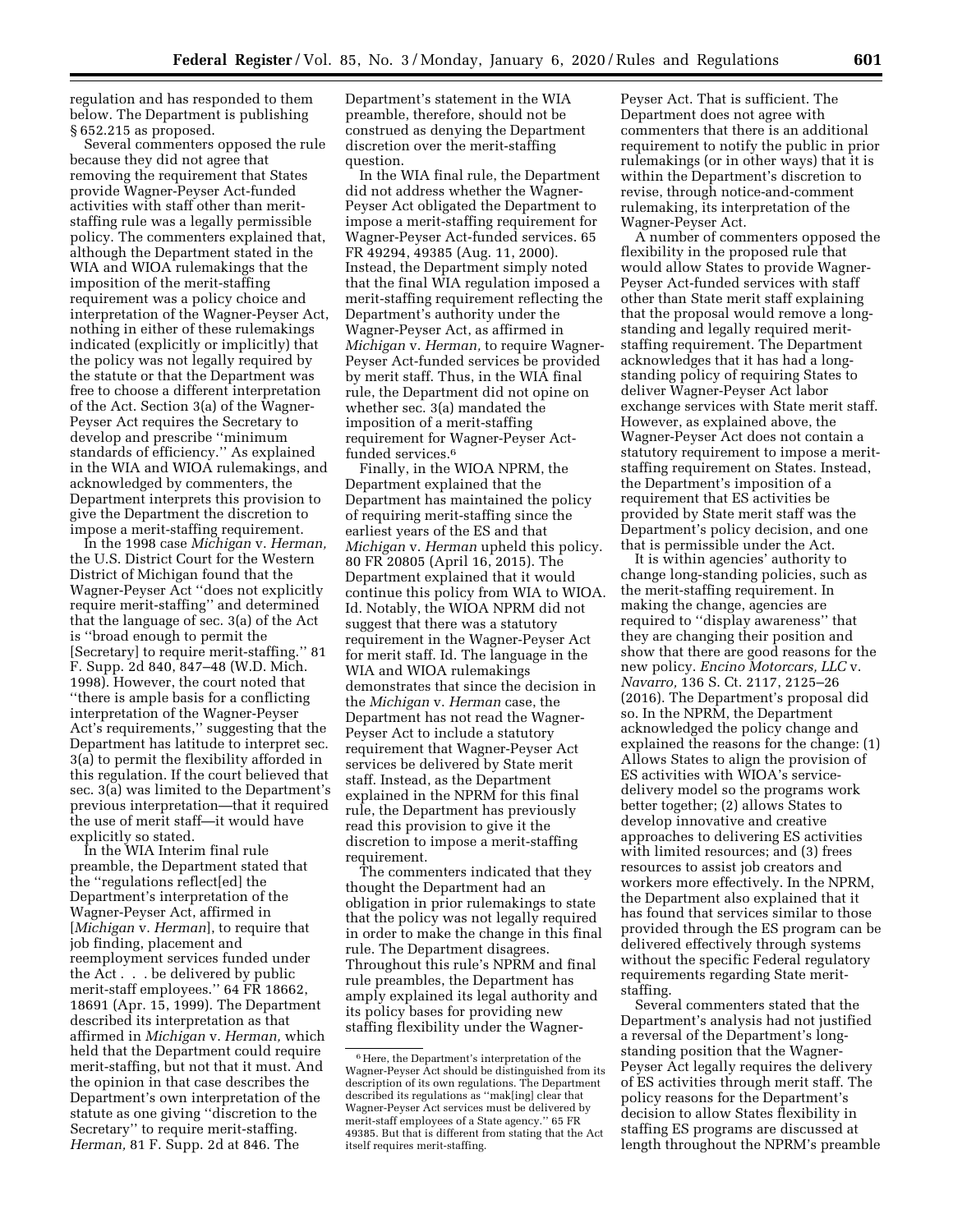regulation and has responded to them below. The Department is publishing § 652.215 as proposed.

Several commenters opposed the rule because they did not agree that removing the requirement that States provide Wagner-Peyser Act-funded activities with staff other than meritstaffing rule was a legally permissible policy. The commenters explained that, although the Department stated in the WIA and WIOA rulemakings that the imposition of the merit-staffing requirement was a policy choice and interpretation of the Wagner-Peyser Act, nothing in either of these rulemakings indicated (explicitly or implicitly) that the policy was not legally required by the statute or that the Department was free to choose a different interpretation of the Act. Section 3(a) of the Wagner-Peyser Act requires the Secretary to develop and prescribe ''minimum standards of efficiency.'' As explained in the WIA and WIOA rulemakings, and acknowledged by commenters, the Department interprets this provision to give the Department the discretion to impose a merit-staffing requirement.

In the 1998 case *Michigan* v. *Herman,*  the U.S. District Court for the Western District of Michigan found that the Wagner-Peyser Act ''does not explicitly require merit-staffing'' and determined that the language of sec. 3(a) of the Act is ''broad enough to permit the [Secretary] to require merit-staffing.'' 81 F. Supp. 2d 840, 847–48 (W.D. Mich. 1998). However, the court noted that ''there is ample basis for a conflicting interpretation of the Wagner-Peyser Act's requirements,'' suggesting that the Department has latitude to interpret sec. 3(a) to permit the flexibility afforded in this regulation. If the court believed that sec. 3(a) was limited to the Department's previous interpretation—that it required the use of merit staff—it would have explicitly so stated.

In the WIA Interim final rule preamble, the Department stated that the ''regulations reflect[ed] the Department's interpretation of the Wagner-Peyser Act, affirmed in [*Michigan* v. *Herman*], to require that job finding, placement and reemployment services funded under the Act . . . be delivered by public merit-staff employees.'' 64 FR 18662, 18691 (Apr. 15, 1999). The Department described its interpretation as that affirmed in *Michigan* v. *Herman,* which held that the Department could require merit-staffing, but not that it must. And the opinion in that case describes the Department's own interpretation of the statute as one giving ''discretion to the Secretary'' to require merit-staffing. *Herman,* 81 F. Supp. 2d at 846. The

Department's statement in the WIA preamble, therefore, should not be construed as denying the Department discretion over the merit-staffing question.

In the WIA final rule, the Department did not address whether the Wagner-Peyser Act obligated the Department to impose a merit-staffing requirement for Wagner-Peyser Act-funded services. 65 FR 49294, 49385 (Aug. 11, 2000). Instead, the Department simply noted that the final WIA regulation imposed a merit-staffing requirement reflecting the Department's authority under the Wagner-Peyser Act, as affirmed in *Michigan* v. *Herman,* to require Wagner-Peyser Act-funded services be provided by merit staff. Thus, in the WIA final rule, the Department did not opine on whether sec. 3(a) mandated the imposition of a merit-staffing requirement for Wagner-Peyser Actfunded services.6

Finally, in the WIOA NPRM, the Department explained that the Department has maintained the policy of requiring merit-staffing since the earliest years of the ES and that *Michigan* v. *Herman* upheld this policy. 80 FR 20805 (April 16, 2015). The Department explained that it would continue this policy from WIA to WIOA. Id. Notably, the WIOA NPRM did not suggest that there was a statutory requirement in the Wagner-Peyser Act for merit staff. Id. The language in the WIA and WIOA rulemakings demonstrates that since the decision in the *Michigan* v. *Herman* case, the Department has not read the Wagner-Peyser Act to include a statutory requirement that Wagner-Peyser Act services be delivered by State merit staff. Instead, as the Department explained in the NPRM for this final rule, the Department has previously read this provision to give it the discretion to impose a merit-staffing requirement.

The commenters indicated that they thought the Department had an obligation in prior rulemakings to state that the policy was not legally required in order to make the change in this final rule. The Department disagrees. Throughout this rule's NPRM and final rule preambles, the Department has amply explained its legal authority and its policy bases for providing new staffing flexibility under the WagnerPeyser Act. That is sufficient. The Department does not agree with commenters that there is an additional requirement to notify the public in prior rulemakings (or in other ways) that it is within the Department's discretion to revise, through notice-and-comment rulemaking, its interpretation of the Wagner-Peyser Act.

A number of commenters opposed the flexibility in the proposed rule that would allow States to provide Wagner-Peyser Act-funded services with staff other than State merit staff explaining that the proposal would remove a longstanding and legally required meritstaffing requirement. The Department acknowledges that it has had a longstanding policy of requiring States to deliver Wagner-Peyser Act labor exchange services with State merit staff. However, as explained above, the Wagner-Peyser Act does not contain a statutory requirement to impose a meritstaffing requirement on States. Instead, the Department's imposition of a requirement that ES activities be provided by State merit staff was the Department's policy decision, and one that is permissible under the Act.

It is within agencies' authority to change long-standing policies, such as the merit-staffing requirement. In making the change, agencies are required to ''display awareness'' that they are changing their position and show that there are good reasons for the new policy. *Encino Motorcars, LLC* v. *Navarro,* 136 S. Ct. 2117, 2125–26 (2016). The Department's proposal did so. In the NPRM, the Department acknowledged the policy change and explained the reasons for the change: (1) Allows States to align the provision of ES activities with WIOA's servicedelivery model so the programs work better together; (2) allows States to develop innovative and creative approaches to delivering ES activities with limited resources; and (3) frees resources to assist job creators and workers more effectively. In the NPRM, the Department also explained that it has found that services similar to those provided through the ES program can be delivered effectively through systems without the specific Federal regulatory requirements regarding State meritstaffing.

Several commenters stated that the Department's analysis had not justified a reversal of the Department's longstanding position that the Wagner-Peyser Act legally requires the delivery of ES activities through merit staff. The policy reasons for the Department's decision to allow States flexibility in staffing ES programs are discussed at length throughout the NPRM's preamble

<sup>6</sup>Here, the Department's interpretation of the Wagner-Peyser Act should be distinguished from its description of its own regulations. The Department described its regulations as ''mak[ing] clear that Wagner-Peyser Act services must be delivered by merit-staff employees of a State agency.'' 65 FR 49385. But that is different from stating that the Act itself requires merit-staffing.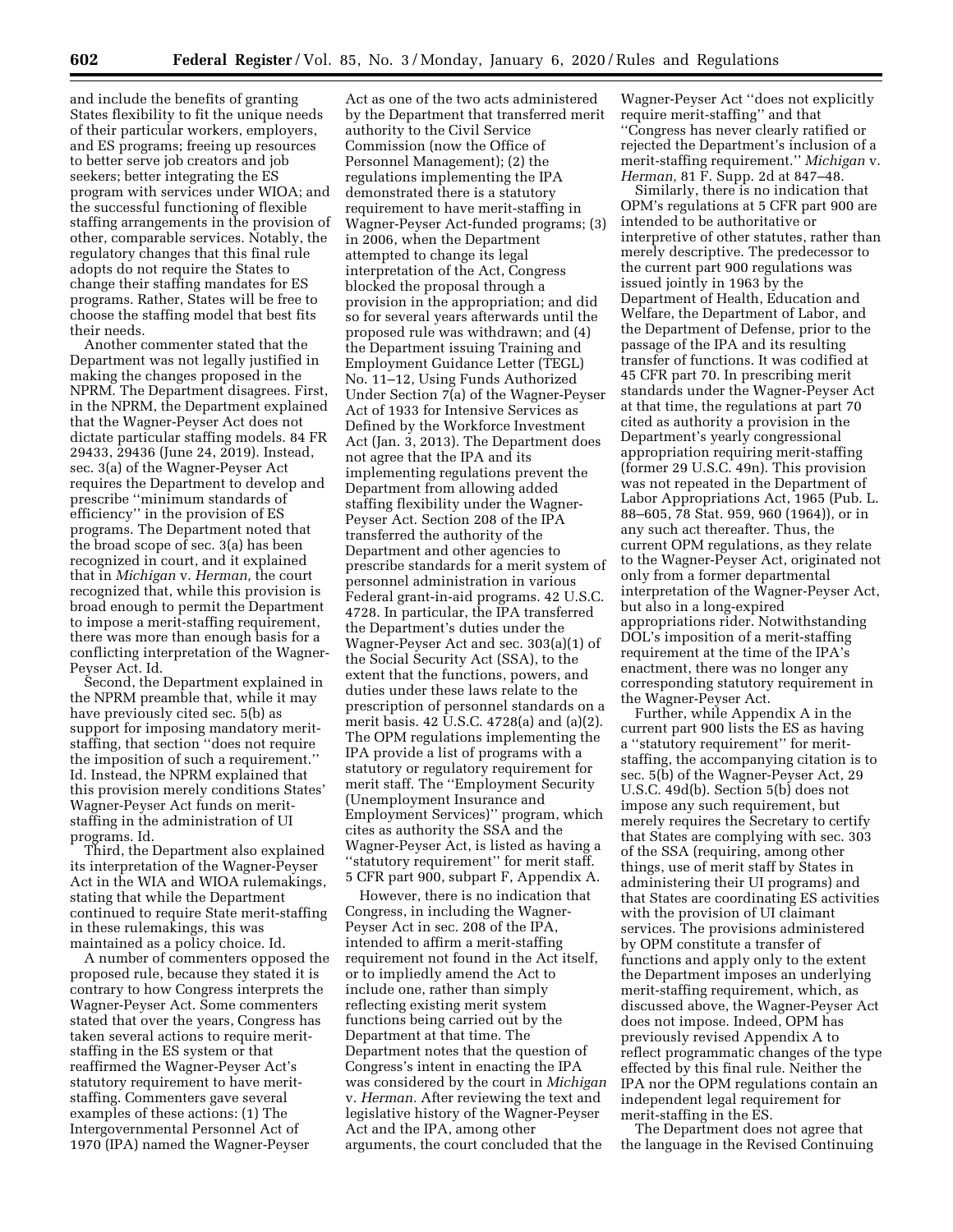and include the benefits of granting States flexibility to fit the unique needs of their particular workers, employers, and ES programs; freeing up resources to better serve job creators and job seekers; better integrating the ES program with services under WIOA; and the successful functioning of flexible staffing arrangements in the provision of other, comparable services. Notably, the regulatory changes that this final rule adopts do not require the States to change their staffing mandates for ES programs. Rather, States will be free to choose the staffing model that best fits their needs.

Another commenter stated that the Department was not legally justified in making the changes proposed in the NPRM. The Department disagrees. First, in the NPRM, the Department explained that the Wagner-Peyser Act does not dictate particular staffing models. 84 FR 29433, 29436 (June 24, 2019). Instead, sec. 3(a) of the Wagner-Peyser Act requires the Department to develop and prescribe ''minimum standards of efficiency'' in the provision of ES programs. The Department noted that the broad scope of sec. 3(a) has been recognized in court, and it explained that in *Michigan* v. *Herman,* the court recognized that, while this provision is broad enough to permit the Department to impose a merit-staffing requirement, there was more than enough basis for a conflicting interpretation of the Wagner-Peyser Act. Id.

Second, the Department explained in the NPRM preamble that, while it may have previously cited sec. 5(b) as support for imposing mandatory meritstaffing, that section ''does not require the imposition of such a requirement.'' Id. Instead, the NPRM explained that this provision merely conditions States' Wagner-Peyser Act funds on meritstaffing in the administration of UI programs. Id.

Third, the Department also explained its interpretation of the Wagner-Peyser Act in the WIA and WIOA rulemakings, stating that while the Department continued to require State merit-staffing in these rulemakings, this was maintained as a policy choice. Id.

A number of commenters opposed the proposed rule, because they stated it is contrary to how Congress interprets the Wagner-Peyser Act. Some commenters stated that over the years, Congress has taken several actions to require meritstaffing in the ES system or that reaffirmed the Wagner-Peyser Act's statutory requirement to have meritstaffing. Commenters gave several examples of these actions: (1) The Intergovernmental Personnel Act of 1970 (IPA) named the Wagner-Peyser

Act as one of the two acts administered by the Department that transferred merit authority to the Civil Service Commission (now the Office of Personnel Management); (2) the regulations implementing the IPA demonstrated there is a statutory requirement to have merit-staffing in Wagner-Peyser Act-funded programs; (3) in 2006, when the Department attempted to change its legal interpretation of the Act, Congress blocked the proposal through a provision in the appropriation; and did so for several years afterwards until the proposed rule was withdrawn; and (4) the Department issuing Training and Employment Guidance Letter (TEGL) No. 11–12, Using Funds Authorized Under Section 7(a) of the Wagner-Peyser Act of 1933 for Intensive Services as Defined by the Workforce Investment Act (Jan. 3, 2013). The Department does not agree that the IPA and its implementing regulations prevent the Department from allowing added staffing flexibility under the Wagner-Peyser Act. Section 208 of the IPA transferred the authority of the Department and other agencies to prescribe standards for a merit system of personnel administration in various Federal grant-in-aid programs. 42 U.S.C. 4728. In particular, the IPA transferred the Department's duties under the Wagner-Peyser Act and sec. 303(a)(1) of the Social Security Act (SSA), to the extent that the functions, powers, and duties under these laws relate to the prescription of personnel standards on a merit basis. 42 U.S.C. 4728(a) and (a)(2). The OPM regulations implementing the IPA provide a list of programs with a statutory or regulatory requirement for merit staff. The ''Employment Security (Unemployment Insurance and Employment Services)'' program, which cites as authority the SSA and the Wagner-Peyser Act, is listed as having a ''statutory requirement'' for merit staff. 5 CFR part 900, subpart F, Appendix A.

However, there is no indication that Congress, in including the Wagner-Peyser Act in sec. 208 of the IPA, intended to affirm a merit-staffing requirement not found in the Act itself, or to impliedly amend the Act to include one, rather than simply reflecting existing merit system functions being carried out by the Department at that time. The Department notes that the question of Congress's intent in enacting the IPA was considered by the court in *Michigan*  v. *Herman.* After reviewing the text and legislative history of the Wagner-Peyser Act and the IPA, among other arguments, the court concluded that the

Wagner-Peyser Act ''does not explicitly require merit-staffing'' and that ''Congress has never clearly ratified or rejected the Department's inclusion of a merit-staffing requirement.'' *Michigan* v. *Herman,* 81 F. Supp. 2d at 847–48.

Similarly, there is no indication that OPM's regulations at 5 CFR part 900 are intended to be authoritative or interpretive of other statutes, rather than merely descriptive. The predecessor to the current part 900 regulations was issued jointly in 1963 by the Department of Health, Education and Welfare, the Department of Labor, and the Department of Defense, prior to the passage of the IPA and its resulting transfer of functions. It was codified at 45 CFR part 70. In prescribing merit standards under the Wagner-Peyser Act at that time, the regulations at part 70 cited as authority a provision in the Department's yearly congressional appropriation requiring merit-staffing (former 29 U.S.C. 49n). This provision was not repeated in the Department of Labor Appropriations Act, 1965 (Pub. L. 88–605, 78 Stat. 959, 960 (1964)), or in any such act thereafter. Thus, the current OPM regulations, as they relate to the Wagner-Peyser Act, originated not only from a former departmental interpretation of the Wagner-Peyser Act, but also in a long-expired appropriations rider. Notwithstanding DOL's imposition of a merit-staffing requirement at the time of the IPA's enactment, there was no longer any corresponding statutory requirement in the Wagner-Peyser Act.

Further, while Appendix A in the current part 900 lists the ES as having a ''statutory requirement'' for meritstaffing, the accompanying citation is to sec. 5(b) of the Wagner-Peyser Act, 29 U.S.C. 49d(b). Section 5(b) does not impose any such requirement, but merely requires the Secretary to certify that States are complying with sec. 303 of the SSA (requiring, among other things, use of merit staff by States in administering their UI programs) and that States are coordinating ES activities with the provision of UI claimant services. The provisions administered by OPM constitute a transfer of functions and apply only to the extent the Department imposes an underlying merit-staffing requirement, which, as discussed above, the Wagner-Peyser Act does not impose. Indeed, OPM has previously revised Appendix A to reflect programmatic changes of the type effected by this final rule. Neither the IPA nor the OPM regulations contain an independent legal requirement for merit-staffing in the ES.

The Department does not agree that the language in the Revised Continuing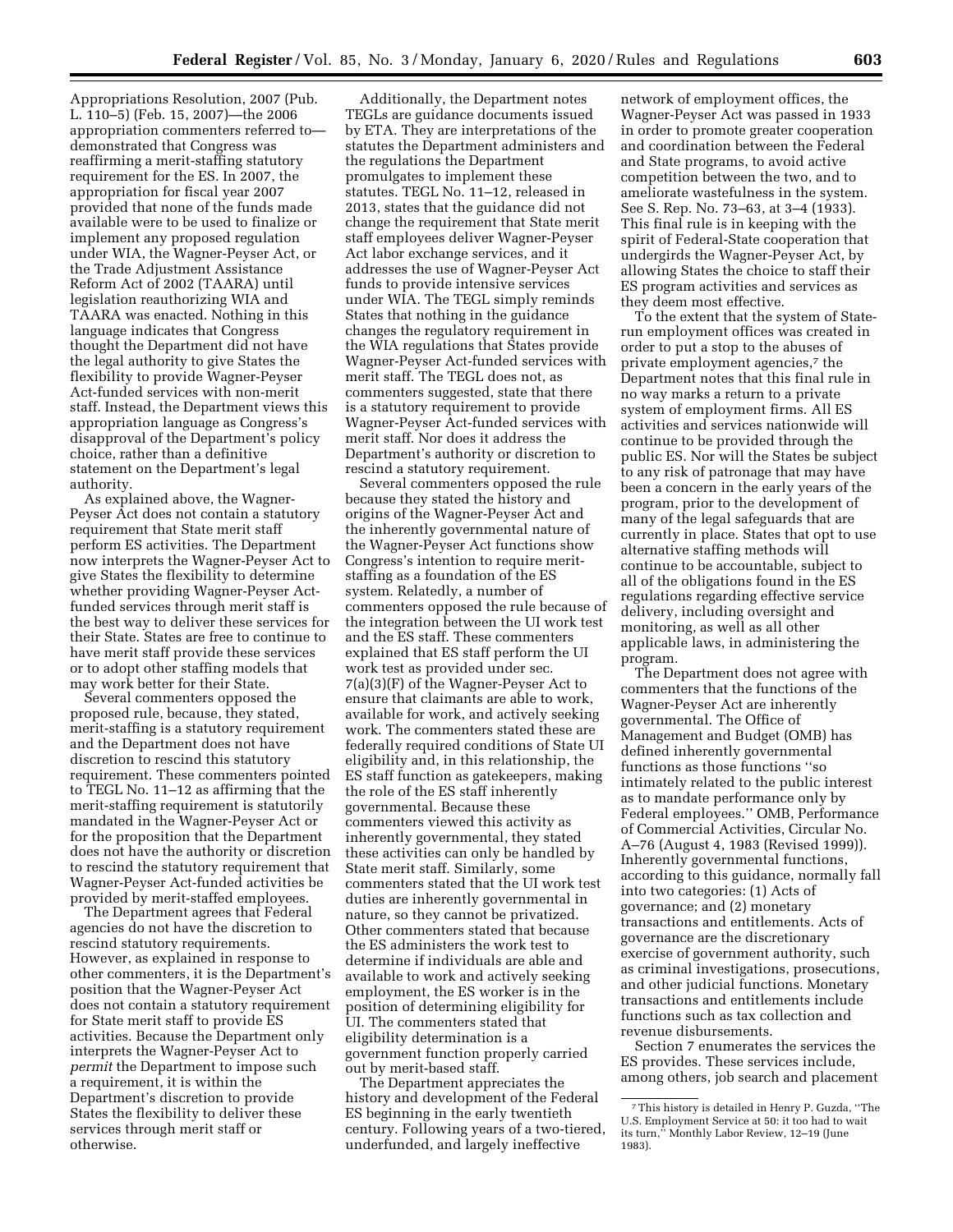Appropriations Resolution, 2007 (Pub. L. 110–5) (Feb. 15, 2007)—the 2006 appropriation commenters referred to demonstrated that Congress was reaffirming a merit-staffing statutory requirement for the ES. In 2007, the appropriation for fiscal year 2007 provided that none of the funds made available were to be used to finalize or implement any proposed regulation under WIA, the Wagner-Peyser Act, or the Trade Adjustment Assistance Reform Act of 2002 (TAARA) until legislation reauthorizing WIA and TAARA was enacted. Nothing in this language indicates that Congress thought the Department did not have the legal authority to give States the flexibility to provide Wagner-Peyser Act-funded services with non-merit staff. Instead, the Department views this appropriation language as Congress's disapproval of the Department's policy choice, rather than a definitive statement on the Department's legal authority.

As explained above, the Wagner-Peyser Act does not contain a statutory requirement that State merit staff perform ES activities. The Department now interprets the Wagner-Peyser Act to give States the flexibility to determine whether providing Wagner-Peyser Actfunded services through merit staff is the best way to deliver these services for their State. States are free to continue to have merit staff provide these services or to adopt other staffing models that may work better for their State.

Several commenters opposed the proposed rule, because, they stated, merit-staffing is a statutory requirement and the Department does not have discretion to rescind this statutory requirement. These commenters pointed to TEGL No. 11–12 as affirming that the merit-staffing requirement is statutorily mandated in the Wagner-Peyser Act or for the proposition that the Department does not have the authority or discretion to rescind the statutory requirement that Wagner-Peyser Act-funded activities be provided by merit-staffed employees.

The Department agrees that Federal agencies do not have the discretion to rescind statutory requirements. However, as explained in response to other commenters, it is the Department's position that the Wagner-Peyser Act does not contain a statutory requirement for State merit staff to provide ES activities. Because the Department only interprets the Wagner-Peyser Act to *permit* the Department to impose such a requirement, it is within the Department's discretion to provide States the flexibility to deliver these services through merit staff or otherwise.

Additionally, the Department notes TEGLs are guidance documents issued by ETA. They are interpretations of the statutes the Department administers and the regulations the Department promulgates to implement these statutes. TEGL No. 11–12, released in 2013, states that the guidance did not change the requirement that State merit staff employees deliver Wagner-Peyser Act labor exchange services, and it addresses the use of Wagner-Peyser Act funds to provide intensive services under WIA. The TEGL simply reminds States that nothing in the guidance changes the regulatory requirement in the WIA regulations that States provide Wagner-Peyser Act-funded services with merit staff. The TEGL does not, as commenters suggested, state that there is a statutory requirement to provide Wagner-Peyser Act-funded services with merit staff. Nor does it address the Department's authority or discretion to rescind a statutory requirement.

Several commenters opposed the rule because they stated the history and origins of the Wagner-Peyser Act and the inherently governmental nature of the Wagner-Peyser Act functions show Congress's intention to require meritstaffing as a foundation of the ES system. Relatedly, a number of commenters opposed the rule because of the integration between the UI work test and the ES staff. These commenters explained that ES staff perform the UI work test as provided under sec. 7(a)(3)(F) of the Wagner-Peyser Act to ensure that claimants are able to work, available for work, and actively seeking work. The commenters stated these are federally required conditions of State UI eligibility and, in this relationship, the ES staff function as gatekeepers, making the role of the ES staff inherently governmental. Because these commenters viewed this activity as inherently governmental, they stated these activities can only be handled by State merit staff. Similarly, some commenters stated that the UI work test duties are inherently governmental in nature, so they cannot be privatized. Other commenters stated that because the ES administers the work test to determine if individuals are able and available to work and actively seeking employment, the ES worker is in the position of determining eligibility for UI. The commenters stated that eligibility determination is a government function properly carried out by merit-based staff.

The Department appreciates the history and development of the Federal ES beginning in the early twentieth century. Following years of a two-tiered, underfunded, and largely ineffective

network of employment offices, the Wagner-Peyser Act was passed in 1933 in order to promote greater cooperation and coordination between the Federal and State programs, to avoid active competition between the two, and to ameliorate wastefulness in the system. See S. Rep. No. 73–63, at 3–4 (1933). This final rule is in keeping with the spirit of Federal-State cooperation that undergirds the Wagner-Peyser Act, by allowing States the choice to staff their ES program activities and services as they deem most effective.

To the extent that the system of Staterun employment offices was created in order to put a stop to the abuses of private employment agencies,7 the Department notes that this final rule in no way marks a return to a private system of employment firms. All ES activities and services nationwide will continue to be provided through the public ES. Nor will the States be subject to any risk of patronage that may have been a concern in the early years of the program, prior to the development of many of the legal safeguards that are currently in place. States that opt to use alternative staffing methods will continue to be accountable, subject to all of the obligations found in the ES regulations regarding effective service delivery, including oversight and monitoring, as well as all other applicable laws, in administering the program.

The Department does not agree with commenters that the functions of the Wagner-Peyser Act are inherently governmental. The Office of Management and Budget (OMB) has defined inherently governmental functions as those functions ''so intimately related to the public interest as to mandate performance only by Federal employees.'' OMB, Performance of Commercial Activities, Circular No. A–76 (August 4, 1983 (Revised 1999)). Inherently governmental functions, according to this guidance, normally fall into two categories: (1) Acts of governance; and (2) monetary transactions and entitlements. Acts of governance are the discretionary exercise of government authority, such as criminal investigations, prosecutions, and other judicial functions. Monetary transactions and entitlements include functions such as tax collection and revenue disbursements.

Section 7 enumerates the services the ES provides. These services include, among others, job search and placement

<sup>7</sup>This history is detailed in Henry P. Guzda, ''The U.S. Employment Service at 50: it too had to wait its turn,'' Monthly Labor Review, 12–19 (June 1983).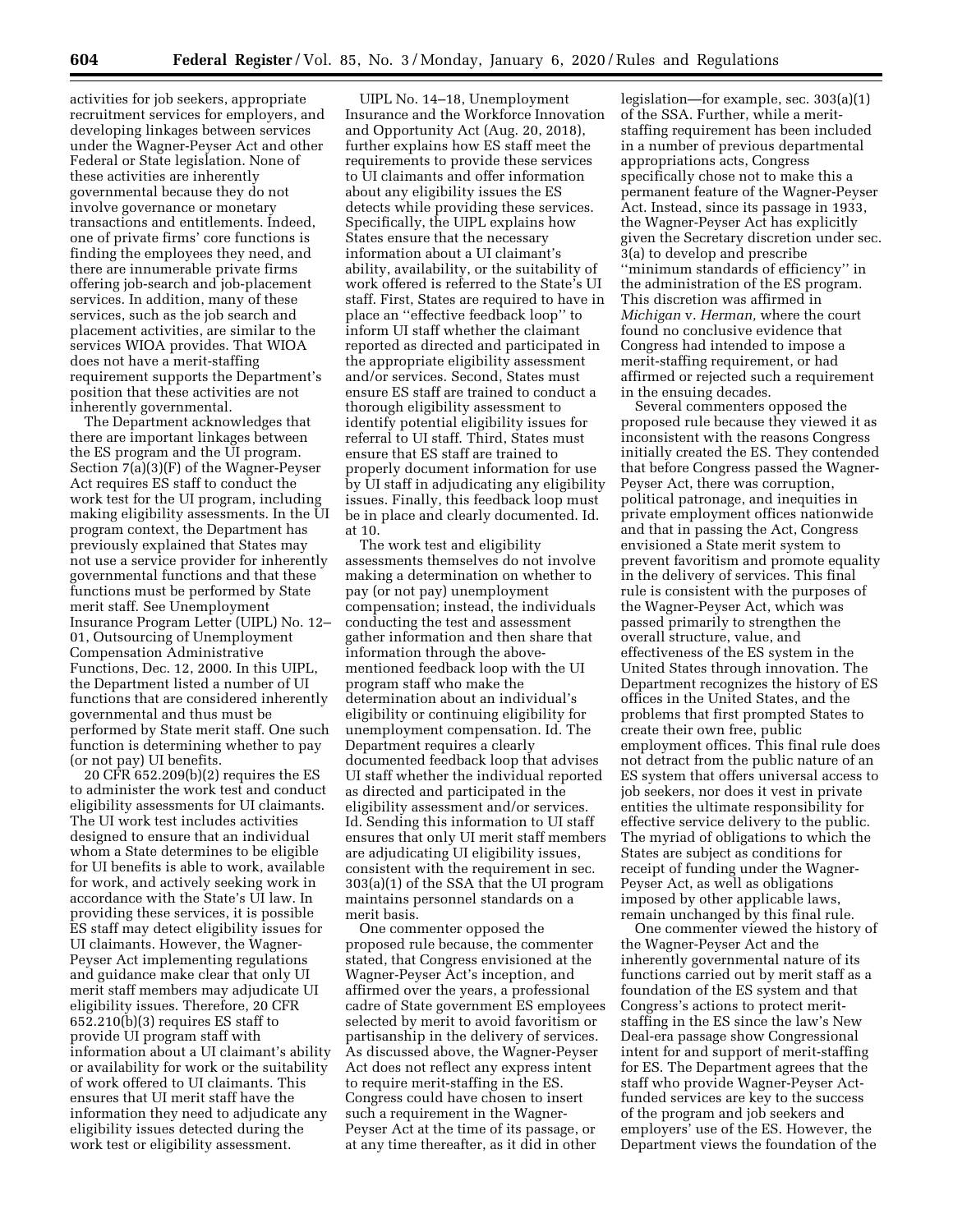activities for job seekers, appropriate recruitment services for employers, and developing linkages between services under the Wagner-Peyser Act and other Federal or State legislation. None of these activities are inherently governmental because they do not involve governance or monetary transactions and entitlements. Indeed, one of private firms' core functions is finding the employees they need, and there are innumerable private firms offering job-search and job-placement services. In addition, many of these services, such as the job search and placement activities, are similar to the services WIOA provides. That WIOA does not have a merit-staffing requirement supports the Department's position that these activities are not inherently governmental.

The Department acknowledges that there are important linkages between the ES program and the UI program. Section 7(a)(3)(F) of the Wagner-Peyser Act requires ES staff to conduct the work test for the UI program, including making eligibility assessments. In the UI program context, the Department has previously explained that States may not use a service provider for inherently governmental functions and that these functions must be performed by State merit staff. See Unemployment Insurance Program Letter (UIPL) No. 12– 01, Outsourcing of Unemployment Compensation Administrative Functions, Dec. 12, 2000. In this UIPL, the Department listed a number of UI functions that are considered inherently governmental and thus must be performed by State merit staff. One such function is determining whether to pay (or not pay) UI benefits.

20 CFR 652.209(b)(2) requires the ES to administer the work test and conduct eligibility assessments for UI claimants. The UI work test includes activities designed to ensure that an individual whom a State determines to be eligible for UI benefits is able to work, available for work, and actively seeking work in accordance with the State's UI law. In providing these services, it is possible ES staff may detect eligibility issues for UI claimants. However, the Wagner-Peyser Act implementing regulations and guidance make clear that only UI merit staff members may adjudicate UI eligibility issues. Therefore, 20 CFR 652.210(b)(3) requires ES staff to provide UI program staff with information about a UI claimant's ability or availability for work or the suitability of work offered to UI claimants. This ensures that UI merit staff have the information they need to adjudicate any eligibility issues detected during the work test or eligibility assessment.

UIPL No. 14–18, Unemployment Insurance and the Workforce Innovation and Opportunity Act (Aug. 20, 2018), further explains how ES staff meet the requirements to provide these services to UI claimants and offer information about any eligibility issues the ES detects while providing these services. Specifically, the UIPL explains how States ensure that the necessary information about a UI claimant's ability, availability, or the suitability of work offered is referred to the State's UI staff. First, States are required to have in place an ''effective feedback loop'' to inform UI staff whether the claimant reported as directed and participated in the appropriate eligibility assessment and/or services. Second, States must ensure ES staff are trained to conduct a thorough eligibility assessment to identify potential eligibility issues for referral to UI staff. Third, States must ensure that ES staff are trained to properly document information for use by UI staff in adjudicating any eligibility issues. Finally, this feedback loop must be in place and clearly documented. Id. at 10.

The work test and eligibility assessments themselves do not involve making a determination on whether to pay (or not pay) unemployment compensation; instead, the individuals conducting the test and assessment gather information and then share that information through the abovementioned feedback loop with the UI program staff who make the determination about an individual's eligibility or continuing eligibility for unemployment compensation. Id. The Department requires a clearly documented feedback loop that advises UI staff whether the individual reported as directed and participated in the eligibility assessment and/or services. Id. Sending this information to UI staff ensures that only UI merit staff members are adjudicating UI eligibility issues, consistent with the requirement in sec. 303(a)(1) of the SSA that the UI program maintains personnel standards on a merit basis.

One commenter opposed the proposed rule because, the commenter stated, that Congress envisioned at the Wagner-Peyser Act's inception, and affirmed over the years, a professional cadre of State government ES employees selected by merit to avoid favoritism or partisanship in the delivery of services. As discussed above, the Wagner-Peyser Act does not reflect any express intent to require merit-staffing in the ES. Congress could have chosen to insert such a requirement in the Wagner-Peyser Act at the time of its passage, or at any time thereafter, as it did in other

legislation—for example, sec. 303(a)(1) of the SSA. Further, while a meritstaffing requirement has been included in a number of previous departmental appropriations acts, Congress specifically chose not to make this a permanent feature of the Wagner-Peyser Act. Instead, since its passage in 1933, the Wagner-Peyser Act has explicitly given the Secretary discretion under sec. 3(a) to develop and prescribe ''minimum standards of efficiency'' in the administration of the ES program. This discretion was affirmed in *Michigan* v. *Herman,* where the court found no conclusive evidence that Congress had intended to impose a merit-staffing requirement, or had affirmed or rejected such a requirement in the ensuing decades.

Several commenters opposed the proposed rule because they viewed it as inconsistent with the reasons Congress initially created the ES. They contended that before Congress passed the Wagner-Peyser Act, there was corruption, political patronage, and inequities in private employment offices nationwide and that in passing the Act, Congress envisioned a State merit system to prevent favoritism and promote equality in the delivery of services. This final rule is consistent with the purposes of the Wagner-Peyser Act, which was passed primarily to strengthen the overall structure, value, and effectiveness of the ES system in the United States through innovation. The Department recognizes the history of ES offices in the United States, and the problems that first prompted States to create their own free, public employment offices. This final rule does not detract from the public nature of an ES system that offers universal access to job seekers, nor does it vest in private entities the ultimate responsibility for effective service delivery to the public. The myriad of obligations to which the States are subject as conditions for receipt of funding under the Wagner-Peyser Act, as well as obligations imposed by other applicable laws, remain unchanged by this final rule.

One commenter viewed the history of the Wagner-Peyser Act and the inherently governmental nature of its functions carried out by merit staff as a foundation of the ES system and that Congress's actions to protect meritstaffing in the ES since the law's New Deal-era passage show Congressional intent for and support of merit-staffing for ES. The Department agrees that the staff who provide Wagner-Peyser Actfunded services are key to the success of the program and job seekers and employers' use of the ES. However, the Department views the foundation of the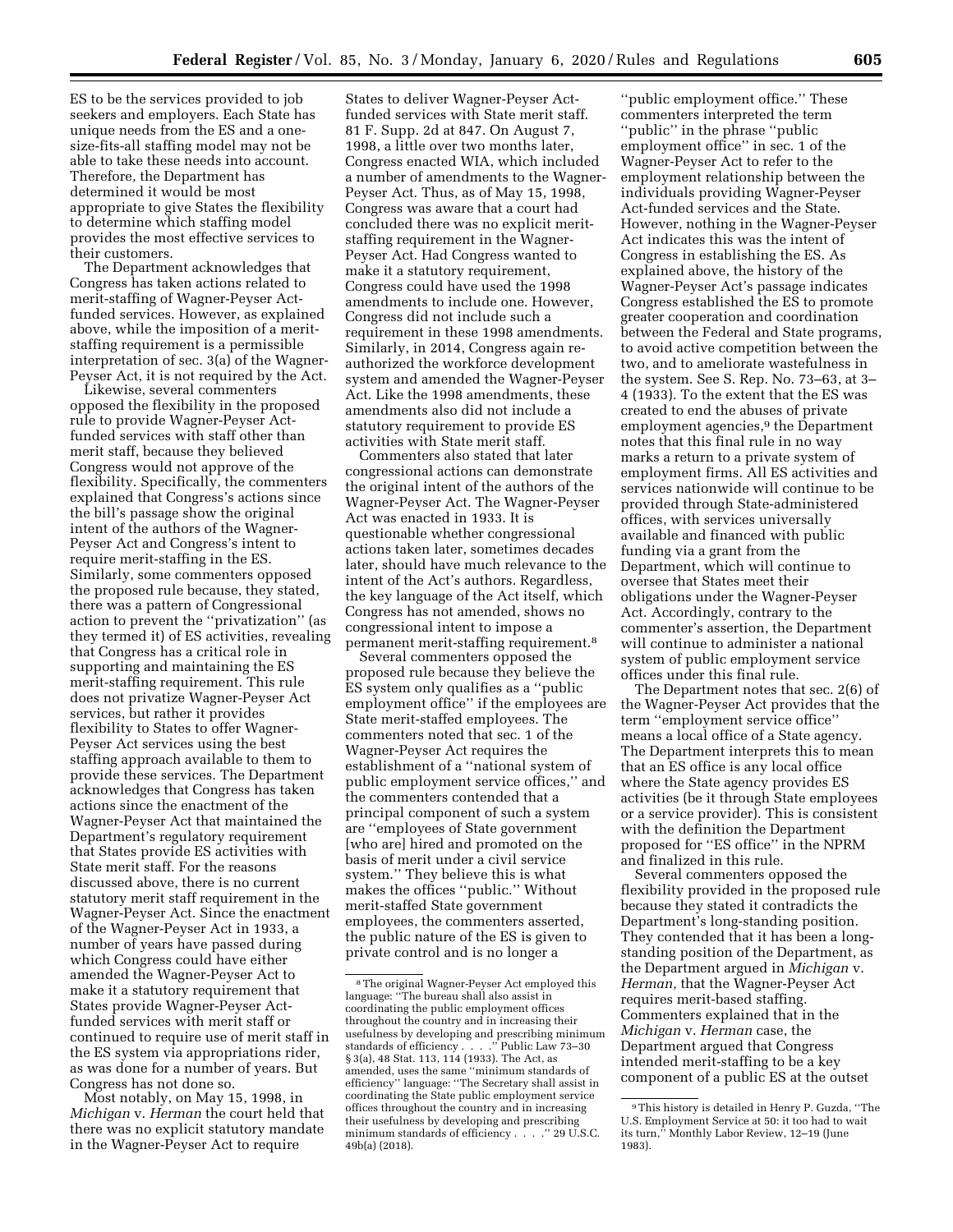ES to be the services provided to job seekers and employers. Each State has unique needs from the ES and a onesize-fits-all staffing model may not be able to take these needs into account. Therefore, the Department has determined it would be most appropriate to give States the flexibility to determine which staffing model provides the most effective services to their customers.

The Department acknowledges that Congress has taken actions related to merit-staffing of Wagner-Peyser Actfunded services. However, as explained above, while the imposition of a meritstaffing requirement is a permissible interpretation of sec. 3(a) of the Wagner-Peyser Act, it is not required by the Act.

Likewise, several commenters opposed the flexibility in the proposed rule to provide Wagner-Peyser Actfunded services with staff other than merit staff, because they believed Congress would not approve of the flexibility. Specifically, the commenters explained that Congress's actions since the bill's passage show the original intent of the authors of the Wagner-Peyser Act and Congress's intent to require merit-staffing in the ES. Similarly, some commenters opposed the proposed rule because, they stated, there was a pattern of Congressional action to prevent the ''privatization'' (as they termed it) of ES activities, revealing that Congress has a critical role in supporting and maintaining the ES merit-staffing requirement. This rule does not privatize Wagner-Peyser Act services, but rather it provides flexibility to States to offer Wagner-Peyser Act services using the best staffing approach available to them to provide these services. The Department acknowledges that Congress has taken actions since the enactment of the Wagner-Peyser Act that maintained the Department's regulatory requirement that States provide ES activities with State merit staff. For the reasons discussed above, there is no current statutory merit staff requirement in the Wagner-Peyser Act. Since the enactment of the Wagner-Peyser Act in 1933, a number of years have passed during which Congress could have either amended the Wagner-Peyser Act to make it a statutory requirement that States provide Wagner-Peyser Actfunded services with merit staff or continued to require use of merit staff in the ES system via appropriations rider, as was done for a number of years. But Congress has not done so.

Most notably, on May 15, 1998, in *Michigan* v. *Herman* the court held that there was no explicit statutory mandate in the Wagner-Peyser Act to require

States to deliver Wagner-Peyser Actfunded services with State merit staff. 81 F. Supp. 2d at 847. On August 7, 1998, a little over two months later, Congress enacted WIA, which included a number of amendments to the Wagner-Peyser Act. Thus, as of May 15, 1998, Congress was aware that a court had concluded there was no explicit meritstaffing requirement in the Wagner-Peyser Act. Had Congress wanted to make it a statutory requirement, Congress could have used the 1998 amendments to include one. However, Congress did not include such a requirement in these 1998 amendments. Similarly, in 2014, Congress again reauthorized the workforce development system and amended the Wagner-Peyser Act. Like the 1998 amendments, these amendments also did not include a statutory requirement to provide ES activities with State merit staff.

Commenters also stated that later congressional actions can demonstrate the original intent of the authors of the Wagner-Peyser Act. The Wagner-Peyser Act was enacted in 1933. It is questionable whether congressional actions taken later, sometimes decades later, should have much relevance to the intent of the Act's authors. Regardless, the key language of the Act itself, which Congress has not amended, shows no congressional intent to impose a permanent merit-staffing requirement.8

Several commenters opposed the proposed rule because they believe the ES system only qualifies as a ''public employment office'' if the employees are State merit-staffed employees. The commenters noted that sec. 1 of the Wagner-Peyser Act requires the establishment of a ''national system of public employment service offices,'' and the commenters contended that a principal component of such a system are ''employees of State government [who are] hired and promoted on the basis of merit under a civil service system.'' They believe this is what makes the offices ''public.'' Without merit-staffed State government employees, the commenters asserted, the public nature of the ES is given to private control and is no longer a

''public employment office.'' These commenters interpreted the term ''public'' in the phrase ''public employment office'' in sec. 1 of the Wagner-Peyser Act to refer to the employment relationship between the individuals providing Wagner-Peyser Act-funded services and the State. However, nothing in the Wagner-Peyser Act indicates this was the intent of Congress in establishing the ES. As explained above, the history of the Wagner-Peyser Act's passage indicates Congress established the ES to promote greater cooperation and coordination between the Federal and State programs, to avoid active competition between the two, and to ameliorate wastefulness in the system. See S. Rep. No. 73–63, at 3– 4 (1933). To the extent that the ES was created to end the abuses of private employment agencies,<sup>9</sup> the Department notes that this final rule in no way marks a return to a private system of employment firms. All ES activities and services nationwide will continue to be provided through State-administered offices, with services universally available and financed with public funding via a grant from the Department, which will continue to oversee that States meet their obligations under the Wagner-Peyser Act. Accordingly, contrary to the commenter's assertion, the Department will continue to administer a national system of public employment service offices under this final rule.

The Department notes that sec. 2(6) of the Wagner-Peyser Act provides that the term ''employment service office'' means a local office of a State agency. The Department interprets this to mean that an ES office is any local office where the State agency provides ES activities (be it through State employees or a service provider). This is consistent with the definition the Department proposed for ''ES office'' in the NPRM and finalized in this rule.

Several commenters opposed the flexibility provided in the proposed rule because they stated it contradicts the Department's long-standing position. They contended that it has been a longstanding position of the Department, as the Department argued in *Michigan* v. *Herman,* that the Wagner-Peyser Act requires merit-based staffing. Commenters explained that in the *Michigan* v. *Herman* case, the Department argued that Congress intended merit-staffing to be a key component of a public ES at the outset

<sup>8</sup>The original Wagner-Peyser Act employed this language: ''The bureau shall also assist in coordinating the public employment offices throughout the country and in increasing their usefulness by developing and prescribing minimum standards of efficiency . . . .'' Public Law 73–30 § 3(a), 48 Stat. 113, 114 (1933). The Act, as amended, uses the same ''minimum standards of efficiency'' language: ''The Secretary shall assist in coordinating the State public employment service offices throughout the country and in increasing their usefulness by developing and prescribing minimum standards of efficiency . . . .'' 29 U.S.C. 49b(a) (2018).

<sup>9</sup>This history is detailed in Henry P. Guzda, ''The U.S. Employment Service at 50: it too had to wait its turn,'' Monthly Labor Review, 12–19 (June 1983).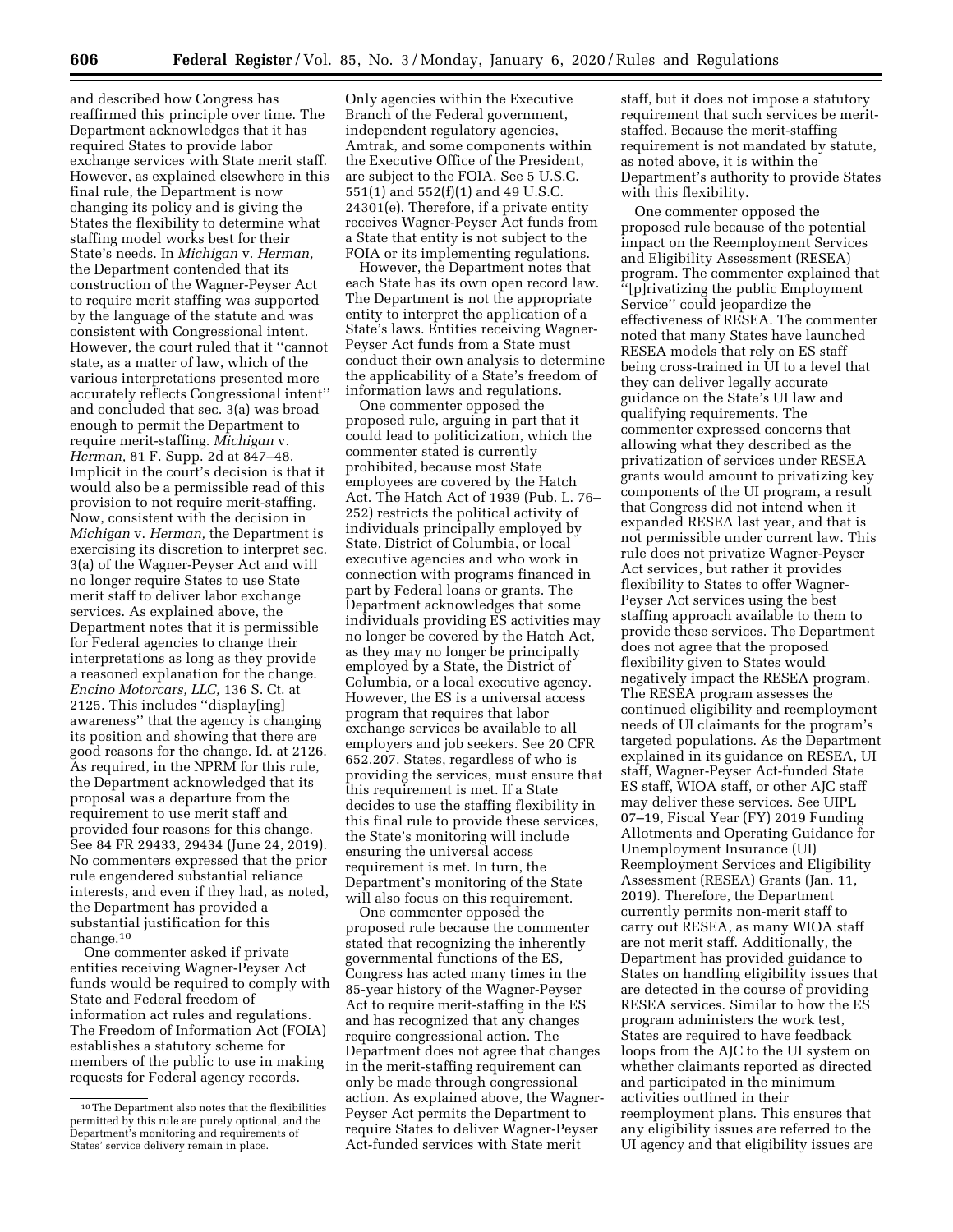and described how Congress has reaffirmed this principle over time. The Department acknowledges that it has required States to provide labor exchange services with State merit staff. However, as explained elsewhere in this final rule, the Department is now changing its policy and is giving the States the flexibility to determine what staffing model works best for their State's needs. In *Michigan* v. *Herman,*  the Department contended that its construction of the Wagner-Peyser Act to require merit staffing was supported by the language of the statute and was consistent with Congressional intent. However, the court ruled that it ''cannot state, as a matter of law, which of the various interpretations presented more accurately reflects Congressional intent'' and concluded that sec. 3(a) was broad enough to permit the Department to require merit-staffing. *Michigan* v. *Herman,* 81 F. Supp. 2d at 847–48. Implicit in the court's decision is that it would also be a permissible read of this provision to not require merit-staffing. Now, consistent with the decision in *Michigan* v. *Herman,* the Department is exercising its discretion to interpret sec. 3(a) of the Wagner-Peyser Act and will no longer require States to use State merit staff to deliver labor exchange services. As explained above, the Department notes that it is permissible for Federal agencies to change their interpretations as long as they provide a reasoned explanation for the change. *Encino Motorcars, LLC,* 136 S. Ct. at 2125. This includes ''display[ing] awareness'' that the agency is changing its position and showing that there are good reasons for the change. Id. at 2126. As required, in the NPRM for this rule, the Department acknowledged that its proposal was a departure from the requirement to use merit staff and provided four reasons for this change. See 84 FR 29433, 29434 (June 24, 2019). No commenters expressed that the prior rule engendered substantial reliance interests, and even if they had, as noted, the Department has provided a substantial justification for this change.10

One commenter asked if private entities receiving Wagner-Peyser Act funds would be required to comply with State and Federal freedom of information act rules and regulations. The Freedom of Information Act (FOIA) establishes a statutory scheme for members of the public to use in making requests for Federal agency records.

Only agencies within the Executive Branch of the Federal government, independent regulatory agencies, Amtrak, and some components within the Executive Office of the President, are subject to the FOIA. See 5 U.S.C. 551(1) and 552(f)(1) and 49 U.S.C. 24301(e). Therefore, if a private entity receives Wagner-Peyser Act funds from a State that entity is not subject to the FOIA or its implementing regulations.

However, the Department notes that each State has its own open record law. The Department is not the appropriate entity to interpret the application of a State's laws. Entities receiving Wagner-Peyser Act funds from a State must conduct their own analysis to determine the applicability of a State's freedom of information laws and regulations.

One commenter opposed the proposed rule, arguing in part that it could lead to politicization, which the commenter stated is currently prohibited, because most State employees are covered by the Hatch Act. The Hatch Act of 1939 (Pub. L. 76– 252) restricts the political activity of individuals principally employed by State, District of Columbia, or local executive agencies and who work in connection with programs financed in part by Federal loans or grants. The Department acknowledges that some individuals providing ES activities may no longer be covered by the Hatch Act, as they may no longer be principally employed by a State, the District of Columbia, or a local executive agency. However, the ES is a universal access program that requires that labor exchange services be available to all employers and job seekers. See 20 CFR 652.207. States, regardless of who is providing the services, must ensure that this requirement is met. If a State decides to use the staffing flexibility in this final rule to provide these services, the State's monitoring will include ensuring the universal access requirement is met. In turn, the Department's monitoring of the State will also focus on this requirement.

One commenter opposed the proposed rule because the commenter stated that recognizing the inherently governmental functions of the ES, Congress has acted many times in the 85-year history of the Wagner-Peyser Act to require merit-staffing in the ES and has recognized that any changes require congressional action. The Department does not agree that changes in the merit-staffing requirement can only be made through congressional action. As explained above, the Wagner-Peyser Act permits the Department to require States to deliver Wagner-Peyser Act-funded services with State merit

staff, but it does not impose a statutory requirement that such services be meritstaffed. Because the merit-staffing requirement is not mandated by statute, as noted above, it is within the Department's authority to provide States with this flexibility.

One commenter opposed the proposed rule because of the potential impact on the Reemployment Services and Eligibility Assessment (RESEA) program. The commenter explained that ''[p]rivatizing the public Employment Service'' could jeopardize the effectiveness of RESEA. The commenter noted that many States have launched RESEA models that rely on ES staff being cross-trained in UI to a level that they can deliver legally accurate guidance on the State's UI law and qualifying requirements. The commenter expressed concerns that allowing what they described as the privatization of services under RESEA grants would amount to privatizing key components of the UI program, a result that Congress did not intend when it expanded RESEA last year, and that is not permissible under current law. This rule does not privatize Wagner-Peyser Act services, but rather it provides flexibility to States to offer Wagner-Peyser Act services using the best staffing approach available to them to provide these services. The Department does not agree that the proposed flexibility given to States would negatively impact the RESEA program. The RESEA program assesses the continued eligibility and reemployment needs of UI claimants for the program's targeted populations. As the Department explained in its guidance on RESEA, UI staff, Wagner-Peyser Act-funded State ES staff, WIOA staff, or other AJC staff may deliver these services. See UIPL 07–19, Fiscal Year (FY) 2019 Funding Allotments and Operating Guidance for Unemployment Insurance (UI) Reemployment Services and Eligibility Assessment (RESEA) Grants (Jan. 11, 2019). Therefore, the Department currently permits non-merit staff to carry out RESEA, as many WIOA staff are not merit staff. Additionally, the Department has provided guidance to States on handling eligibility issues that are detected in the course of providing RESEA services. Similar to how the ES program administers the work test, States are required to have feedback loops from the AJC to the UI system on whether claimants reported as directed and participated in the minimum activities outlined in their reemployment plans. This ensures that any eligibility issues are referred to the UI agency and that eligibility issues are

<sup>10</sup>The Department also notes that the flexibilities permitted by this rule are purely optional, and the Department's monitoring and requirements of States' service delivery remain in place.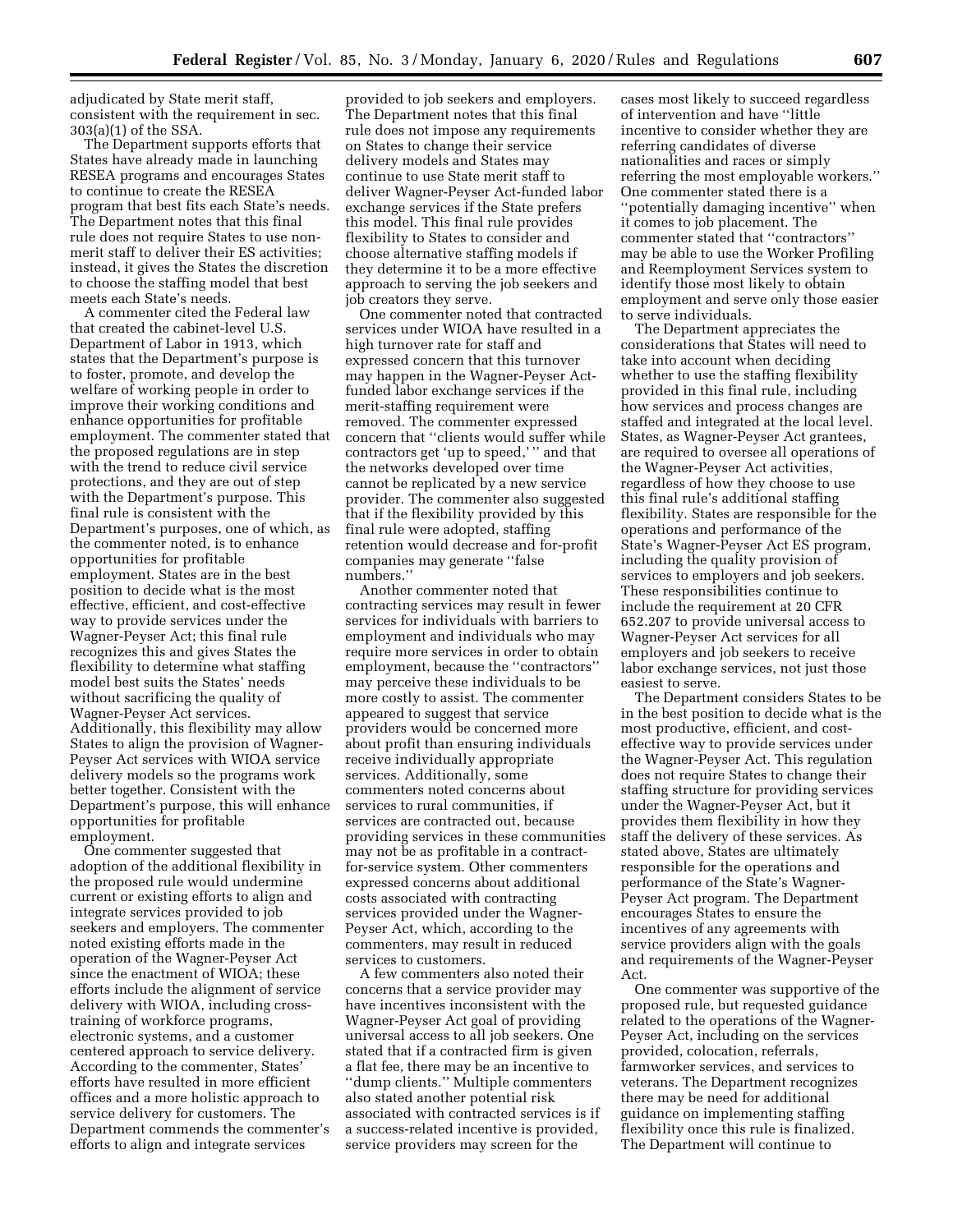adjudicated by State merit staff, consistent with the requirement in sec. 303(a)(1) of the SSA.

The Department supports efforts that States have already made in launching RESEA programs and encourages States to continue to create the RESEA program that best fits each State's needs. The Department notes that this final rule does not require States to use nonmerit staff to deliver their ES activities; instead, it gives the States the discretion to choose the staffing model that best meets each State's needs.

A commenter cited the Federal law that created the cabinet-level U.S. Department of Labor in 1913, which states that the Department's purpose is to foster, promote, and develop the welfare of working people in order to improve their working conditions and enhance opportunities for profitable employment. The commenter stated that the proposed regulations are in step with the trend to reduce civil service protections, and they are out of step with the Department's purpose. This final rule is consistent with the Department's purposes, one of which, as the commenter noted, is to enhance opportunities for profitable employment. States are in the best position to decide what is the most effective, efficient, and cost-effective way to provide services under the Wagner-Peyser Act; this final rule recognizes this and gives States the flexibility to determine what staffing model best suits the States' needs without sacrificing the quality of Wagner-Peyser Act services. Additionally, this flexibility may allow States to align the provision of Wagner-Peyser Act services with WIOA service delivery models so the programs work better together. Consistent with the Department's purpose, this will enhance opportunities for profitable employment.

One commenter suggested that adoption of the additional flexibility in the proposed rule would undermine current or existing efforts to align and integrate services provided to job seekers and employers. The commenter noted existing efforts made in the operation of the Wagner-Peyser Act since the enactment of WIOA; these efforts include the alignment of service delivery with WIOA, including crosstraining of workforce programs, electronic systems, and a customer centered approach to service delivery. According to the commenter, States' efforts have resulted in more efficient offices and a more holistic approach to service delivery for customers. The Department commends the commenter's efforts to align and integrate services

provided to job seekers and employers. The Department notes that this final rule does not impose any requirements on States to change their service delivery models and States may continue to use State merit staff to deliver Wagner-Peyser Act-funded labor exchange services if the State prefers this model. This final rule provides flexibility to States to consider and choose alternative staffing models if they determine it to be a more effective approach to serving the job seekers and job creators they serve.

One commenter noted that contracted services under WIOA have resulted in a high turnover rate for staff and expressed concern that this turnover may happen in the Wagner-Peyser Actfunded labor exchange services if the merit-staffing requirement were removed. The commenter expressed concern that ''clients would suffer while contractors get 'up to speed,' '' and that the networks developed over time cannot be replicated by a new service provider. The commenter also suggested that if the flexibility provided by this final rule were adopted, staffing retention would decrease and for-profit companies may generate ''false numbers.''

Another commenter noted that contracting services may result in fewer services for individuals with barriers to employment and individuals who may require more services in order to obtain employment, because the ''contractors'' may perceive these individuals to be more costly to assist. The commenter appeared to suggest that service providers would be concerned more about profit than ensuring individuals receive individually appropriate services. Additionally, some commenters noted concerns about services to rural communities, if services are contracted out, because providing services in these communities may not be as profitable in a contractfor-service system. Other commenters expressed concerns about additional costs associated with contracting services provided under the Wagner-Peyser Act, which, according to the commenters, may result in reduced services to customers.

A few commenters also noted their concerns that a service provider may have incentives inconsistent with the Wagner-Peyser Act goal of providing universal access to all job seekers. One stated that if a contracted firm is given a flat fee, there may be an incentive to ''dump clients.'' Multiple commenters also stated another potential risk associated with contracted services is if a success-related incentive is provided, service providers may screen for the

cases most likely to succeed regardless of intervention and have ''little incentive to consider whether they are referring candidates of diverse nationalities and races or simply referring the most employable workers.'' One commenter stated there is a ''potentially damaging incentive'' when it comes to job placement. The commenter stated that ''contractors'' may be able to use the Worker Profiling and Reemployment Services system to identify those most likely to obtain employment and serve only those easier to serve individuals.

The Department appreciates the considerations that States will need to take into account when deciding whether to use the staffing flexibility provided in this final rule, including how services and process changes are staffed and integrated at the local level. States, as Wagner-Peyser Act grantees, are required to oversee all operations of the Wagner-Peyser Act activities, regardless of how they choose to use this final rule's additional staffing flexibility. States are responsible for the operations and performance of the State's Wagner-Peyser Act ES program, including the quality provision of services to employers and job seekers. These responsibilities continue to include the requirement at 20 CFR 652.207 to provide universal access to Wagner-Peyser Act services for all employers and job seekers to receive labor exchange services, not just those easiest to serve.

The Department considers States to be in the best position to decide what is the most productive, efficient, and costeffective way to provide services under the Wagner-Peyser Act. This regulation does not require States to change their staffing structure for providing services under the Wagner-Peyser Act, but it provides them flexibility in how they staff the delivery of these services. As stated above, States are ultimately responsible for the operations and performance of the State's Wagner-Peyser Act program. The Department encourages States to ensure the incentives of any agreements with service providers align with the goals and requirements of the Wagner-Peyser Act.

One commenter was supportive of the proposed rule, but requested guidance related to the operations of the Wagner-Peyser Act, including on the services provided, colocation, referrals, farmworker services, and services to veterans. The Department recognizes there may be need for additional guidance on implementing staffing flexibility once this rule is finalized. The Department will continue to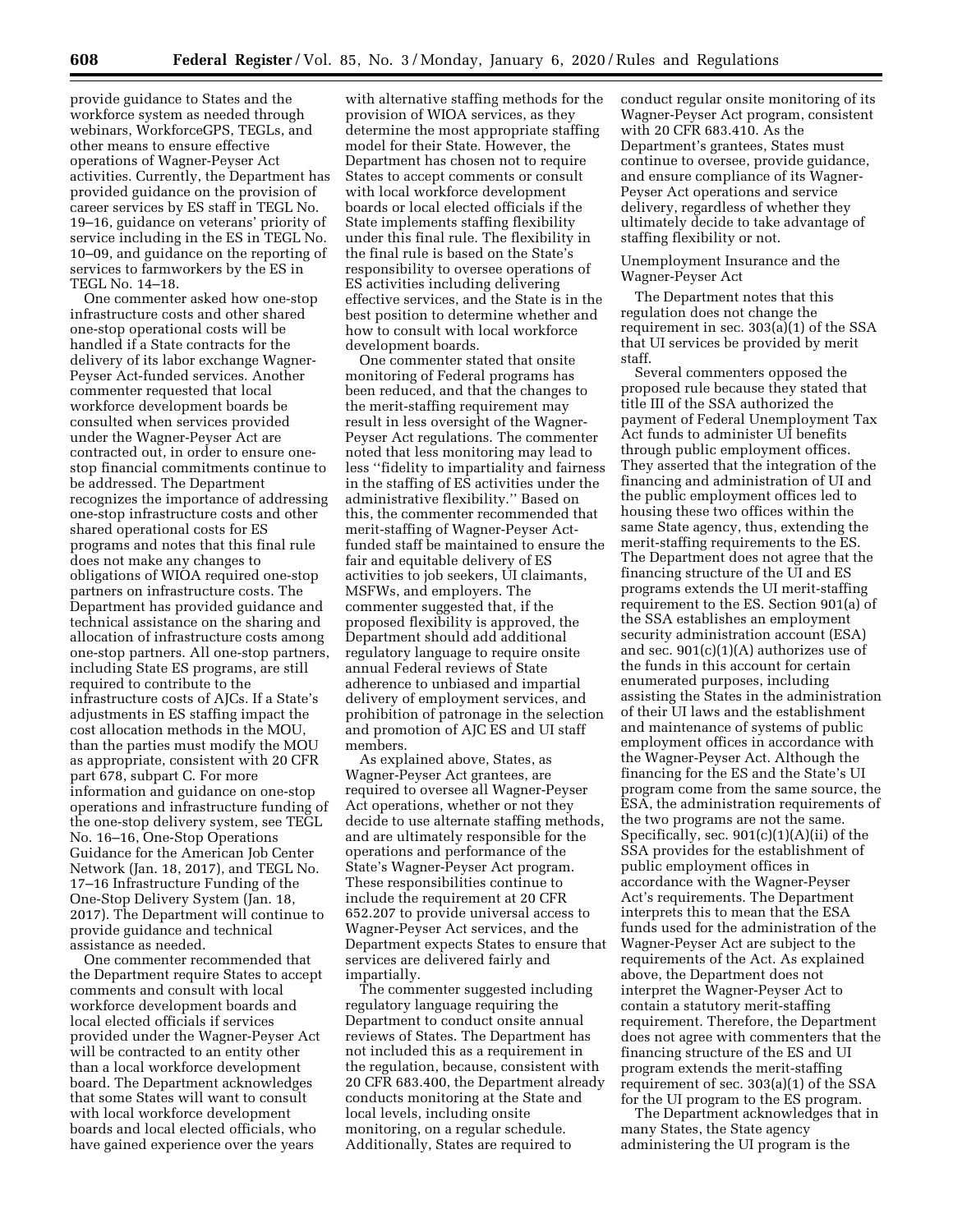provide guidance to States and the workforce system as needed through webinars, WorkforceGPS, TEGLs, and other means to ensure effective operations of Wagner-Peyser Act activities. Currently, the Department has provided guidance on the provision of career services by ES staff in TEGL No. 19–16, guidance on veterans' priority of service including in the ES in TEGL No. 10–09, and guidance on the reporting of services to farmworkers by the ES in TEGL No. 14–18.

One commenter asked how one-stop infrastructure costs and other shared one-stop operational costs will be handled if a State contracts for the delivery of its labor exchange Wagner-Peyser Act-funded services. Another commenter requested that local workforce development boards be consulted when services provided under the Wagner-Peyser Act are contracted out, in order to ensure onestop financial commitments continue to be addressed. The Department recognizes the importance of addressing one-stop infrastructure costs and other shared operational costs for ES programs and notes that this final rule does not make any changes to obligations of WIOA required one-stop partners on infrastructure costs. The Department has provided guidance and technical assistance on the sharing and allocation of infrastructure costs among one-stop partners. All one-stop partners, including State ES programs, are still required to contribute to the infrastructure costs of AJCs. If a State's adjustments in ES staffing impact the cost allocation methods in the MOU, than the parties must modify the MOU as appropriate, consistent with 20 CFR part 678, subpart C. For more information and guidance on one-stop operations and infrastructure funding of the one-stop delivery system, see TEGL No. 16–16, One-Stop Operations Guidance for the American Job Center Network (Jan. 18, 2017), and TEGL No. 17–16 Infrastructure Funding of the One-Stop Delivery System (Jan. 18, 2017). The Department will continue to provide guidance and technical assistance as needed.

One commenter recommended that the Department require States to accept comments and consult with local workforce development boards and local elected officials if services provided under the Wagner-Peyser Act will be contracted to an entity other than a local workforce development board. The Department acknowledges that some States will want to consult with local workforce development boards and local elected officials, who have gained experience over the years

with alternative staffing methods for the provision of WIOA services, as they determine the most appropriate staffing model for their State. However, the Department has chosen not to require States to accept comments or consult with local workforce development boards or local elected officials if the State implements staffing flexibility under this final rule. The flexibility in the final rule is based on the State's responsibility to oversee operations of ES activities including delivering effective services, and the State is in the best position to determine whether and how to consult with local workforce development boards.

One commenter stated that onsite monitoring of Federal programs has been reduced, and that the changes to the merit-staffing requirement may result in less oversight of the Wagner-Peyser Act regulations. The commenter noted that less monitoring may lead to less ''fidelity to impartiality and fairness in the staffing of ES activities under the administrative flexibility.'' Based on this, the commenter recommended that merit-staffing of Wagner-Peyser Actfunded staff be maintained to ensure the fair and equitable delivery of ES activities to job seekers, UI claimants, MSFWs, and employers. The commenter suggested that, if the proposed flexibility is approved, the Department should add additional regulatory language to require onsite annual Federal reviews of State adherence to unbiased and impartial delivery of employment services, and prohibition of patronage in the selection and promotion of AJC ES and UI staff members.

As explained above, States, as Wagner-Peyser Act grantees, are required to oversee all Wagner-Peyser Act operations, whether or not they decide to use alternate staffing methods, and are ultimately responsible for the operations and performance of the State's Wagner-Peyser Act program. These responsibilities continue to include the requirement at 20 CFR 652.207 to provide universal access to Wagner-Peyser Act services, and the Department expects States to ensure that services are delivered fairly and impartially.

The commenter suggested including regulatory language requiring the Department to conduct onsite annual reviews of States. The Department has not included this as a requirement in the regulation, because, consistent with 20 CFR 683.400, the Department already conducts monitoring at the State and local levels, including onsite monitoring, on a regular schedule. Additionally, States are required to

conduct regular onsite monitoring of its Wagner-Peyser Act program, consistent with 20 CFR 683.410. As the Department's grantees, States must continue to oversee, provide guidance, and ensure compliance of its Wagner-Peyser Act operations and service delivery, regardless of whether they ultimately decide to take advantage of staffing flexibility or not.

Unemployment Insurance and the Wagner-Peyser Act

The Department notes that this regulation does not change the requirement in sec. 303(a)(1) of the SSA that UI services be provided by merit staff.

Several commenters opposed the proposed rule because they stated that title III of the SSA authorized the payment of Federal Unemployment Tax Act funds to administer UI benefits through public employment offices. They asserted that the integration of the financing and administration of UI and the public employment offices led to housing these two offices within the same State agency, thus, extending the merit-staffing requirements to the ES. The Department does not agree that the financing structure of the UI and ES programs extends the UI merit-staffing requirement to the ES. Section 901(a) of the SSA establishes an employment security administration account (ESA) and sec.  $901(c)(1)(A)$  authorizes use of the funds in this account for certain enumerated purposes, including assisting the States in the administration of their UI laws and the establishment and maintenance of systems of public employment offices in accordance with the Wagner-Peyser Act. Although the financing for the ES and the State's UI program come from the same source, the ESA, the administration requirements of the two programs are not the same. Specifically, sec. 901(c)(1)(A)(ii) of the SSA provides for the establishment of public employment offices in accordance with the Wagner-Peyser Act's requirements. The Department interprets this to mean that the ESA funds used for the administration of the Wagner-Peyser Act are subject to the requirements of the Act. As explained above, the Department does not interpret the Wagner-Peyser Act to contain a statutory merit-staffing requirement. Therefore, the Department does not agree with commenters that the financing structure of the ES and UI program extends the merit-staffing requirement of sec. 303(a)(1) of the SSA for the UI program to the ES program.

The Department acknowledges that in many States, the State agency administering the UI program is the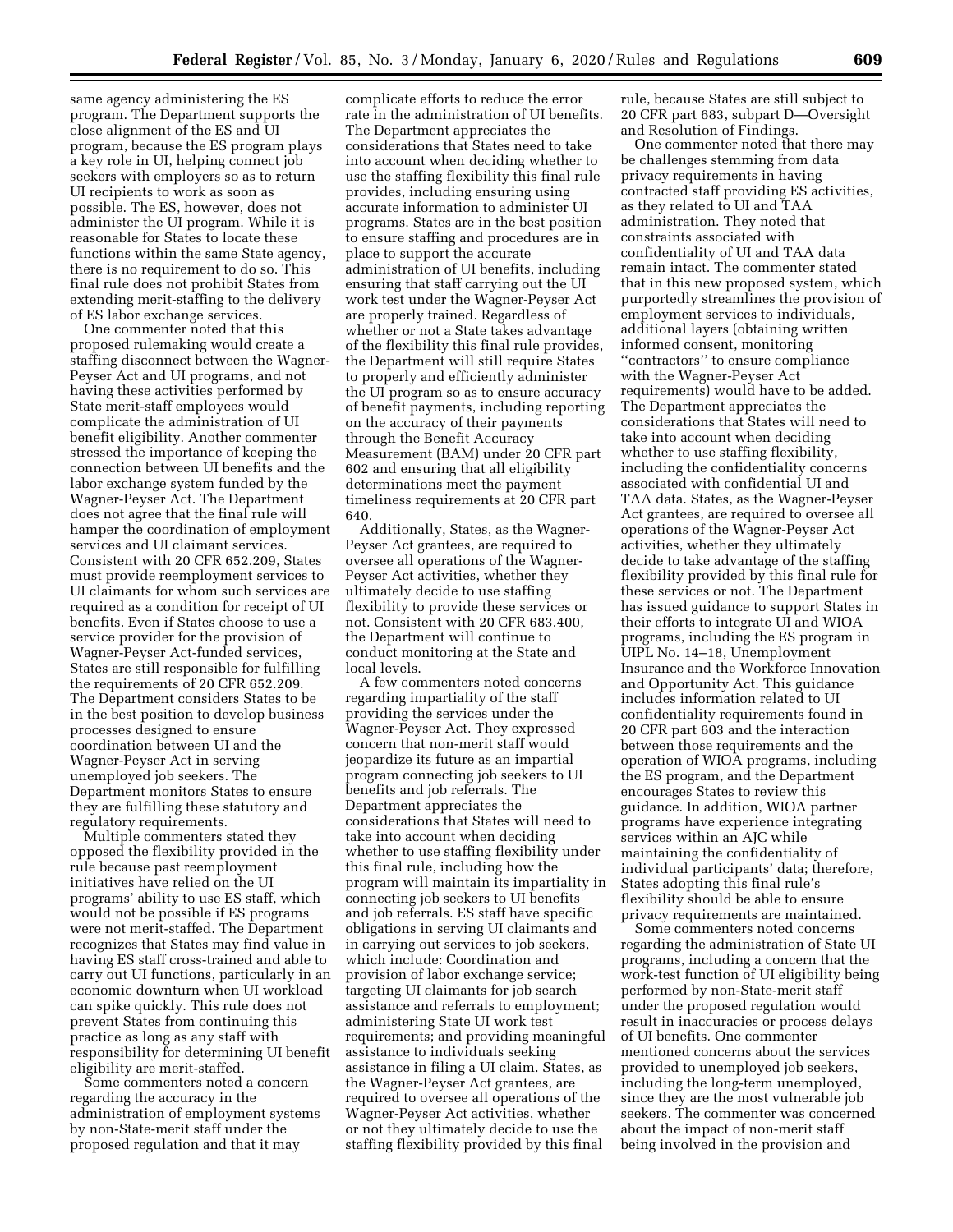same agency administering the ES program. The Department supports the close alignment of the ES and UI program, because the ES program plays a key role in UI, helping connect job seekers with employers so as to return UI recipients to work as soon as possible. The ES, however, does not administer the UI program. While it is reasonable for States to locate these functions within the same State agency, there is no requirement to do so. This final rule does not prohibit States from extending merit-staffing to the delivery of ES labor exchange services.

One commenter noted that this proposed rulemaking would create a staffing disconnect between the Wagner-Peyser Act and UI programs, and not having these activities performed by State merit-staff employees would complicate the administration of UI benefit eligibility. Another commenter stressed the importance of keeping the connection between UI benefits and the labor exchange system funded by the Wagner-Peyser Act. The Department does not agree that the final rule will hamper the coordination of employment services and UI claimant services. Consistent with 20 CFR 652.209, States must provide reemployment services to UI claimants for whom such services are required as a condition for receipt of UI benefits. Even if States choose to use a service provider for the provision of Wagner-Peyser Act-funded services, States are still responsible for fulfilling the requirements of 20 CFR 652.209. The Department considers States to be in the best position to develop business processes designed to ensure coordination between UI and the Wagner-Peyser Act in serving unemployed job seekers. The Department monitors States to ensure they are fulfilling these statutory and regulatory requirements.

Multiple commenters stated they opposed the flexibility provided in the rule because past reemployment initiatives have relied on the UI programs' ability to use ES staff, which would not be possible if ES programs were not merit-staffed. The Department recognizes that States may find value in having ES staff cross-trained and able to carry out UI functions, particularly in an economic downturn when UI workload can spike quickly. This rule does not prevent States from continuing this practice as long as any staff with responsibility for determining UI benefit eligibility are merit-staffed.

Some commenters noted a concern regarding the accuracy in the administration of employment systems by non-State-merit staff under the proposed regulation and that it may

complicate efforts to reduce the error rate in the administration of UI benefits. The Department appreciates the considerations that States need to take into account when deciding whether to use the staffing flexibility this final rule provides, including ensuring using accurate information to administer UI programs. States are in the best position to ensure staffing and procedures are in place to support the accurate administration of UI benefits, including ensuring that staff carrying out the UI work test under the Wagner-Peyser Act are properly trained. Regardless of whether or not a State takes advantage of the flexibility this final rule provides, the Department will still require States to properly and efficiently administer the UI program so as to ensure accuracy of benefit payments, including reporting on the accuracy of their payments through the Benefit Accuracy Measurement (BAM) under 20 CFR part 602 and ensuring that all eligibility determinations meet the payment timeliness requirements at 20 CFR part 640.

Additionally, States, as the Wagner-Peyser Act grantees, are required to oversee all operations of the Wagner-Peyser Act activities, whether they ultimately decide to use staffing flexibility to provide these services or not. Consistent with 20 CFR 683.400, the Department will continue to conduct monitoring at the State and local levels.

A few commenters noted concerns regarding impartiality of the staff providing the services under the Wagner-Peyser Act. They expressed concern that non-merit staff would jeopardize its future as an impartial program connecting job seekers to UI benefits and job referrals. The Department appreciates the considerations that States will need to take into account when deciding whether to use staffing flexibility under this final rule, including how the program will maintain its impartiality in connecting job seekers to UI benefits and job referrals. ES staff have specific obligations in serving UI claimants and in carrying out services to job seekers, which include: Coordination and provision of labor exchange service; targeting UI claimants for job search assistance and referrals to employment; administering State UI work test requirements; and providing meaningful assistance to individuals seeking assistance in filing a UI claim. States, as the Wagner-Peyser Act grantees, are required to oversee all operations of the Wagner-Peyser Act activities, whether or not they ultimately decide to use the staffing flexibility provided by this final

rule, because States are still subject to 20 CFR part 683, subpart D—Oversight and Resolution of Findings.

One commenter noted that there may be challenges stemming from data privacy requirements in having contracted staff providing ES activities, as they related to UI and TAA administration. They noted that constraints associated with confidentiality of UI and TAA data remain intact. The commenter stated that in this new proposed system, which purportedly streamlines the provision of employment services to individuals, additional layers (obtaining written informed consent, monitoring ''contractors'' to ensure compliance with the Wagner-Peyser Act requirements) would have to be added. The Department appreciates the considerations that States will need to take into account when deciding whether to use staffing flexibility, including the confidentiality concerns associated with confidential UI and TAA data. States, as the Wagner-Peyser Act grantees, are required to oversee all operations of the Wagner-Peyser Act activities, whether they ultimately decide to take advantage of the staffing flexibility provided by this final rule for these services or not. The Department has issued guidance to support States in their efforts to integrate UI and WIOA programs, including the ES program in UIPL No. 14–18, Unemployment Insurance and the Workforce Innovation and Opportunity Act. This guidance includes information related to UI confidentiality requirements found in 20 CFR part 603 and the interaction between those requirements and the operation of WIOA programs, including the ES program, and the Department encourages States to review this guidance. In addition, WIOA partner programs have experience integrating services within an AJC while maintaining the confidentiality of individual participants' data; therefore, States adopting this final rule's flexibility should be able to ensure privacy requirements are maintained.

Some commenters noted concerns regarding the administration of State UI programs, including a concern that the work-test function of UI eligibility being performed by non-State-merit staff under the proposed regulation would result in inaccuracies or process delays of UI benefits. One commenter mentioned concerns about the services provided to unemployed job seekers, including the long-term unemployed, since they are the most vulnerable job seekers. The commenter was concerned about the impact of non-merit staff being involved in the provision and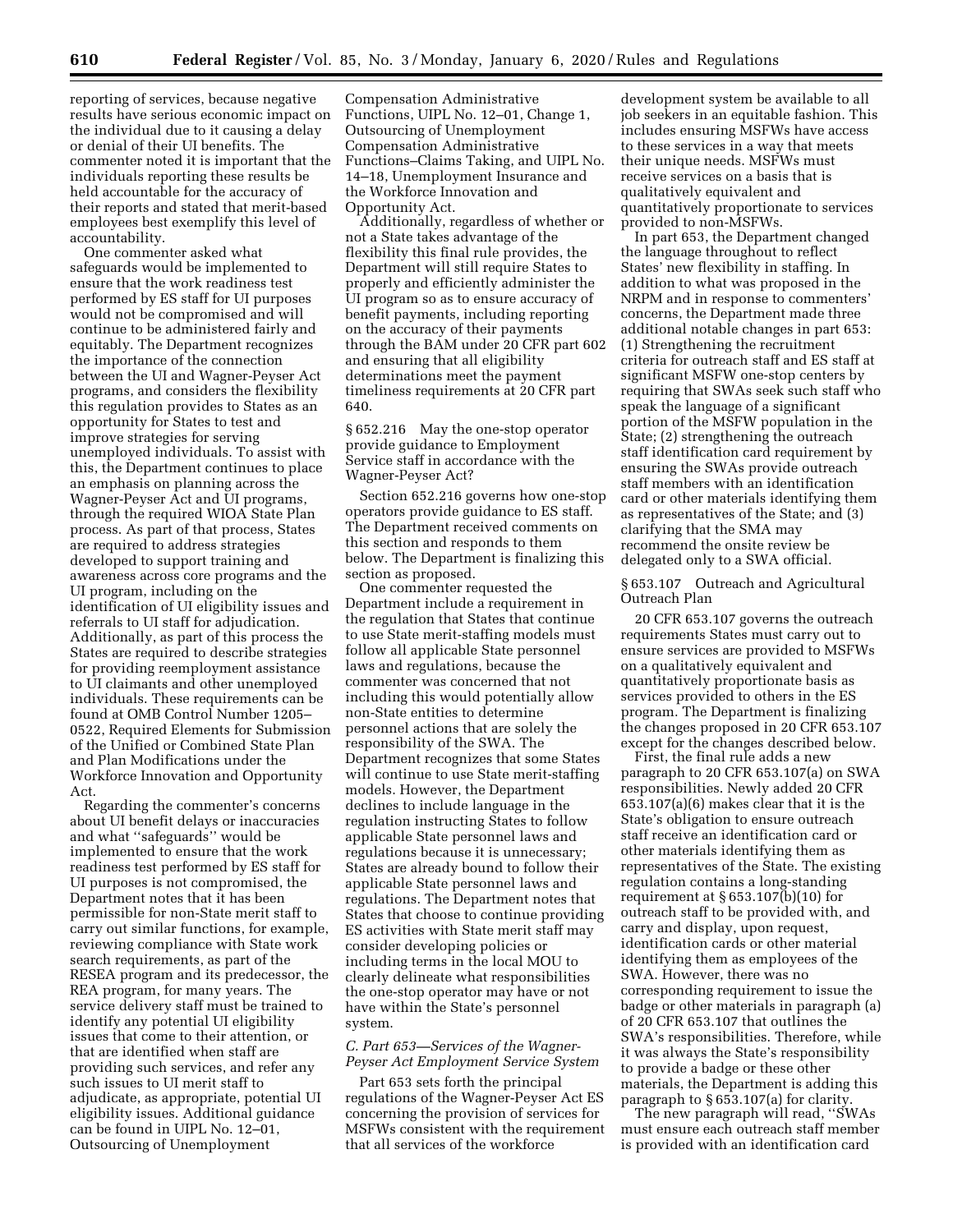reporting of services, because negative results have serious economic impact on the individual due to it causing a delay or denial of their UI benefits. The commenter noted it is important that the individuals reporting these results be held accountable for the accuracy of their reports and stated that merit-based employees best exemplify this level of accountability.

One commenter asked what safeguards would be implemented to ensure that the work readiness test performed by ES staff for UI purposes would not be compromised and will continue to be administered fairly and equitably. The Department recognizes the importance of the connection between the UI and Wagner-Peyser Act programs, and considers the flexibility this regulation provides to States as an opportunity for States to test and improve strategies for serving unemployed individuals. To assist with this, the Department continues to place an emphasis on planning across the Wagner-Peyser Act and UI programs, through the required WIOA State Plan process. As part of that process, States are required to address strategies developed to support training and awareness across core programs and the UI program, including on the identification of UI eligibility issues and referrals to UI staff for adjudication. Additionally, as part of this process the States are required to describe strategies for providing reemployment assistance to UI claimants and other unemployed individuals. These requirements can be found at OMB Control Number 1205– 0522, Required Elements for Submission of the Unified or Combined State Plan and Plan Modifications under the Workforce Innovation and Opportunity Act.

Regarding the commenter's concerns about UI benefit delays or inaccuracies and what ''safeguards'' would be implemented to ensure that the work readiness test performed by ES staff for UI purposes is not compromised, the Department notes that it has been permissible for non-State merit staff to carry out similar functions, for example, reviewing compliance with State work search requirements, as part of the RESEA program and its predecessor, the REA program, for many years. The service delivery staff must be trained to identify any potential UI eligibility issues that come to their attention, or that are identified when staff are providing such services, and refer any such issues to UI merit staff to adjudicate, as appropriate, potential UI eligibility issues. Additional guidance can be found in UIPL No. 12–01, Outsourcing of Unemployment

Compensation Administrative Functions, UIPL No. 12–01, Change 1, Outsourcing of Unemployment Compensation Administrative Functions–Claims Taking, and UIPL No. 14–18, Unemployment Insurance and the Workforce Innovation and Opportunity Act.

Additionally, regardless of whether or not a State takes advantage of the flexibility this final rule provides, the Department will still require States to properly and efficiently administer the UI program so as to ensure accuracy of benefit payments, including reporting on the accuracy of their payments through the BAM under 20 CFR part 602 and ensuring that all eligibility determinations meet the payment timeliness requirements at 20 CFR part 640.

§ 652.216 May the one-stop operator provide guidance to Employment Service staff in accordance with the Wagner-Peyser Act?

Section 652.216 governs how one-stop operators provide guidance to ES staff. The Department received comments on this section and responds to them below. The Department is finalizing this section as proposed.

One commenter requested the Department include a requirement in the regulation that States that continue to use State merit-staffing models must follow all applicable State personnel laws and regulations, because the commenter was concerned that not including this would potentially allow non-State entities to determine personnel actions that are solely the responsibility of the SWA. The Department recognizes that some States will continue to use State merit-staffing models. However, the Department declines to include language in the regulation instructing States to follow applicable State personnel laws and regulations because it is unnecessary; States are already bound to follow their applicable State personnel laws and regulations. The Department notes that States that choose to continue providing ES activities with State merit staff may consider developing policies or including terms in the local MOU to clearly delineate what responsibilities the one-stop operator may have or not have within the State's personnel system.

### *C. Part 653—Services of the Wagner-Peyser Act Employment Service System*

Part 653 sets forth the principal regulations of the Wagner-Peyser Act ES concerning the provision of services for MSFWs consistent with the requirement that all services of the workforce

development system be available to all job seekers in an equitable fashion. This includes ensuring MSFWs have access to these services in a way that meets their unique needs. MSFWs must receive services on a basis that is qualitatively equivalent and quantitatively proportionate to services provided to non-MSFWs.

In part 653, the Department changed the language throughout to reflect States' new flexibility in staffing. In addition to what was proposed in the NRPM and in response to commenters' concerns, the Department made three additional notable changes in part 653: (1) Strengthening the recruitment criteria for outreach staff and ES staff at significant MSFW one-stop centers by requiring that SWAs seek such staff who speak the language of a significant portion of the MSFW population in the State; (2) strengthening the outreach staff identification card requirement by ensuring the SWAs provide outreach staff members with an identification card or other materials identifying them as representatives of the State; and (3) clarifying that the SMA may recommend the onsite review be delegated only to a SWA official.

### § 653.107 Outreach and Agricultural Outreach Plan

20 CFR 653.107 governs the outreach requirements States must carry out to ensure services are provided to MSFWs on a qualitatively equivalent and quantitatively proportionate basis as services provided to others in the ES program. The Department is finalizing the changes proposed in 20 CFR 653.107 except for the changes described below.

First, the final rule adds a new paragraph to 20 CFR 653.107(a) on SWA responsibilities. Newly added 20 CFR 653.107(a)(6) makes clear that it is the State's obligation to ensure outreach staff receive an identification card or other materials identifying them as representatives of the State. The existing regulation contains a long-standing requirement at  $\S 653.107(b)(10)$  for outreach staff to be provided with, and carry and display, upon request, identification cards or other material identifying them as employees of the SWA. However, there was no corresponding requirement to issue the badge or other materials in paragraph (a) of 20 CFR 653.107 that outlines the SWA's responsibilities. Therefore, while it was always the State's responsibility to provide a badge or these other materials, the Department is adding this paragraph to § 653.107(a) for clarity.

The new paragraph will read, ''SWAs must ensure each outreach staff member is provided with an identification card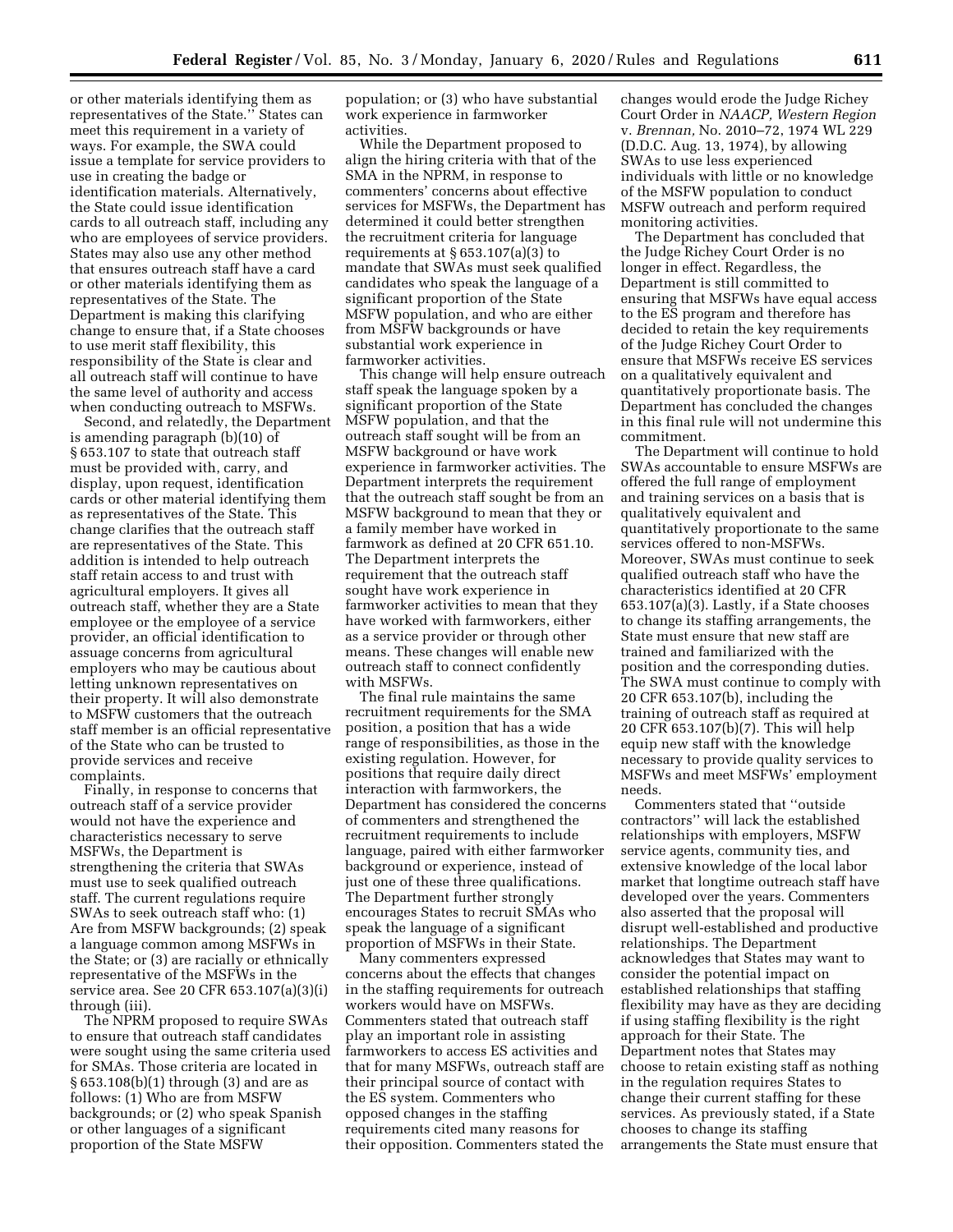or other materials identifying them as representatives of the State.'' States can meet this requirement in a variety of ways. For example, the SWA could issue a template for service providers to use in creating the badge or identification materials. Alternatively, the State could issue identification cards to all outreach staff, including any who are employees of service providers. States may also use any other method that ensures outreach staff have a card or other materials identifying them as representatives of the State. The Department is making this clarifying change to ensure that, if a State chooses to use merit staff flexibility, this responsibility of the State is clear and all outreach staff will continue to have the same level of authority and access when conducting outreach to MSFWs.

Second, and relatedly, the Department is amending paragraph (b)(10) of § 653.107 to state that outreach staff must be provided with, carry, and display, upon request, identification cards or other material identifying them as representatives of the State. This change clarifies that the outreach staff are representatives of the State. This addition is intended to help outreach staff retain access to and trust with agricultural employers. It gives all outreach staff, whether they are a State employee or the employee of a service provider, an official identification to assuage concerns from agricultural employers who may be cautious about letting unknown representatives on their property. It will also demonstrate to MSFW customers that the outreach staff member is an official representative of the State who can be trusted to provide services and receive complaints.

Finally, in response to concerns that outreach staff of a service provider would not have the experience and characteristics necessary to serve MSFWs, the Department is strengthening the criteria that SWAs must use to seek qualified outreach staff. The current regulations require SWAs to seek outreach staff who: (1) Are from MSFW backgrounds; (2) speak a language common among MSFWs in the State; or (3) are racially or ethnically representative of the MSFWs in the service area. See 20 CFR 653.107(a)(3)(i) through (iii).

The NPRM proposed to require SWAs to ensure that outreach staff candidates were sought using the same criteria used for SMAs. Those criteria are located in § 653.108(b)(1) through (3) and are as follows: (1) Who are from MSFW backgrounds; or (2) who speak Spanish or other languages of a significant proportion of the State MSFW

population; or (3) who have substantial work experience in farmworker activities.

While the Department proposed to align the hiring criteria with that of the SMA in the NPRM, in response to commenters' concerns about effective services for MSFWs, the Department has determined it could better strengthen the recruitment criteria for language requirements at  $\S 653.107(a)(3)$  to mandate that SWAs must seek qualified candidates who speak the language of a significant proportion of the State MSFW population, and who are either from MSFW backgrounds or have substantial work experience in farmworker activities.

This change will help ensure outreach staff speak the language spoken by a significant proportion of the State MSFW population, and that the outreach staff sought will be from an MSFW background or have work experience in farmworker activities. The Department interprets the requirement that the outreach staff sought be from an MSFW background to mean that they or a family member have worked in farmwork as defined at 20 CFR 651.10. The Department interprets the requirement that the outreach staff sought have work experience in farmworker activities to mean that they have worked with farmworkers, either as a service provider or through other means. These changes will enable new outreach staff to connect confidently with MSFWs.

The final rule maintains the same recruitment requirements for the SMA position, a position that has a wide range of responsibilities, as those in the existing regulation. However, for positions that require daily direct interaction with farmworkers, the Department has considered the concerns of commenters and strengthened the recruitment requirements to include language, paired with either farmworker background or experience, instead of just one of these three qualifications. The Department further strongly encourages States to recruit SMAs who speak the language of a significant proportion of MSFWs in their State.

Many commenters expressed concerns about the effects that changes in the staffing requirements for outreach workers would have on MSFWs. Commenters stated that outreach staff play an important role in assisting farmworkers to access ES activities and that for many MSFWs, outreach staff are their principal source of contact with the ES system. Commenters who opposed changes in the staffing requirements cited many reasons for their opposition. Commenters stated the

changes would erode the Judge Richey Court Order in *NAACP, Western Region*  v. *Brennan,* No. 2010–72, 1974 WL 229 (D.D.C. Aug. 13, 1974), by allowing SWAs to use less experienced individuals with little or no knowledge of the MSFW population to conduct MSFW outreach and perform required monitoring activities.

The Department has concluded that the Judge Richey Court Order is no longer in effect. Regardless, the Department is still committed to ensuring that MSFWs have equal access to the ES program and therefore has decided to retain the key requirements of the Judge Richey Court Order to ensure that MSFWs receive ES services on a qualitatively equivalent and quantitatively proportionate basis. The Department has concluded the changes in this final rule will not undermine this commitment.

The Department will continue to hold SWAs accountable to ensure MSFWs are offered the full range of employment and training services on a basis that is qualitatively equivalent and quantitatively proportionate to the same services offered to non-MSFWs. Moreover, SWAs must continue to seek qualified outreach staff who have the characteristics identified at 20 CFR 653.107(a)(3). Lastly, if a State chooses to change its staffing arrangements, the State must ensure that new staff are trained and familiarized with the position and the corresponding duties. The SWA must continue to comply with 20 CFR 653.107(b), including the training of outreach staff as required at 20 CFR 653.107(b)(7). This will help equip new staff with the knowledge necessary to provide quality services to MSFWs and meet MSFWs' employment needs.

Commenters stated that ''outside contractors'' will lack the established relationships with employers, MSFW service agents, community ties, and extensive knowledge of the local labor market that longtime outreach staff have developed over the years. Commenters also asserted that the proposal will disrupt well-established and productive relationships. The Department acknowledges that States may want to consider the potential impact on established relationships that staffing flexibility may have as they are deciding if using staffing flexibility is the right approach for their State. The Department notes that States may choose to retain existing staff as nothing in the regulation requires States to change their current staffing for these services. As previously stated, if a State chooses to change its staffing arrangements the State must ensure that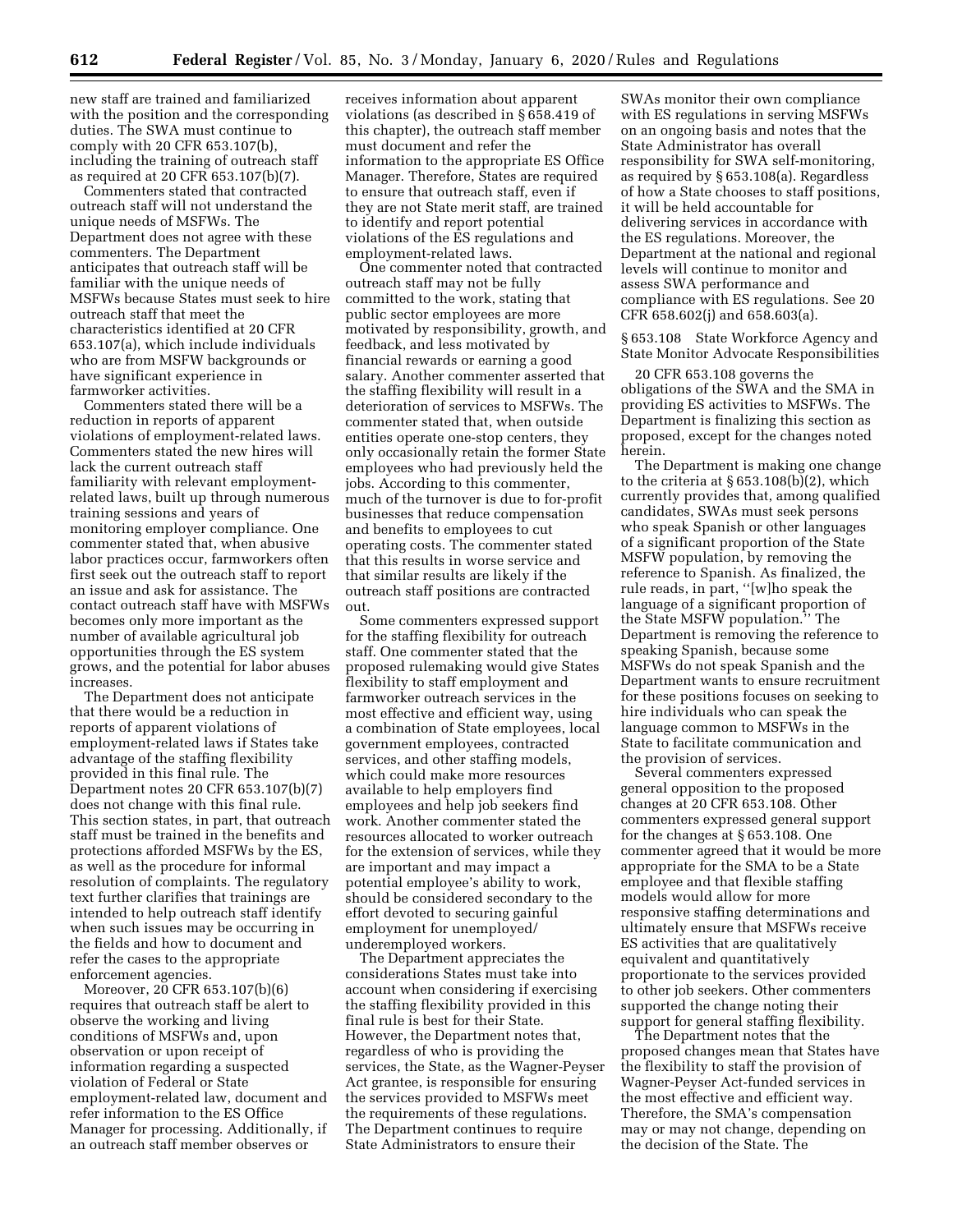new staff are trained and familiarized with the position and the corresponding duties. The SWA must continue to comply with 20 CFR 653.107(b), including the training of outreach staff as required at 20 CFR 653.107(b)(7).

Commenters stated that contracted outreach staff will not understand the unique needs of MSFWs. The Department does not agree with these commenters. The Department anticipates that outreach staff will be familiar with the unique needs of MSFWs because States must seek to hire outreach staff that meet the characteristics identified at 20 CFR 653.107(a), which include individuals who are from MSFW backgrounds or have significant experience in farmworker activities.

Commenters stated there will be a reduction in reports of apparent violations of employment-related laws. Commenters stated the new hires will lack the current outreach staff familiarity with relevant employmentrelated laws, built up through numerous training sessions and years of monitoring employer compliance. One commenter stated that, when abusive labor practices occur, farmworkers often first seek out the outreach staff to report an issue and ask for assistance. The contact outreach staff have with MSFWs becomes only more important as the number of available agricultural job opportunities through the ES system grows, and the potential for labor abuses increases.

The Department does not anticipate that there would be a reduction in reports of apparent violations of employment-related laws if States take advantage of the staffing flexibility provided in this final rule. The Department notes 20 CFR 653.107(b)(7) does not change with this final rule. This section states, in part, that outreach staff must be trained in the benefits and protections afforded MSFWs by the ES, as well as the procedure for informal resolution of complaints. The regulatory text further clarifies that trainings are intended to help outreach staff identify when such issues may be occurring in the fields and how to document and refer the cases to the appropriate enforcement agencies.

Moreover, 20 CFR 653.107(b)(6) requires that outreach staff be alert to observe the working and living conditions of MSFWs and, upon observation or upon receipt of information regarding a suspected violation of Federal or State employment-related law, document and refer information to the ES Office Manager for processing. Additionally, if an outreach staff member observes or

receives information about apparent violations (as described in § 658.419 of this chapter), the outreach staff member must document and refer the information to the appropriate ES Office Manager. Therefore, States are required to ensure that outreach staff, even if they are not State merit staff, are trained to identify and report potential violations of the ES regulations and employment-related laws.

One commenter noted that contracted outreach staff may not be fully committed to the work, stating that public sector employees are more motivated by responsibility, growth, and feedback, and less motivated by financial rewards or earning a good salary. Another commenter asserted that the staffing flexibility will result in a deterioration of services to MSFWs. The commenter stated that, when outside entities operate one-stop centers, they only occasionally retain the former State employees who had previously held the jobs. According to this commenter, much of the turnover is due to for-profit businesses that reduce compensation and benefits to employees to cut operating costs. The commenter stated that this results in worse service and that similar results are likely if the outreach staff positions are contracted out.

Some commenters expressed support for the staffing flexibility for outreach staff. One commenter stated that the proposed rulemaking would give States flexibility to staff employment and farmworker outreach services in the most effective and efficient way, using a combination of State employees, local government employees, contracted services, and other staffing models, which could make more resources available to help employers find employees and help job seekers find work. Another commenter stated the resources allocated to worker outreach for the extension of services, while they are important and may impact a potential employee's ability to work, should be considered secondary to the effort devoted to securing gainful employment for unemployed/ underemployed workers.

The Department appreciates the considerations States must take into account when considering if exercising the staffing flexibility provided in this final rule is best for their State. However, the Department notes that, regardless of who is providing the services, the State, as the Wagner-Peyser Act grantee, is responsible for ensuring the services provided to MSFWs meet the requirements of these regulations. The Department continues to require State Administrators to ensure their

SWAs monitor their own compliance with ES regulations in serving MSFWs on an ongoing basis and notes that the State Administrator has overall responsibility for SWA self-monitoring, as required by § 653.108(a). Regardless of how a State chooses to staff positions, it will be held accountable for delivering services in accordance with the ES regulations. Moreover, the Department at the national and regional levels will continue to monitor and assess SWA performance and compliance with ES regulations. See 20 CFR 658.602(j) and 658.603(a).

§ 653.108 State Workforce Agency and State Monitor Advocate Responsibilities

20 CFR 653.108 governs the obligations of the SWA and the SMA in providing ES activities to MSFWs. The Department is finalizing this section as proposed, except for the changes noted herein.

The Department is making one change to the criteria at  $\S 653.108(b)(2)$ , which currently provides that, among qualified candidates, SWAs must seek persons who speak Spanish or other languages of a significant proportion of the State MSFW population, by removing the reference to Spanish. As finalized, the rule reads, in part, ''[w]ho speak the language of a significant proportion of the State MSFW population.'' The Department is removing the reference to speaking Spanish, because some MSFWs do not speak Spanish and the Department wants to ensure recruitment for these positions focuses on seeking to hire individuals who can speak the language common to MSFWs in the State to facilitate communication and the provision of services.

Several commenters expressed general opposition to the proposed changes at 20 CFR 653.108. Other commenters expressed general support for the changes at § 653.108. One commenter agreed that it would be more appropriate for the SMA to be a State employee and that flexible staffing models would allow for more responsive staffing determinations and ultimately ensure that MSFWs receive ES activities that are qualitatively equivalent and quantitatively proportionate to the services provided to other job seekers. Other commenters supported the change noting their support for general staffing flexibility.

The Department notes that the proposed changes mean that States have the flexibility to staff the provision of Wagner-Peyser Act-funded services in the most effective and efficient way. Therefore, the SMA's compensation may or may not change, depending on the decision of the State. The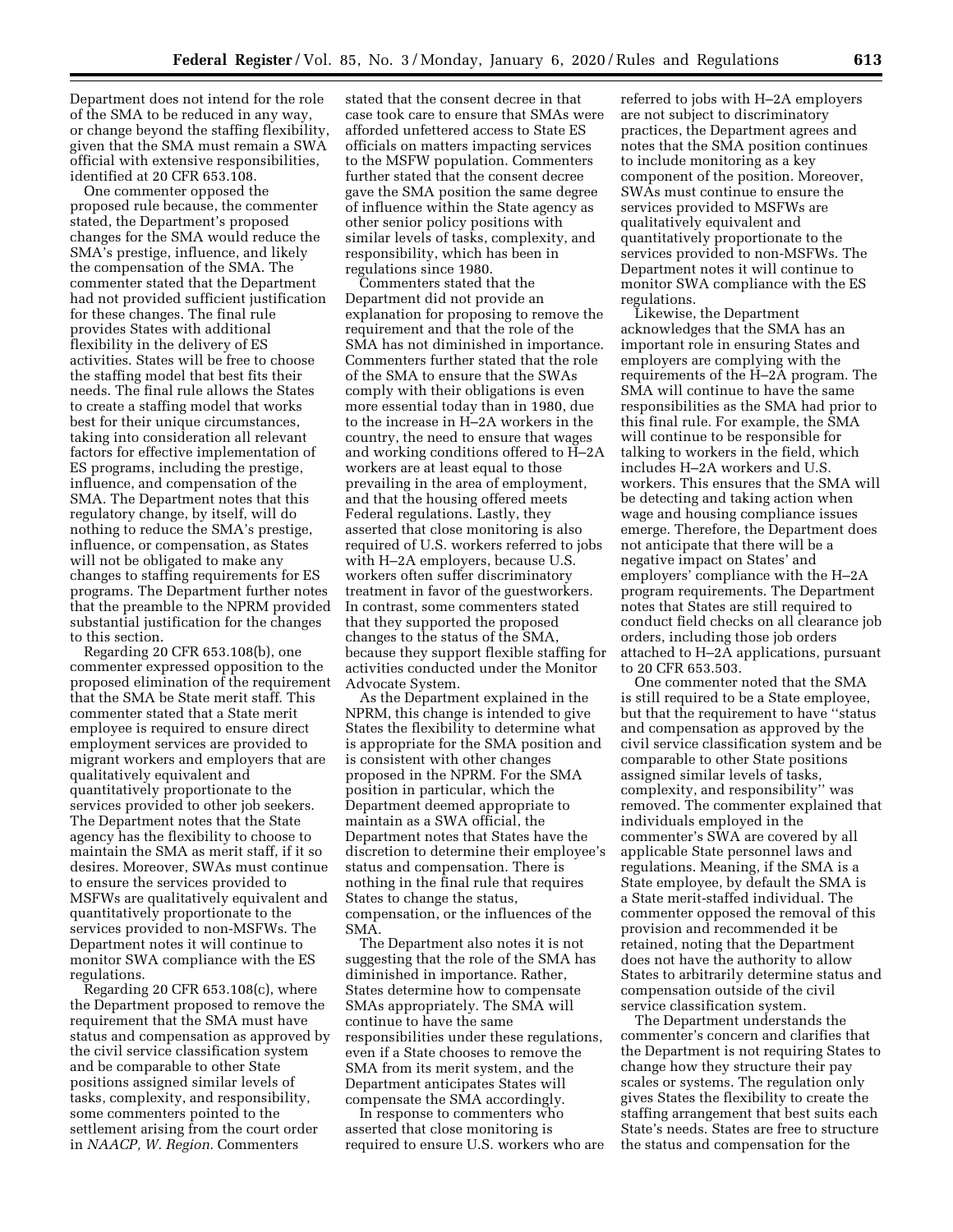Department does not intend for the role of the SMA to be reduced in any way, or change beyond the staffing flexibility, given that the SMA must remain a SWA official with extensive responsibilities, identified at 20 CFR 653.108.

One commenter opposed the proposed rule because, the commenter stated, the Department's proposed changes for the SMA would reduce the SMA's prestige, influence, and likely the compensation of the SMA. The commenter stated that the Department had not provided sufficient justification for these changes. The final rule provides States with additional flexibility in the delivery of ES activities. States will be free to choose the staffing model that best fits their needs. The final rule allows the States to create a staffing model that works best for their unique circumstances, taking into consideration all relevant factors for effective implementation of ES programs, including the prestige, influence, and compensation of the SMA. The Department notes that this regulatory change, by itself, will do nothing to reduce the SMA's prestige, influence, or compensation, as States will not be obligated to make any changes to staffing requirements for ES programs. The Department further notes that the preamble to the NPRM provided substantial justification for the changes to this section.

Regarding 20 CFR 653.108(b), one commenter expressed opposition to the proposed elimination of the requirement that the SMA be State merit staff. This commenter stated that a State merit employee is required to ensure direct employment services are provided to migrant workers and employers that are qualitatively equivalent and quantitatively proportionate to the services provided to other job seekers. The Department notes that the State agency has the flexibility to choose to maintain the SMA as merit staff, if it so desires. Moreover, SWAs must continue to ensure the services provided to MSFWs are qualitatively equivalent and quantitatively proportionate to the services provided to non-MSFWs. The Department notes it will continue to monitor SWA compliance with the ES regulations.

Regarding 20 CFR  $653.108(c)$ , where the Department proposed to remove the requirement that the SMA must have status and compensation as approved by the civil service classification system and be comparable to other State positions assigned similar levels of tasks, complexity, and responsibility, some commenters pointed to the settlement arising from the court order in *NAACP, W. Region.* Commenters

stated that the consent decree in that case took care to ensure that SMAs were afforded unfettered access to State ES officials on matters impacting services to the MSFW population. Commenters further stated that the consent decree gave the SMA position the same degree of influence within the State agency as other senior policy positions with similar levels of tasks, complexity, and responsibility, which has been in regulations since 1980.

Commenters stated that the Department did not provide an explanation for proposing to remove the requirement and that the role of the SMA has not diminished in importance. Commenters further stated that the role of the SMA to ensure that the SWAs comply with their obligations is even more essential today than in 1980, due to the increase in H–2A workers in the country, the need to ensure that wages and working conditions offered to H–2A workers are at least equal to those prevailing in the area of employment, and that the housing offered meets Federal regulations. Lastly, they asserted that close monitoring is also required of U.S. workers referred to jobs with H–2A employers, because U.S. workers often suffer discriminatory treatment in favor of the guestworkers. In contrast, some commenters stated that they supported the proposed changes to the status of the SMA, because they support flexible staffing for activities conducted under the Monitor Advocate System.

As the Department explained in the NPRM, this change is intended to give States the flexibility to determine what is appropriate for the SMA position and is consistent with other changes proposed in the NPRM. For the SMA position in particular, which the Department deemed appropriate to maintain as a SWA official, the Department notes that States have the discretion to determine their employee's status and compensation. There is nothing in the final rule that requires States to change the status, compensation, or the influences of the SMA.

The Department also notes it is not suggesting that the role of the SMA has diminished in importance. Rather, States determine how to compensate SMAs appropriately. The SMA will continue to have the same responsibilities under these regulations, even if a State chooses to remove the SMA from its merit system, and the Department anticipates States will compensate the SMA accordingly.

In response to commenters who asserted that close monitoring is required to ensure U.S. workers who are referred to jobs with H–2A employers are not subject to discriminatory practices, the Department agrees and notes that the SMA position continues to include monitoring as a key component of the position. Moreover, SWAs must continue to ensure the services provided to MSFWs are qualitatively equivalent and quantitatively proportionate to the services provided to non-MSFWs. The Department notes it will continue to monitor SWA compliance with the ES regulations.

Likewise, the Department acknowledges that the SMA has an important role in ensuring States and employers are complying with the requirements of the H–2A program. The SMA will continue to have the same responsibilities as the SMA had prior to this final rule. For example, the SMA will continue to be responsible for talking to workers in the field, which includes H–2A workers and U.S. workers. This ensures that the SMA will be detecting and taking action when wage and housing compliance issues emerge. Therefore, the Department does not anticipate that there will be a negative impact on States' and employers' compliance with the H–2A program requirements. The Department notes that States are still required to conduct field checks on all clearance job orders, including those job orders attached to H–2A applications, pursuant to 20 CFR 653.503.

One commenter noted that the SMA is still required to be a State employee, but that the requirement to have ''status and compensation as approved by the civil service classification system and be comparable to other State positions assigned similar levels of tasks, complexity, and responsibility'' was removed. The commenter explained that individuals employed in the commenter's SWA are covered by all applicable State personnel laws and regulations. Meaning, if the SMA is a State employee, by default the SMA is a State merit-staffed individual. The commenter opposed the removal of this provision and recommended it be retained, noting that the Department does not have the authority to allow States to arbitrarily determine status and compensation outside of the civil service classification system.

The Department understands the commenter's concern and clarifies that the Department is not requiring States to change how they structure their pay scales or systems. The regulation only gives States the flexibility to create the staffing arrangement that best suits each State's needs. States are free to structure the status and compensation for the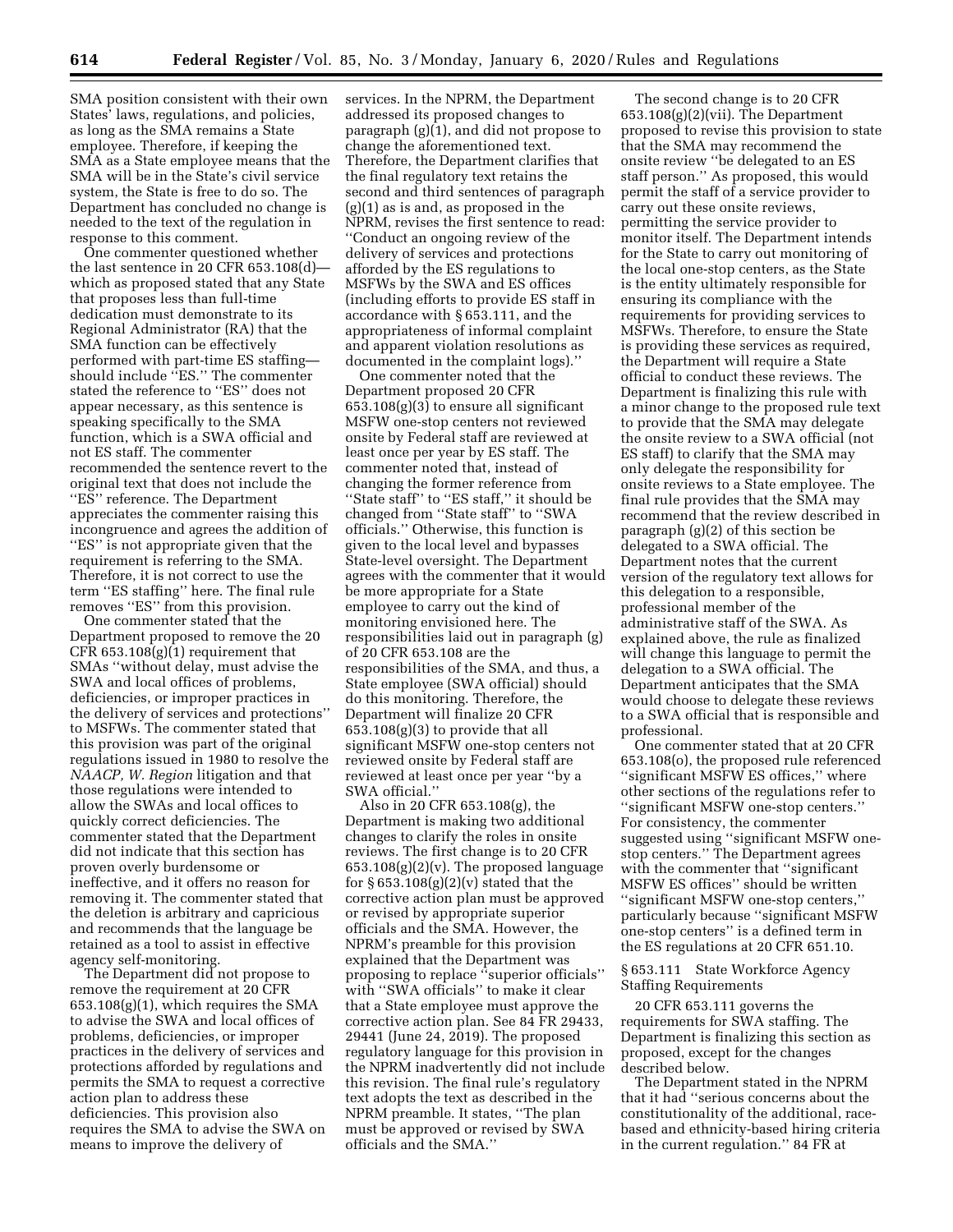SMA position consistent with their own States' laws, regulations, and policies, as long as the SMA remains a State employee. Therefore, if keeping the SMA as a State employee means that the SMA will be in the State's civil service system, the State is free to do so. The Department has concluded no change is needed to the text of the regulation in response to this comment.

One commenter questioned whether the last sentence in 20 CFR 653.108(d) which as proposed stated that any State that proposes less than full-time dedication must demonstrate to its Regional Administrator (RA) that the SMA function can be effectively performed with part-time ES staffing should include "ES." The commenter stated the reference to ''ES'' does not appear necessary, as this sentence is speaking specifically to the SMA function, which is a SWA official and not ES staff. The commenter recommended the sentence revert to the original text that does not include the "ES" reference. The Department appreciates the commenter raising this incongruence and agrees the addition of "ES" is not appropriate given that the requirement is referring to the SMA. Therefore, it is not correct to use the term ''ES staffing'' here. The final rule removes ''ES'' from this provision.

One commenter stated that the Department proposed to remove the 20  $CFR 653.108(g)(1)$  requirement that SMAs ''without delay, must advise the SWA and local offices of problems, deficiencies, or improper practices in the delivery of services and protections'' to MSFWs. The commenter stated that this provision was part of the original regulations issued in 1980 to resolve the *NAACP, W. Region* litigation and that those regulations were intended to allow the SWAs and local offices to quickly correct deficiencies. The commenter stated that the Department did not indicate that this section has proven overly burdensome or ineffective, and it offers no reason for removing it. The commenter stated that the deletion is arbitrary and capricious and recommends that the language be retained as a tool to assist in effective agency self-monitoring.

The Department did not propose to remove the requirement at 20 CFR 653.108(g)(1), which requires the SMA to advise the SWA and local offices of problems, deficiencies, or improper practices in the delivery of services and protections afforded by regulations and permits the SMA to request a corrective action plan to address these deficiencies. This provision also requires the SMA to advise the SWA on means to improve the delivery of

services. In the NPRM, the Department addressed its proposed changes to paragraph (g)(1), and did not propose to change the aforementioned text. Therefore, the Department clarifies that the final regulatory text retains the second and third sentences of paragraph (g)(1) as is and, as proposed in the NPRM, revises the first sentence to read: ''Conduct an ongoing review of the delivery of services and protections afforded by the ES regulations to MSFWs by the SWA and ES offices (including efforts to provide ES staff in accordance with § 653.111, and the appropriateness of informal complaint and apparent violation resolutions as documented in the complaint logs).''

One commenter noted that the Department proposed 20 CFR 653.108(g)(3) to ensure all significant MSFW one-stop centers not reviewed onsite by Federal staff are reviewed at least once per year by ES staff. The commenter noted that, instead of changing the former reference from "State staff" to "ES staff," it should be changed from ''State staff'' to ''SWA officials.'' Otherwise, this function is given to the local level and bypasses State-level oversight. The Department agrees with the commenter that it would be more appropriate for a State employee to carry out the kind of monitoring envisioned here. The responsibilities laid out in paragraph (g) of 20 CFR 653.108 are the responsibilities of the SMA, and thus, a State employee (SWA official) should do this monitoring. Therefore, the Department will finalize 20 CFR  $653.108(g)(3)$  to provide that all significant MSFW one-stop centers not reviewed onsite by Federal staff are reviewed at least once per year ''by a SWA official.''

Also in 20 CFR 653.108(g), the Department is making two additional changes to clarify the roles in onsite reviews. The first change is to 20 CFR  $653.108(g)(2)(v)$ . The proposed language for  $\S 653.108(g)(2)(v)$  stated that the corrective action plan must be approved or revised by appropriate superior officials and the SMA. However, the NPRM's preamble for this provision explained that the Department was proposing to replace ''superior officials'' with ''SWA officials'' to make it clear that a State employee must approve the corrective action plan. See 84 FR 29433, 29441 (June 24, 2019). The proposed regulatory language for this provision in the NPRM inadvertently did not include this revision. The final rule's regulatory text adopts the text as described in the NPRM preamble. It states, ''The plan must be approved or revised by SWA officials and the SMA.''

The second change is to 20 CFR  $653.108(g)(2)(vii)$ . The Department proposed to revise this provision to state that the SMA may recommend the onsite review ''be delegated to an ES staff person.'' As proposed, this would permit the staff of a service provider to carry out these onsite reviews, permitting the service provider to monitor itself. The Department intends for the State to carry out monitoring of the local one-stop centers, as the State is the entity ultimately responsible for ensuring its compliance with the requirements for providing services to MSFWs. Therefore, to ensure the State is providing these services as required, the Department will require a State official to conduct these reviews. The Department is finalizing this rule with a minor change to the proposed rule text to provide that the SMA may delegate the onsite review to a SWA official (not ES staff) to clarify that the SMA may only delegate the responsibility for onsite reviews to a State employee. The final rule provides that the SMA may recommend that the review described in paragraph (g)(2) of this section be delegated to a SWA official. The Department notes that the current version of the regulatory text allows for this delegation to a responsible, professional member of the administrative staff of the SWA. As explained above, the rule as finalized will change this language to permit the delegation to a SWA official. The Department anticipates that the SMA would choose to delegate these reviews to a SWA official that is responsible and professional.

One commenter stated that at 20 CFR 653.108(o), the proposed rule referenced ''significant MSFW ES offices,'' where other sections of the regulations refer to ''significant MSFW one-stop centers.'' For consistency, the commenter suggested using ''significant MSFW onestop centers.'' The Department agrees with the commenter that ''significant MSFW ES offices'' should be written ''significant MSFW one-stop centers,'' particularly because ''significant MSFW one-stop centers'' is a defined term in the ES regulations at 20 CFR 651.10.

§ 653.111 State Workforce Agency Staffing Requirements

20 CFR 653.111 governs the requirements for SWA staffing. The Department is finalizing this section as proposed, except for the changes described below.

The Department stated in the NPRM that it had ''serious concerns about the constitutionality of the additional, racebased and ethnicity-based hiring criteria in the current regulation.'' 84 FR at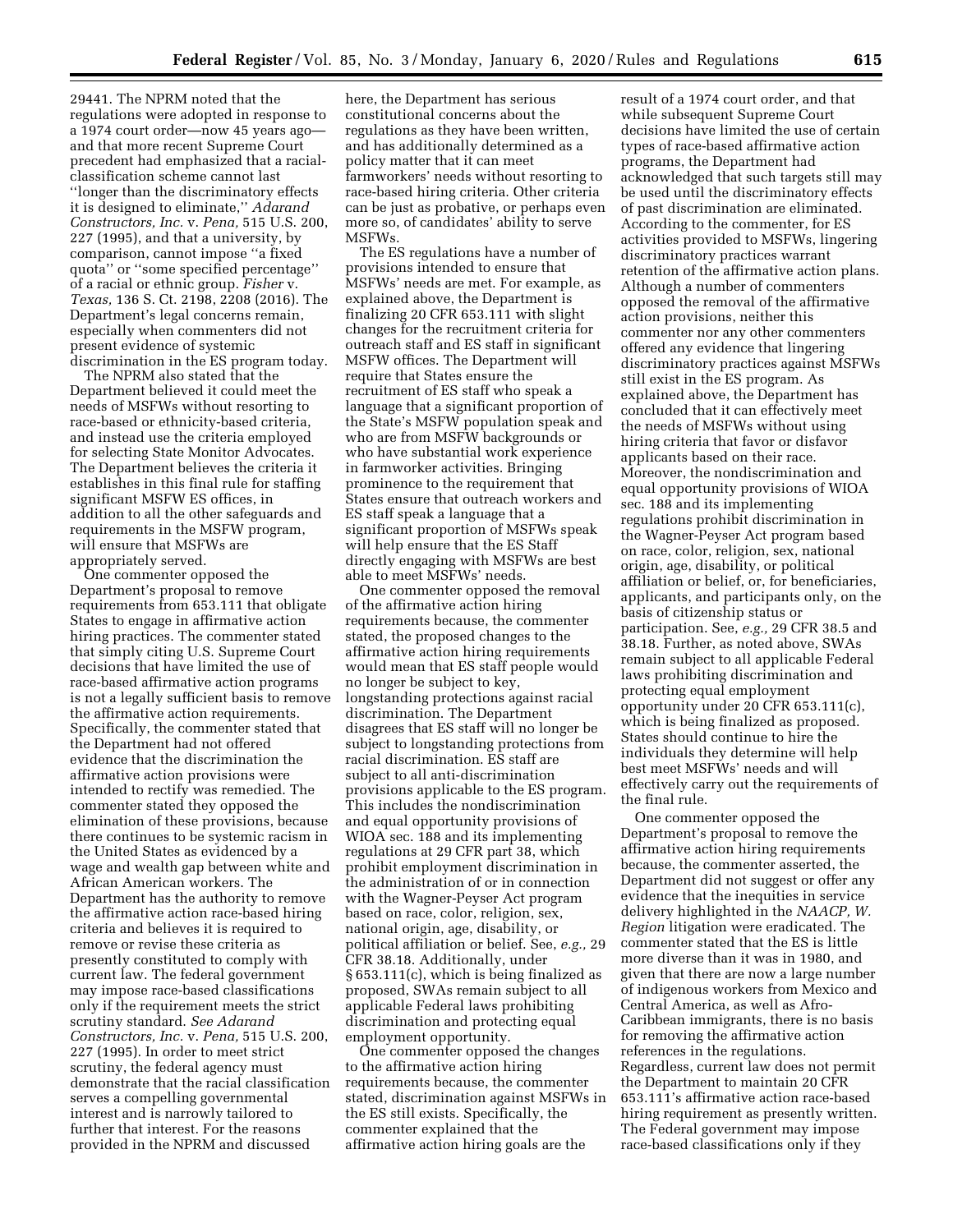29441. The NPRM noted that the regulations were adopted in response to a 1974 court order—now 45 years agoand that more recent Supreme Court precedent had emphasized that a racialclassification scheme cannot last ''longer than the discriminatory effects it is designed to eliminate,'' *Adarand Constructors, Inc.* v. *Pena,* 515 U.S. 200, 227 (1995), and that a university, by comparison, cannot impose ''a fixed quota'' or ''some specified percentage'' of a racial or ethnic group. *Fisher* v. *Texas,* 136 S. Ct. 2198, 2208 (2016). The Department's legal concerns remain, especially when commenters did not present evidence of systemic discrimination in the ES program today.

The NPRM also stated that the Department believed it could meet the needs of MSFWs without resorting to race-based or ethnicity-based criteria, and instead use the criteria employed for selecting State Monitor Advocates. The Department believes the criteria it establishes in this final rule for staffing significant MSFW ES offices, in addition to all the other safeguards and requirements in the MSFW program, will ensure that MSFWs are appropriately served.

One commenter opposed the Department's proposal to remove requirements from 653.111 that obligate States to engage in affirmative action hiring practices. The commenter stated that simply citing U.S. Supreme Court decisions that have limited the use of race-based affirmative action programs is not a legally sufficient basis to remove the affirmative action requirements. Specifically, the commenter stated that the Department had not offered evidence that the discrimination the affirmative action provisions were intended to rectify was remedied. The commenter stated they opposed the elimination of these provisions, because there continues to be systemic racism in the United States as evidenced by a wage and wealth gap between white and African American workers. The Department has the authority to remove the affirmative action race-based hiring criteria and believes it is required to remove or revise these criteria as presently constituted to comply with current law. The federal government may impose race-based classifications only if the requirement meets the strict scrutiny standard. *See Adarand Constructors, Inc.* v. *Pena,* 515 U.S. 200, 227 (1995). In order to meet strict scrutiny, the federal agency must demonstrate that the racial classification serves a compelling governmental interest and is narrowly tailored to further that interest. For the reasons provided in the NPRM and discussed

here, the Department has serious constitutional concerns about the regulations as they have been written, and has additionally determined as a policy matter that it can meet farmworkers' needs without resorting to race-based hiring criteria. Other criteria can be just as probative, or perhaps even more so, of candidates' ability to serve MSFWs.

The ES regulations have a number of provisions intended to ensure that MSFWs' needs are met. For example, as explained above, the Department is finalizing 20 CFR 653.111 with slight changes for the recruitment criteria for outreach staff and ES staff in significant MSFW offices. The Department will require that States ensure the recruitment of ES staff who speak a language that a significant proportion of the State's MSFW population speak and who are from MSFW backgrounds or who have substantial work experience in farmworker activities. Bringing prominence to the requirement that States ensure that outreach workers and ES staff speak a language that a significant proportion of MSFWs speak will help ensure that the ES Staff directly engaging with MSFWs are best able to meet MSFWs' needs.

One commenter opposed the removal of the affirmative action hiring requirements because, the commenter stated, the proposed changes to the affirmative action hiring requirements would mean that ES staff people would no longer be subject to key, longstanding protections against racial discrimination. The Department disagrees that ES staff will no longer be subject to longstanding protections from racial discrimination. ES staff are subject to all anti-discrimination provisions applicable to the ES program. This includes the nondiscrimination and equal opportunity provisions of WIOA sec. 188 and its implementing regulations at 29 CFR part 38, which prohibit employment discrimination in the administration of or in connection with the Wagner-Peyser Act program based on race, color, religion, sex, national origin, age, disability, or political affiliation or belief. See, *e.g.,* 29 CFR 38.18. Additionally, under § 653.111(c), which is being finalized as proposed, SWAs remain subject to all applicable Federal laws prohibiting discrimination and protecting equal employment opportunity.

One commenter opposed the changes to the affirmative action hiring requirements because, the commenter stated, discrimination against MSFWs in the ES still exists. Specifically, the commenter explained that the affirmative action hiring goals are the

result of a 1974 court order, and that while subsequent Supreme Court decisions have limited the use of certain types of race-based affirmative action programs, the Department had acknowledged that such targets still may be used until the discriminatory effects of past discrimination are eliminated. According to the commenter, for ES activities provided to MSFWs, lingering discriminatory practices warrant retention of the affirmative action plans. Although a number of commenters opposed the removal of the affirmative action provisions, neither this commenter nor any other commenters offered any evidence that lingering discriminatory practices against MSFWs still exist in the ES program. As explained above, the Department has concluded that it can effectively meet the needs of MSFWs without using hiring criteria that favor or disfavor applicants based on their race. Moreover, the nondiscrimination and equal opportunity provisions of WIOA sec. 188 and its implementing regulations prohibit discrimination in the Wagner-Peyser Act program based on race, color, religion, sex, national origin, age, disability, or political affiliation or belief, or, for beneficiaries, applicants, and participants only, on the basis of citizenship status or participation. See, *e.g.,* 29 CFR 38.5 and 38.18. Further, as noted above, SWAs remain subject to all applicable Federal laws prohibiting discrimination and protecting equal employment opportunity under 20 CFR 653.111(c), which is being finalized as proposed. States should continue to hire the individuals they determine will help best meet MSFWs' needs and will effectively carry out the requirements of the final rule.

One commenter opposed the Department's proposal to remove the affirmative action hiring requirements because, the commenter asserted, the Department did not suggest or offer any evidence that the inequities in service delivery highlighted in the *NAACP, W. Region* litigation were eradicated. The commenter stated that the ES is little more diverse than it was in 1980, and given that there are now a large number of indigenous workers from Mexico and Central America, as well as Afro-Caribbean immigrants, there is no basis for removing the affirmative action references in the regulations. Regardless, current law does not permit the Department to maintain 20 CFR 653.111's affirmative action race-based hiring requirement as presently written. The Federal government may impose race-based classifications only if they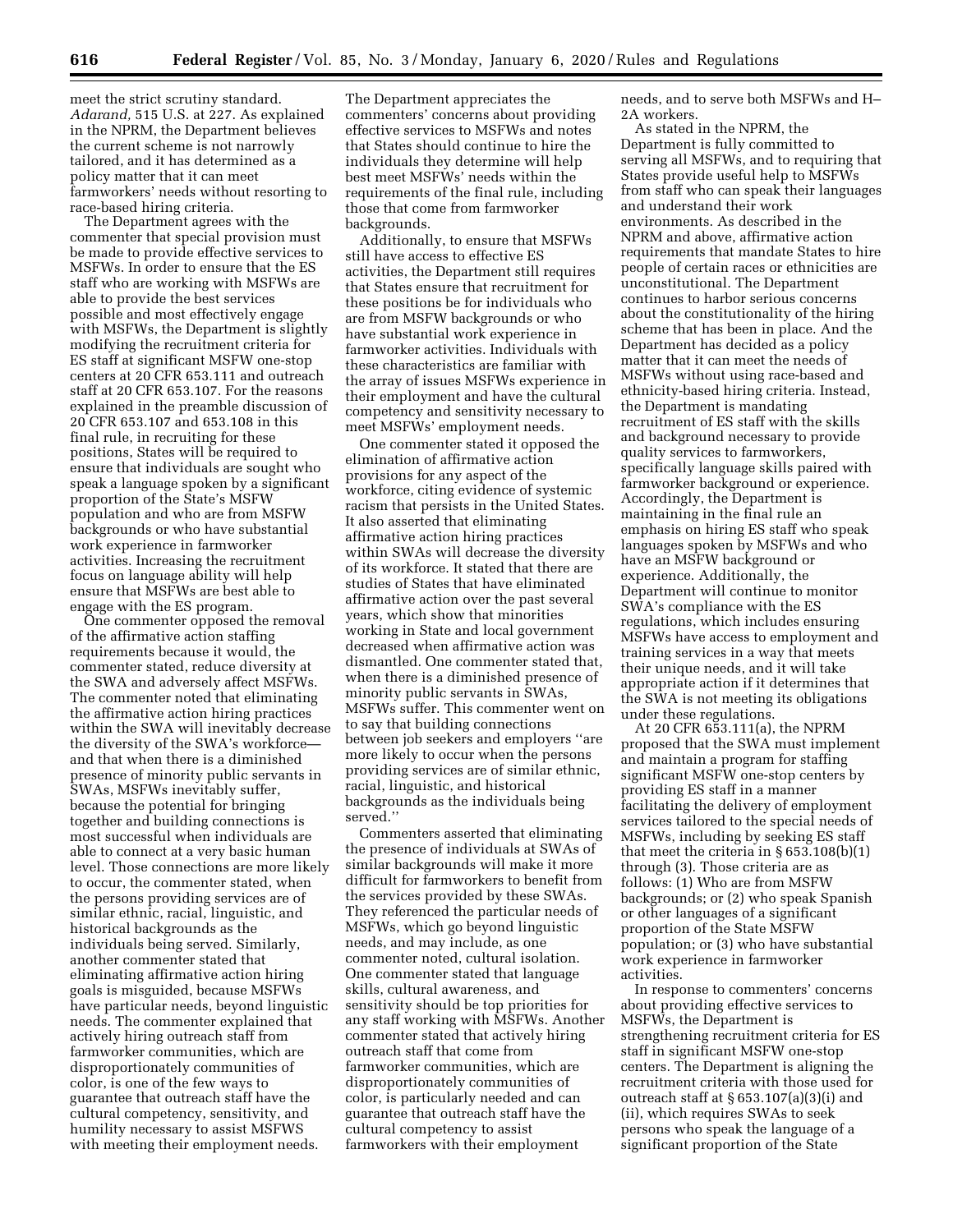meet the strict scrutiny standard. *Adarand,* 515 U.S. at 227. As explained in the NPRM, the Department believes the current scheme is not narrowly tailored, and it has determined as a policy matter that it can meet farmworkers' needs without resorting to race-based hiring criteria.

The Department agrees with the commenter that special provision must be made to provide effective services to MSFWs. In order to ensure that the ES staff who are working with MSFWs are able to provide the best services possible and most effectively engage with MSFWs, the Department is slightly modifying the recruitment criteria for ES staff at significant MSFW one-stop centers at 20 CFR 653.111 and outreach staff at 20 CFR 653.107. For the reasons explained in the preamble discussion of 20 CFR 653.107 and 653.108 in this final rule, in recruiting for these positions, States will be required to ensure that individuals are sought who speak a language spoken by a significant proportion of the State's MSFW population and who are from MSFW backgrounds or who have substantial work experience in farmworker activities. Increasing the recruitment focus on language ability will help ensure that MSFWs are best able to engage with the ES program.

One commenter opposed the removal of the affirmative action staffing requirements because it would, the commenter stated, reduce diversity at the SWA and adversely affect MSFWs. The commenter noted that eliminating the affirmative action hiring practices within the SWA will inevitably decrease the diversity of the SWA's workforceand that when there is a diminished presence of minority public servants in SWAs, MSFWs inevitably suffer, because the potential for bringing together and building connections is most successful when individuals are able to connect at a very basic human level. Those connections are more likely to occur, the commenter stated, when the persons providing services are of similar ethnic, racial, linguistic, and historical backgrounds as the individuals being served. Similarly, another commenter stated that eliminating affirmative action hiring goals is misguided, because MSFWs have particular needs, beyond linguistic needs. The commenter explained that actively hiring outreach staff from farmworker communities, which are disproportionately communities of color, is one of the few ways to guarantee that outreach staff have the cultural competency, sensitivity, and humility necessary to assist MSFWS with meeting their employment needs.

The Department appreciates the commenters' concerns about providing effective services to MSFWs and notes that States should continue to hire the individuals they determine will help best meet MSFWs' needs within the requirements of the final rule, including those that come from farmworker backgrounds.

Additionally, to ensure that MSFWs still have access to effective ES activities, the Department still requires that States ensure that recruitment for these positions be for individuals who are from MSFW backgrounds or who have substantial work experience in farmworker activities. Individuals with these characteristics are familiar with the array of issues MSFWs experience in their employment and have the cultural competency and sensitivity necessary to meet MSFWs' employment needs.

One commenter stated it opposed the elimination of affirmative action provisions for any aspect of the workforce, citing evidence of systemic racism that persists in the United States. It also asserted that eliminating affirmative action hiring practices within SWAs will decrease the diversity of its workforce. It stated that there are studies of States that have eliminated affirmative action over the past several years, which show that minorities working in State and local government decreased when affirmative action was dismantled. One commenter stated that, when there is a diminished presence of minority public servants in SWAs, MSFWs suffer. This commenter went on to say that building connections between job seekers and employers ''are more likely to occur when the persons providing services are of similar ethnic, racial, linguistic, and historical backgrounds as the individuals being served.''

Commenters asserted that eliminating the presence of individuals at SWAs of similar backgrounds will make it more difficult for farmworkers to benefit from the services provided by these SWAs. They referenced the particular needs of MSFWs, which go beyond linguistic needs, and may include, as one commenter noted, cultural isolation. One commenter stated that language skills, cultural awareness, and sensitivity should be top priorities for any staff working with MSFWs. Another commenter stated that actively hiring outreach staff that come from farmworker communities, which are disproportionately communities of color, is particularly needed and can guarantee that outreach staff have the cultural competency to assist farmworkers with their employment

needs, and to serve both MSFWs and H– 2A workers.

As stated in the NPRM, the Department is fully committed to serving all MSFWs, and to requiring that States provide useful help to MSFWs from staff who can speak their languages and understand their work environments. As described in the NPRM and above, affirmative action requirements that mandate States to hire people of certain races or ethnicities are unconstitutional. The Department continues to harbor serious concerns about the constitutionality of the hiring scheme that has been in place. And the Department has decided as a policy matter that it can meet the needs of MSFWs without using race-based and ethnicity-based hiring criteria. Instead, the Department is mandating recruitment of ES staff with the skills and background necessary to provide quality services to farmworkers, specifically language skills paired with farmworker background or experience. Accordingly, the Department is maintaining in the final rule an emphasis on hiring ES staff who speak languages spoken by MSFWs and who have an MSFW background or experience. Additionally, the Department will continue to monitor SWA's compliance with the ES regulations, which includes ensuring MSFWs have access to employment and training services in a way that meets their unique needs, and it will take appropriate action if it determines that the SWA is not meeting its obligations under these regulations.

At 20 CFR 653.111(a), the NPRM proposed that the SWA must implement and maintain a program for staffing significant MSFW one-stop centers by providing ES staff in a manner facilitating the delivery of employment services tailored to the special needs of MSFWs, including by seeking ES staff that meet the criteria in § 653.108(b)(1) through (3). Those criteria are as follows: (1) Who are from MSFW backgrounds; or (2) who speak Spanish or other languages of a significant proportion of the State MSFW population; or (3) who have substantial work experience in farmworker activities.

In response to commenters' concerns about providing effective services to MSFWs, the Department is strengthening recruitment criteria for ES staff in significant MSFW one-stop centers. The Department is aligning the recruitment criteria with those used for outreach staff at § 653.107(a)(3)(i) and (ii), which requires SWAs to seek persons who speak the language of a significant proportion of the State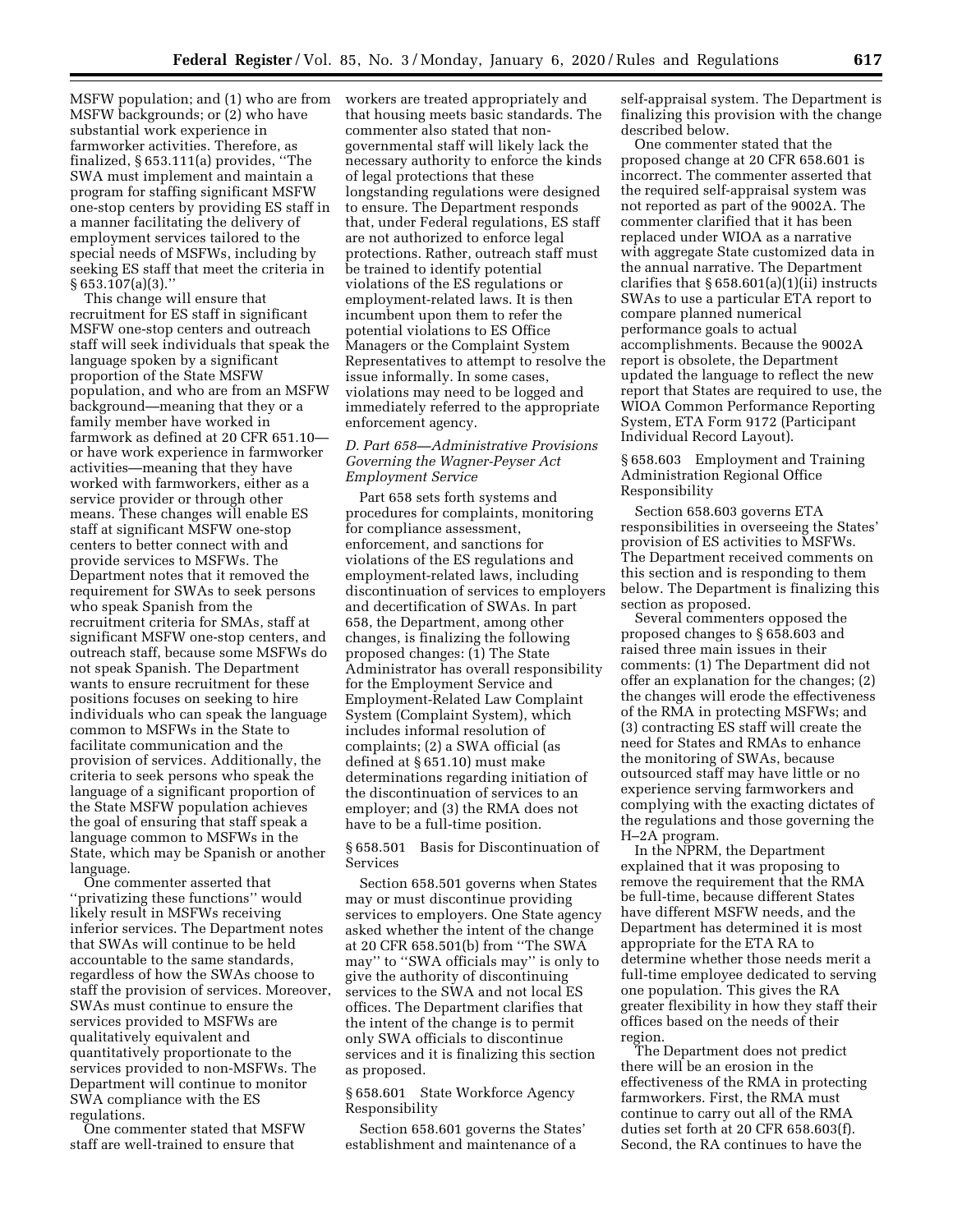MSFW population; and (1) who are from MSFW backgrounds; or (2) who have substantial work experience in farmworker activities. Therefore, as finalized, § 653.111(a) provides, ''The SWA must implement and maintain a program for staffing significant MSFW one-stop centers by providing ES staff in a manner facilitating the delivery of employment services tailored to the special needs of MSFWs, including by seeking ES staff that meet the criteria in § 653.107(a)(3).''

This change will ensure that recruitment for ES staff in significant MSFW one-stop centers and outreach staff will seek individuals that speak the language spoken by a significant proportion of the State MSFW population, and who are from an MSFW background—meaning that they or a family member have worked in farmwork as defined at 20 CFR 651.10 or have work experience in farmworker activities—meaning that they have worked with farmworkers, either as a service provider or through other means. These changes will enable ES staff at significant MSFW one-stop centers to better connect with and provide services to MSFWs. The Department notes that it removed the requirement for SWAs to seek persons who speak Spanish from the recruitment criteria for SMAs, staff at significant MSFW one-stop centers, and outreach staff, because some MSFWs do not speak Spanish. The Department wants to ensure recruitment for these positions focuses on seeking to hire individuals who can speak the language common to MSFWs in the State to facilitate communication and the provision of services. Additionally, the criteria to seek persons who speak the language of a significant proportion of the State MSFW population achieves the goal of ensuring that staff speak a language common to MSFWs in the State, which may be Spanish or another language.

One commenter asserted that ''privatizing these functions'' would likely result in MSFWs receiving inferior services. The Department notes that SWAs will continue to be held accountable to the same standards, regardless of how the SWAs choose to staff the provision of services. Moreover, SWAs must continue to ensure the services provided to MSFWs are qualitatively equivalent and quantitatively proportionate to the services provided to non-MSFWs. The Department will continue to monitor SWA compliance with the ES regulations.

One commenter stated that MSFW staff are well-trained to ensure that

workers are treated appropriately and that housing meets basic standards. The commenter also stated that nongovernmental staff will likely lack the necessary authority to enforce the kinds of legal protections that these longstanding regulations were designed to ensure. The Department responds that, under Federal regulations, ES staff are not authorized to enforce legal protections. Rather, outreach staff must be trained to identify potential violations of the ES regulations or employment-related laws. It is then incumbent upon them to refer the potential violations to ES Office Managers or the Complaint System Representatives to attempt to resolve the issue informally. In some cases, violations may need to be logged and immediately referred to the appropriate enforcement agency.

### *D. Part 658—Administrative Provisions Governing the Wagner-Peyser Act Employment Service*

Part 658 sets forth systems and procedures for complaints, monitoring for compliance assessment, enforcement, and sanctions for violations of the ES regulations and employment-related laws, including discontinuation of services to employers and decertification of SWAs. In part 658, the Department, among other changes, is finalizing the following proposed changes: (1) The State Administrator has overall responsibility for the Employment Service and Employment-Related Law Complaint System (Complaint System), which includes informal resolution of complaints; (2) a SWA official (as defined at § 651.10) must make determinations regarding initiation of the discontinuation of services to an employer; and (3) the RMA does not have to be a full-time position.

§ 658.501 Basis for Discontinuation of Services

Section 658.501 governs when States may or must discontinue providing services to employers. One State agency asked whether the intent of the change at 20 CFR 658.501(b) from ''The SWA may'' to ''SWA officials may'' is only to give the authority of discontinuing services to the SWA and not local ES offices. The Department clarifies that the intent of the change is to permit only SWA officials to discontinue services and it is finalizing this section as proposed.

### § 658.601 State Workforce Agency Responsibility

Section 658.601 governs the States' establishment and maintenance of a

self-appraisal system. The Department is finalizing this provision with the change described below.

One commenter stated that the proposed change at 20 CFR 658.601 is incorrect. The commenter asserted that the required self-appraisal system was not reported as part of the 9002A. The commenter clarified that it has been replaced under WIOA as a narrative with aggregate State customized data in the annual narrative. The Department clarifies that  $\S 658.601(a)(1)(ii)$  instructs SWAs to use a particular ETA report to compare planned numerical performance goals to actual accomplishments. Because the 9002A report is obsolete, the Department updated the language to reflect the new report that States are required to use, the WIOA Common Performance Reporting System, ETA Form 9172 (Participant Individual Record Layout).

§ 658.603 Employment and Training Administration Regional Office Responsibility

Section 658.603 governs ETA responsibilities in overseeing the States' provision of ES activities to MSFWs. The Department received comments on this section and is responding to them below. The Department is finalizing this section as proposed.

Several commenters opposed the proposed changes to § 658.603 and raised three main issues in their comments: (1) The Department did not offer an explanation for the changes; (2) the changes will erode the effectiveness of the RMA in protecting MSFWs; and (3) contracting ES staff will create the need for States and RMAs to enhance the monitoring of SWAs, because outsourced staff may have little or no experience serving farmworkers and complying with the exacting dictates of the regulations and those governing the H–2A program.

In the NPRM, the Department explained that it was proposing to remove the requirement that the RMA be full-time, because different States have different MSFW needs, and the Department has determined it is most appropriate for the ETA RA to determine whether those needs merit a full-time employee dedicated to serving one population. This gives the RA greater flexibility in how they staff their offices based on the needs of their region.

The Department does not predict there will be an erosion in the effectiveness of the RMA in protecting farmworkers. First, the RMA must continue to carry out all of the RMA duties set forth at 20 CFR 658.603(f). Second, the RA continues to have the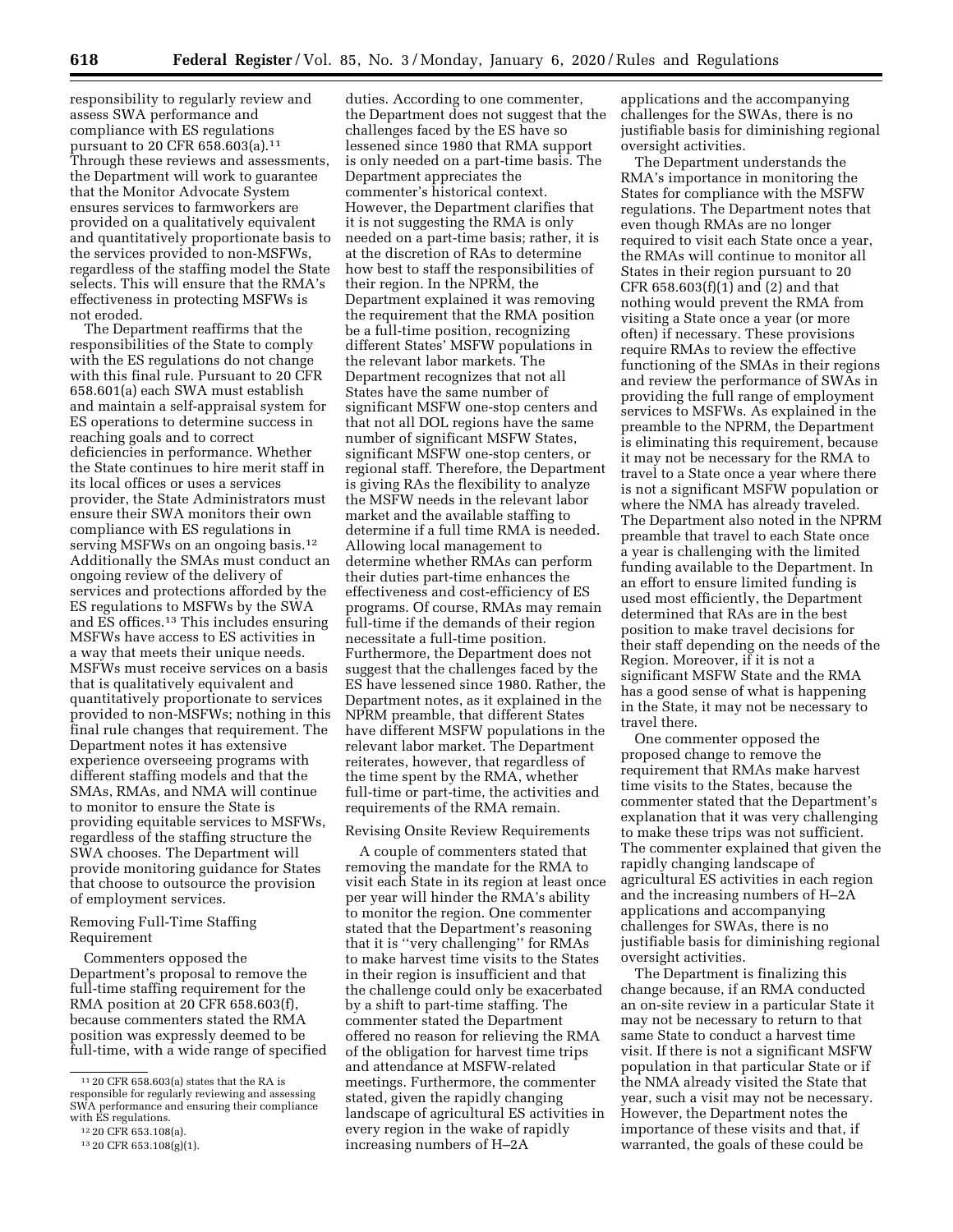responsibility to regularly review and assess SWA performance and compliance with ES regulations pursuant to 20 CFR 658.603(a).11 Through these reviews and assessments, the Department will work to guarantee that the Monitor Advocate System ensures services to farmworkers are provided on a qualitatively equivalent and quantitatively proportionate basis to the services provided to non-MSFWs, regardless of the staffing model the State selects. This will ensure that the RMA's effectiveness in protecting MSFWs is not eroded.

The Department reaffirms that the responsibilities of the State to comply with the ES regulations do not change with this final rule. Pursuant to 20 CFR 658.601(a) each SWA must establish and maintain a self-appraisal system for ES operations to determine success in reaching goals and to correct deficiencies in performance. Whether the State continues to hire merit staff in its local offices or uses a services provider, the State Administrators must ensure their SWA monitors their own compliance with ES regulations in serving MSFWs on an ongoing basis.<sup>12</sup> Additionally the SMAs must conduct an ongoing review of the delivery of services and protections afforded by the ES regulations to MSFWs by the SWA and ES offices.13 This includes ensuring MSFWs have access to ES activities in a way that meets their unique needs. MSFWs must receive services on a basis that is qualitatively equivalent and quantitatively proportionate to services provided to non-MSFWs; nothing in this final rule changes that requirement. The Department notes it has extensive experience overseeing programs with different staffing models and that the SMAs, RMAs, and NMA will continue to monitor to ensure the State is providing equitable services to MSFWs, regardless of the staffing structure the SWA chooses. The Department will provide monitoring guidance for States that choose to outsource the provision of employment services.

# Removing Full-Time Staffing Requirement

Commenters opposed the Department's proposal to remove the full-time staffing requirement for the RMA position at 20 CFR 658.603(f), because commenters stated the RMA position was expressly deemed to be full-time, with a wide range of specified

duties. According to one commenter, the Department does not suggest that the challenges faced by the ES have so lessened since 1980 that RMA support is only needed on a part-time basis. The Department appreciates the commenter's historical context. However, the Department clarifies that it is not suggesting the RMA is only needed on a part-time basis; rather, it is at the discretion of RAs to determine how best to staff the responsibilities of their region. In the NPRM, the Department explained it was removing the requirement that the RMA position be a full-time position, recognizing different States' MSFW populations in the relevant labor markets. The Department recognizes that not all States have the same number of significant MSFW one-stop centers and that not all DOL regions have the same number of significant MSFW States, significant MSFW one-stop centers, or regional staff. Therefore, the Department is giving RAs the flexibility to analyze the MSFW needs in the relevant labor market and the available staffing to determine if a full time RMA is needed. Allowing local management to determine whether RMAs can perform their duties part-time enhances the effectiveness and cost-efficiency of ES programs. Of course, RMAs may remain full-time if the demands of their region necessitate a full-time position. Furthermore, the Department does not suggest that the challenges faced by the ES have lessened since 1980. Rather, the Department notes, as it explained in the NPRM preamble, that different States have different MSFW populations in the relevant labor market. The Department reiterates, however, that regardless of the time spent by the RMA, whether full-time or part-time, the activities and requirements of the RMA remain.

#### Revising Onsite Review Requirements

A couple of commenters stated that removing the mandate for the RMA to visit each State in its region at least once per year will hinder the RMA's ability to monitor the region. One commenter stated that the Department's reasoning that it is ''very challenging'' for RMAs to make harvest time visits to the States in their region is insufficient and that the challenge could only be exacerbated by a shift to part-time staffing. The commenter stated the Department offered no reason for relieving the RMA of the obligation for harvest time trips and attendance at MSFW-related meetings. Furthermore, the commenter stated, given the rapidly changing landscape of agricultural ES activities in every region in the wake of rapidly increasing numbers of H–2A

applications and the accompanying challenges for the SWAs, there is no justifiable basis for diminishing regional oversight activities.

The Department understands the RMA's importance in monitoring the States for compliance with the MSFW regulations. The Department notes that even though RMAs are no longer required to visit each State once a year, the RMAs will continue to monitor all States in their region pursuant to 20 CFR 658.603(f)(1) and (2) and that nothing would prevent the RMA from visiting a State once a year (or more often) if necessary. These provisions require RMAs to review the effective functioning of the SMAs in their regions and review the performance of SWAs in providing the full range of employment services to MSFWs. As explained in the preamble to the NPRM, the Department is eliminating this requirement, because it may not be necessary for the RMA to travel to a State once a year where there is not a significant MSFW population or where the NMA has already traveled. The Department also noted in the NPRM preamble that travel to each State once a year is challenging with the limited funding available to the Department. In an effort to ensure limited funding is used most efficiently, the Department determined that RAs are in the best position to make travel decisions for their staff depending on the needs of the Region. Moreover, if it is not a significant MSFW State and the RMA has a good sense of what is happening in the State, it may not be necessary to travel there.

One commenter opposed the proposed change to remove the requirement that RMAs make harvest time visits to the States, because the commenter stated that the Department's explanation that it was very challenging to make these trips was not sufficient. The commenter explained that given the rapidly changing landscape of agricultural ES activities in each region and the increasing numbers of H–2A applications and accompanying challenges for SWAs, there is no justifiable basis for diminishing regional oversight activities.

The Department is finalizing this change because, if an RMA conducted an on-site review in a particular State it may not be necessary to return to that same State to conduct a harvest time visit. If there is not a significant MSFW population in that particular State or if the NMA already visited the State that year, such a visit may not be necessary. However, the Department notes the importance of these visits and that, if warranted, the goals of these could be

<sup>11</sup> 20 CFR 658.603(a) states that the RA is responsible for regularly reviewing and assessing SWA performance and ensuring their compliance with ES regulations. 12 20 CFR 653.108(a).

<sup>13</sup> 20 CFR 653.108(g)(1).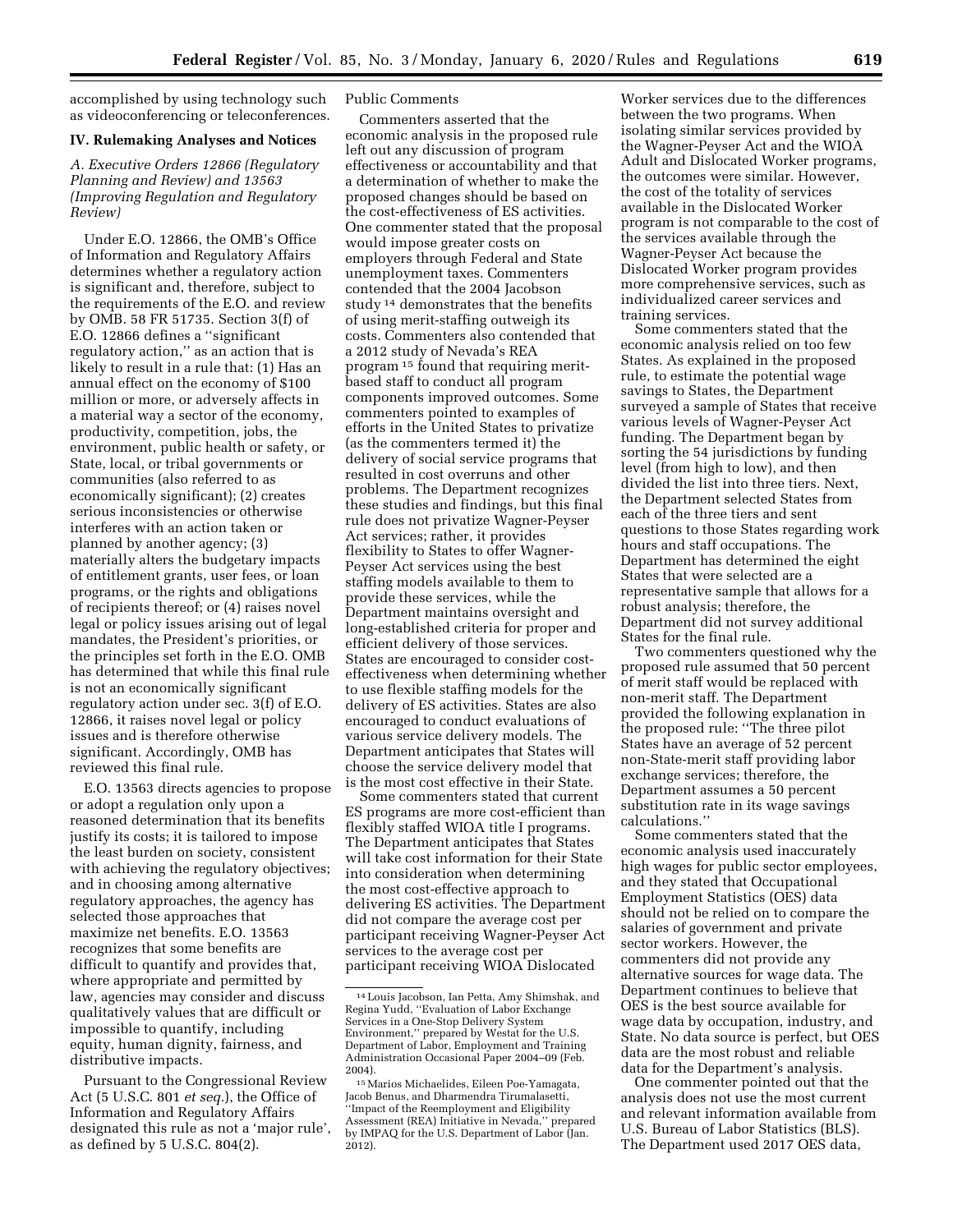accomplished by using technology such as videoconferencing or teleconferences.

#### **IV. Rulemaking Analyses and Notices**

### *A. Executive Orders 12866 (Regulatory Planning and Review) and 13563 (Improving Regulation and Regulatory Review)*

Under E.O. 12866, the OMB's Office of Information and Regulatory Affairs determines whether a regulatory action is significant and, therefore, subject to the requirements of the E.O. and review by OMB. 58 FR 51735. Section 3(f) of E.O. 12866 defines a ''significant regulatory action,'' as an action that is likely to result in a rule that: (1) Has an annual effect on the economy of \$100 million or more, or adversely affects in a material way a sector of the economy, productivity, competition, jobs, the environment, public health or safety, or State, local, or tribal governments or communities (also referred to as economically significant); (2) creates serious inconsistencies or otherwise interferes with an action taken or planned by another agency; (3) materially alters the budgetary impacts of entitlement grants, user fees, or loan programs, or the rights and obligations of recipients thereof; or (4) raises novel legal or policy issues arising out of legal mandates, the President's priorities, or the principles set forth in the E.O. OMB has determined that while this final rule is not an economically significant regulatory action under sec. 3(f) of E.O. 12866, it raises novel legal or policy issues and is therefore otherwise significant. Accordingly, OMB has reviewed this final rule.

E.O. 13563 directs agencies to propose or adopt a regulation only upon a reasoned determination that its benefits justify its costs; it is tailored to impose the least burden on society, consistent with achieving the regulatory objectives; and in choosing among alternative regulatory approaches, the agency has selected those approaches that maximize net benefits. E.O. 13563 recognizes that some benefits are difficult to quantify and provides that, where appropriate and permitted by law, agencies may consider and discuss qualitatively values that are difficult or impossible to quantify, including equity, human dignity, fairness, and distributive impacts.

Pursuant to the Congressional Review Act (5 U.S.C. 801 *et seq.*), the Office of Information and Regulatory Affairs designated this rule as not a 'major rule', as defined by 5 U.S.C. 804(2).

### Public Comments

Commenters asserted that the economic analysis in the proposed rule left out any discussion of program effectiveness or accountability and that a determination of whether to make the proposed changes should be based on the cost-effectiveness of ES activities. One commenter stated that the proposal would impose greater costs on employers through Federal and State unemployment taxes. Commenters contended that the 2004 Jacobson study 14 demonstrates that the benefits of using merit-staffing outweigh its costs. Commenters also contended that a 2012 study of Nevada's REA program 15 found that requiring meritbased staff to conduct all program components improved outcomes. Some commenters pointed to examples of efforts in the United States to privatize (as the commenters termed it) the delivery of social service programs that resulted in cost overruns and other problems. The Department recognizes these studies and findings, but this final rule does not privatize Wagner-Peyser Act services; rather, it provides flexibility to States to offer Wagner-Peyser Act services using the best staffing models available to them to provide these services, while the Department maintains oversight and long-established criteria for proper and efficient delivery of those services. States are encouraged to consider costeffectiveness when determining whether to use flexible staffing models for the delivery of ES activities. States are also encouraged to conduct evaluations of various service delivery models. The Department anticipates that States will choose the service delivery model that is the most cost effective in their State.

Some commenters stated that current ES programs are more cost-efficient than flexibly staffed WIOA title I programs. The Department anticipates that States will take cost information for their State into consideration when determining the most cost-effective approach to delivering ES activities. The Department did not compare the average cost per participant receiving Wagner-Peyser Act services to the average cost per participant receiving WIOA Dislocated

Worker services due to the differences between the two programs. When isolating similar services provided by the Wagner-Peyser Act and the WIOA Adult and Dislocated Worker programs, the outcomes were similar. However, the cost of the totality of services available in the Dislocated Worker program is not comparable to the cost of the services available through the Wagner-Peyser Act because the Dislocated Worker program provides more comprehensive services, such as individualized career services and training services.

Some commenters stated that the economic analysis relied on too few States. As explained in the proposed rule, to estimate the potential wage savings to States, the Department surveyed a sample of States that receive various levels of Wagner-Peyser Act funding. The Department began by sorting the 54 jurisdictions by funding level (from high to low), and then divided the list into three tiers. Next, the Department selected States from each of the three tiers and sent questions to those States regarding work hours and staff occupations. The Department has determined the eight States that were selected are a representative sample that allows for a robust analysis; therefore, the Department did not survey additional States for the final rule.

Two commenters questioned why the proposed rule assumed that 50 percent of merit staff would be replaced with non-merit staff. The Department provided the following explanation in the proposed rule: ''The three pilot States have an average of 52 percent non-State-merit staff providing labor exchange services; therefore, the Department assumes a 50 percent substitution rate in its wage savings calculations.''

Some commenters stated that the economic analysis used inaccurately high wages for public sector employees, and they stated that Occupational Employment Statistics (OES) data should not be relied on to compare the salaries of government and private sector workers. However, the commenters did not provide any alternative sources for wage data. The Department continues to believe that OES is the best source available for wage data by occupation, industry, and State. No data source is perfect, but OES data are the most robust and reliable data for the Department's analysis.

One commenter pointed out that the analysis does not use the most current and relevant information available from U.S. Bureau of Labor Statistics (BLS). The Department used 2017 OES data,

<sup>14</sup>Louis Jacobson, Ian Petta, Amy Shimshak, and Regina Yudd, ''Evaluation of Labor Exchange Services in a One-Stop Delivery System Environment,'' prepared by Westat for the U.S. Department of Labor, Employment and Training Administration Occasional Paper 2004–09 (Feb. 2004).

<sup>15</sup>Marios Michaelides, Eileen Poe-Yamagata, Jacob Benus, and Dharmendra Tirumalasetti, 'Impact of the Reemployment and Eligibility Assessment (REA) Initiative in Nevada,'' prepared by IMPAQ for the U.S. Department of Labor (Jan. 2012).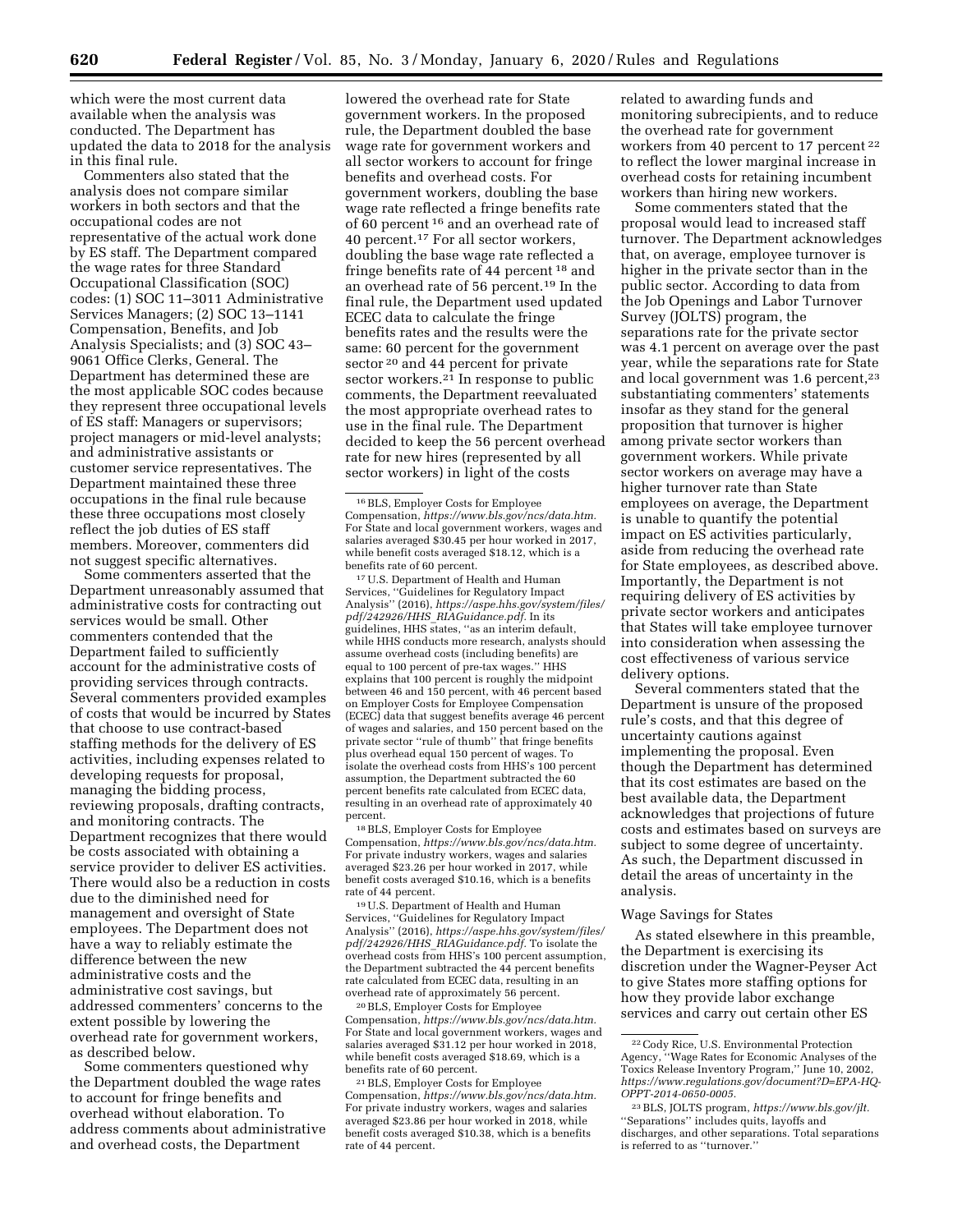which were the most current data available when the analysis was conducted. The Department has updated the data to 2018 for the analysis in this final rule.

Commenters also stated that the analysis does not compare similar workers in both sectors and that the occupational codes are not representative of the actual work done by ES staff. The Department compared the wage rates for three Standard Occupational Classification (SOC) codes: (1) SOC 11–3011 Administrative Services Managers; (2) SOC 13–1141 Compensation, Benefits, and Job Analysis Specialists; and (3) SOC 43– 9061 Office Clerks, General. The Department has determined these are the most applicable SOC codes because they represent three occupational levels of ES staff: Managers or supervisors; project managers or mid-level analysts; and administrative assistants or customer service representatives. The Department maintained these three occupations in the final rule because these three occupations most closely reflect the job duties of ES staff members. Moreover, commenters did not suggest specific alternatives.

Some commenters asserted that the Department unreasonably assumed that administrative costs for contracting out services would be small. Other commenters contended that the Department failed to sufficiently account for the administrative costs of providing services through contracts. Several commenters provided examples of costs that would be incurred by States that choose to use contract-based staffing methods for the delivery of ES activities, including expenses related to developing requests for proposal, managing the bidding process, reviewing proposals, drafting contracts, and monitoring contracts. The Department recognizes that there would be costs associated with obtaining a service provider to deliver ES activities. There would also be a reduction in costs due to the diminished need for management and oversight of State employees. The Department does not have a way to reliably estimate the difference between the new administrative costs and the administrative cost savings, but addressed commenters' concerns to the extent possible by lowering the overhead rate for government workers, as described below.

Some commenters questioned why the Department doubled the wage rates to account for fringe benefits and overhead without elaboration. To address comments about administrative and overhead costs, the Department

lowered the overhead rate for State government workers. In the proposed rule, the Department doubled the base wage rate for government workers and all sector workers to account for fringe benefits and overhead costs. For government workers, doubling the base wage rate reflected a fringe benefits rate of 60 percent 16 and an overhead rate of 40 percent.<sup>17</sup> For all sector workers, doubling the base wage rate reflected a fringe benefits rate of 44 percent 18 and an overhead rate of 56 percent.19 In the final rule, the Department used updated ECEC data to calculate the fringe benefits rates and the results were the same: 60 percent for the government sector 20 and 44 percent for private sector workers.<sup>21</sup> In response to public comments, the Department reevaluated the most appropriate overhead rates to use in the final rule. The Department decided to keep the 56 percent overhead rate for new hires (represented by all sector workers) in light of the costs

17U.S. Department of Health and Human Services, ''Guidelines for Regulatory Impact Analysis'' (2016), *[https://aspe.hhs.gov/system/files/](https://aspe.hhs.gov/system/files/pdf/242926/HHS_RIAGuidance.pdf) pdf/242926/HHS*\_*[RIAGuidance.pdf.](https://aspe.hhs.gov/system/files/pdf/242926/HHS_RIAGuidance.pdf)* In its guidelines, HHS states, ''as an interim default, while HHS conducts more research, analysts should assume overhead costs (including benefits) are equal to 100 percent of pre-tax wages.'' HHS explains that 100 percent is roughly the midpoint between 46 and 150 percent, with 46 percent based on Employer Costs for Employee Compensation (ECEC) data that suggest benefits average 46 percent of wages and salaries, and 150 percent based on the private sector ''rule of thumb'' that fringe benefits plus overhead equal 150 percent of wages. To isolate the overhead costs from HHS's 100 percent assumption, the Department subtracted the 60 percent benefits rate calculated from ECEC data, resulting in an overhead rate of approximately 40 percent.

18BLS, Employer Costs for Employee Compensation, *[https://www.bls.gov/ncs/data.htm.](https://www.bls.gov/ncs/data.htm)*  For private industry workers, wages and salaries averaged \$23.26 per hour worked in 2017, while benefit costs averaged \$10.16, which is a benefits rate of 44 percent.

19U.S. Department of Health and Human Services, ''Guidelines for Regulatory Impact Analysis'' (2016), *[https://aspe.hhs.gov/system/files/](https://aspe.hhs.gov/system/files/pdf/242926/HHS_RIAGuidance.pdf) pdf/242926/HHS*\_*[RIAGuidance.pdf.](https://aspe.hhs.gov/system/files/pdf/242926/HHS_RIAGuidance.pdf)* To isolate the overhead costs from HHS's 100 percent assumption, the Department subtracted the 44 percent benefits rate calculated from ECEC data, resulting in an overhead rate of approximately 56 percent.

20BLS, Employer Costs for Employee Compensation, *[https://www.bls.gov/ncs/data.htm.](https://www.bls.gov/ncs/data.htm)*  For State and local government workers, wages and salaries averaged \$31.12 per hour worked in 2018, while benefit costs averaged \$18.69, which is a benefits rate of 60 percent.

21BLS, Employer Costs for Employee Compensation, *[https://www.bls.gov/ncs/data.htm.](https://www.bls.gov/ncs/data.htm)*  For private industry workers, wages and salaries averaged \$23.86 per hour worked in 2018, while benefit costs averaged \$10.38, which is a benefits rate of 44 percent.

related to awarding funds and monitoring subrecipients, and to reduce the overhead rate for government workers from 40 percent to 17 percent 22 to reflect the lower marginal increase in overhead costs for retaining incumbent workers than hiring new workers.

Some commenters stated that the proposal would lead to increased staff turnover. The Department acknowledges that, on average, employee turnover is higher in the private sector than in the public sector. According to data from the Job Openings and Labor Turnover Survey (JOLTS) program, the separations rate for the private sector was 4.1 percent on average over the past year, while the separations rate for State and local government was 1.6 percent,<sup>23</sup> substantiating commenters' statements insofar as they stand for the general proposition that turnover is higher among private sector workers than government workers. While private sector workers on average may have a higher turnover rate than State employees on average, the Department is unable to quantify the potential impact on ES activities particularly, aside from reducing the overhead rate for State employees, as described above. Importantly, the Department is not requiring delivery of ES activities by private sector workers and anticipates that States will take employee turnover into consideration when assessing the cost effectiveness of various service delivery options.

Several commenters stated that the Department is unsure of the proposed rule's costs, and that this degree of uncertainty cautions against implementing the proposal. Even though the Department has determined that its cost estimates are based on the best available data, the Department acknowledges that projections of future costs and estimates based on surveys are subject to some degree of uncertainty. As such, the Department discussed in detail the areas of uncertainty in the analysis.

### Wage Savings for States

As stated elsewhere in this preamble, the Department is exercising its discretion under the Wagner-Peyser Act to give States more staffing options for how they provide labor exchange services and carry out certain other ES

<sup>16</sup>BLS, Employer Costs for Employee Compensation, *[https://www.bls.gov/ncs/data.htm.](https://www.bls.gov/ncs/data.htm)*  For State and local government workers, wages and salaries averaged \$30.45 per hour worked in 2017, while benefit costs averaged \$18.12, which is a benefits rate of 60 percent.

<sup>22</sup>Cody Rice, U.S. Environmental Protection Agency, ''Wage Rates for Economic Analyses of the Toxics Release Inventory Program,'' June 10, 2002, *[https://www.regulations.gov/document?D=EPA-HQ-](https://www.regulations.gov/document?D=EPA-HQ-OPPT-2014-0650-0005)[OPPT-2014-0650-0005.](https://www.regulations.gov/document?D=EPA-HQ-OPPT-2014-0650-0005)* 

<sup>23</sup>BLS, JOLTS program, *[https://www.bls.gov/jlt.](https://www.bls.gov/jlt)*  ''Separations'' includes quits, layoffs and discharges, and other separations. Total separations is referred to as ''turnover.''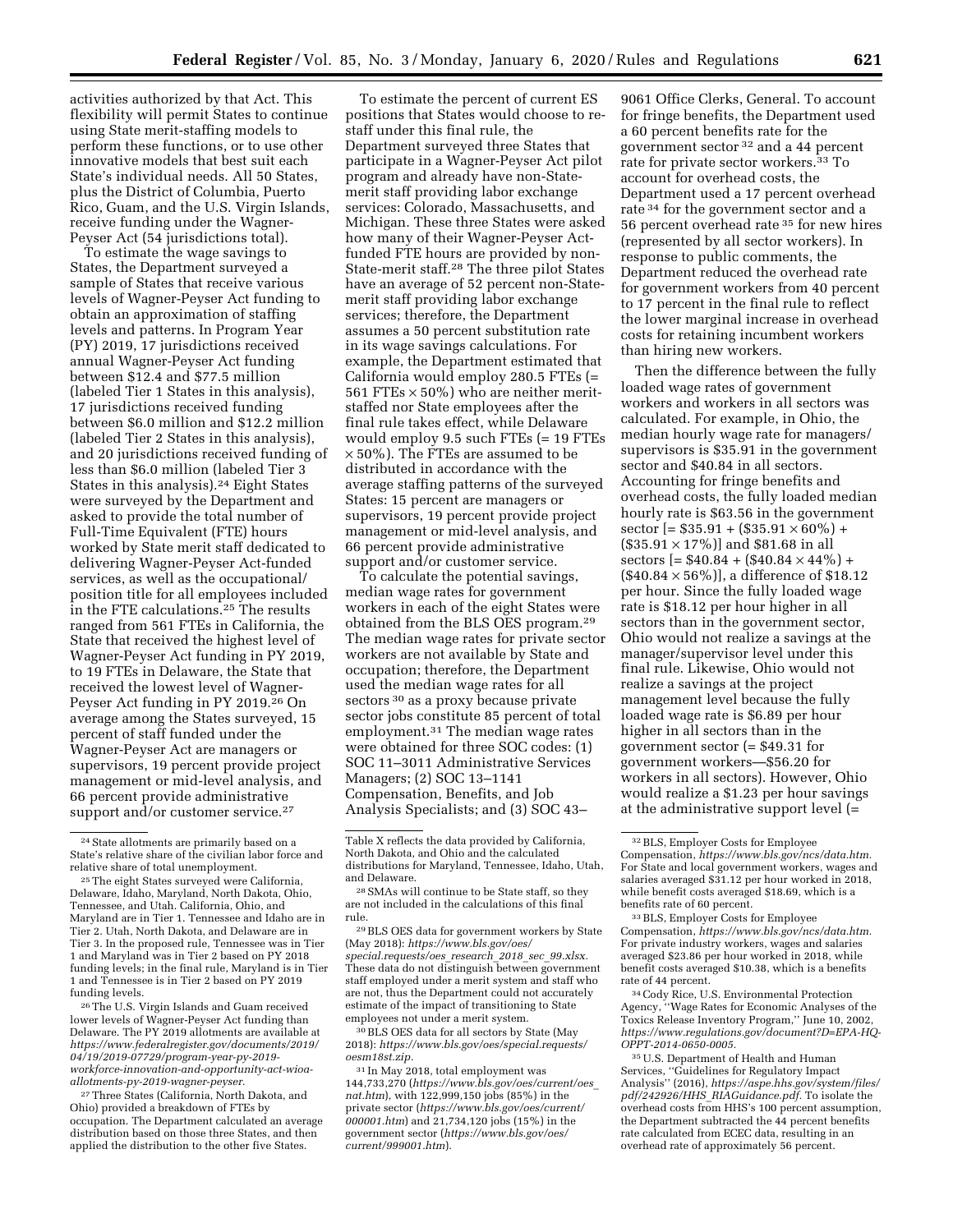activities authorized by that Act. This flexibility will permit States to continue using State merit-staffing models to perform these functions, or to use other innovative models that best suit each State's individual needs. All 50 States, plus the District of Columbia, Puerto Rico, Guam, and the U.S. Virgin Islands, receive funding under the Wagner-Peyser Act (54 jurisdictions total).

To estimate the wage savings to States, the Department surveyed a sample of States that receive various levels of Wagner-Peyser Act funding to obtain an approximation of staffing levels and patterns. In Program Year (PY) 2019, 17 jurisdictions received annual Wagner-Peyser Act funding between \$12.4 and \$77.5 million (labeled Tier 1 States in this analysis), 17 jurisdictions received funding between \$6.0 million and \$12.2 million (labeled Tier 2 States in this analysis), and 20 jurisdictions received funding of less than \$6.0 million (labeled Tier 3 States in this analysis).<sup>24</sup> Eight States were surveyed by the Department and asked to provide the total number of Full-Time Equivalent (FTE) hours worked by State merit staff dedicated to delivering Wagner-Peyser Act-funded services, as well as the occupational/ position title for all employees included in the FTE calculations.25 The results ranged from 561 FTEs in California, the State that received the highest level of Wagner-Peyser Act funding in PY 2019, to 19 FTEs in Delaware, the State that received the lowest level of Wagner-Peyser Act funding in PY 2019.26 On average among the States surveyed, 15 percent of staff funded under the Wagner-Peyser Act are managers or supervisors, 19 percent provide project management or mid-level analysis, and 66 percent provide administrative support and/or customer service.<sup>27</sup>

26The U.S. Virgin Islands and Guam received lower levels of Wagner-Peyser Act funding than Delaware. The PY 2019 allotments are available at *[https://www.federalregister.gov/documents/2019/](https://www.federalregister.gov/documents/2019/04/19/2019-07729/program-year-py-2019-workforce-innovation-and-opportunity-act-wioa-allotments-py-2019-wagner-peyser)  [04/19/2019-07729/program-year-py-2019](https://www.federalregister.gov/documents/2019/04/19/2019-07729/program-year-py-2019-workforce-innovation-and-opportunity-act-wioa-allotments-py-2019-wagner-peyser)  [workforce-innovation-and-opportunity-act-wioa](https://www.federalregister.gov/documents/2019/04/19/2019-07729/program-year-py-2019-workforce-innovation-and-opportunity-act-wioa-allotments-py-2019-wagner-peyser)[allotments-py-2019-wagner-peyser.](https://www.federalregister.gov/documents/2019/04/19/2019-07729/program-year-py-2019-workforce-innovation-and-opportunity-act-wioa-allotments-py-2019-wagner-peyser)* 

27Three States (California, North Dakota, and Ohio) provided a breakdown of FTEs by occupation. The Department calculated an average distribution based on those three States, and then applied the distribution to the other five States.

To estimate the percent of current ES positions that States would choose to restaff under this final rule, the Department surveyed three States that participate in a Wagner-Peyser Act pilot program and already have non-Statemerit staff providing labor exchange services: Colorado, Massachusetts, and Michigan. These three States were asked how many of their Wagner-Peyser Actfunded FTE hours are provided by non-State-merit staff.28 The three pilot States have an average of 52 percent non-Statemerit staff providing labor exchange services; therefore, the Department assumes a 50 percent substitution rate in its wage savings calculations. For example, the Department estimated that California would employ 280.5 FTEs (= 561 FTEs  $\times$  50%) who are neither meritstaffed nor State employees after the final rule takes effect, while Delaware would employ 9.5 such FTEs (= 19 FTEs  $\times$  50%). The FTEs are assumed to be distributed in accordance with the average staffing patterns of the surveyed States: 15 percent are managers or supervisors, 19 percent provide project management or mid-level analysis, and 66 percent provide administrative support and/or customer service.

To calculate the potential savings, median wage rates for government workers in each of the eight States were obtained from the BLS OES program.29 The median wage rates for private sector workers are not available by State and occupation; therefore, the Department used the median wage rates for all sectors <sup>30</sup> as a proxy because private sector jobs constitute 85 percent of total employment.31 The median wage rates were obtained for three SOC codes: (1) SOC 11–3011 Administrative Services Managers; (2) SOC 13–1141 Compensation, Benefits, and Job Analysis Specialists; and (3) SOC 43–

30BLS OES data for all sectors by State (May 2018): *[https://www.bls.gov/oes/special.requests/](https://www.bls.gov/oes/special.requests/oesm18st.zip) [oesm18st.zip.](https://www.bls.gov/oes/special.requests/oesm18st.zip)* 

31 In May 2018, total employment was 144,733,270 (*[https://www.bls.gov/oes/current/oes](https://www.bls.gov/oes/current/oes_nat.htm)*\_ *[nat.htm](https://www.bls.gov/oes/current/oes_nat.htm)*), with 122,999,150 jobs (85%) in the private sector (*[https://www.bls.gov/oes/current/](https://www.bls.gov/oes/current/000001.htm)  [000001.htm](https://www.bls.gov/oes/current/000001.htm)*) and 21,734,120 jobs (15%) in the government sector (*[https://www.bls.gov/oes/](https://www.bls.gov/oes/current/999001.htm) [current/999001.htm](https://www.bls.gov/oes/current/999001.htm)*).

9061 Office Clerks, General. To account for fringe benefits, the Department used a 60 percent benefits rate for the government sector 32 and a 44 percent rate for private sector workers.33 To account for overhead costs, the Department used a 17 percent overhead rate 34 for the government sector and a 56 percent overhead rate 35 for new hires (represented by all sector workers). In response to public comments, the Department reduced the overhead rate for government workers from 40 percent to 17 percent in the final rule to reflect the lower marginal increase in overhead costs for retaining incumbent workers than hiring new workers.

Then the difference between the fully loaded wage rates of government workers and workers in all sectors was calculated. For example, in Ohio, the median hourly wage rate for managers/ supervisors is \$35.91 in the government sector and \$40.84 in all sectors. Accounting for fringe benefits and overhead costs, the fully loaded median hourly rate is \$63.56 in the government sector  $[= $35.91 + ($335.91 \times 60\%) +$  $($35.91 \times 17\%)$ ] and \$81.68 in all sectors  $= $40.84 + $40.84 \times 44\%$  +  $(S40.84 \times 56\%)$ , a difference of \$18.12 per hour. Since the fully loaded wage rate is \$18.12 per hour higher in all sectors than in the government sector, Ohio would not realize a savings at the manager/supervisor level under this final rule. Likewise, Ohio would not realize a savings at the project management level because the fully loaded wage rate is \$6.89 per hour higher in all sectors than in the government sector (= \$49.31 for government workers—\$56.20 for workers in all sectors). However, Ohio would realize a \$1.23 per hour savings at the administrative support level (=

<sup>24</sup>State allotments are primarily based on a State's relative share of the civilian labor force and relative share of total unemployment.

<sup>&</sup>lt;sup>25</sup> The eight States surveyed were California, Delaware, Idaho, Maryland, North Dakota, Ohio, Tennessee, and Utah. California, Ohio, and Maryland are in Tier 1. Tennessee and Idaho are in Tier 2. Utah, North Dakota, and Delaware are in Tier 3. In the proposed rule, Tennessee was in Tier 1 and Maryland was in Tier 2 based on PY 2018 funding levels; in the final rule, Maryland is in Tier 1 and Tennessee is in Tier 2 based on PY 2019 funding levels.

Table X reflects the data provided by California, North Dakota, and Ohio and the calculated distributions for Maryland, Tennessee, Idaho, Utah, and Delaware.

<sup>28</sup>SMAs will continue to be State staff, so they are not included in the calculations of this final rule.

<sup>29</sup>BLS OES data for government workers by State (May 2018): *[https://www.bls.gov/oes/](https://www.bls.gov/oes/special.requests/oes_research_2018_sec_99.xlsx)  [special.requests/oes](https://www.bls.gov/oes/special.requests/oes_research_2018_sec_99.xlsx)*\_*research*\_*2018*\_*sec*\_*99.xlsx.*  These data do not distinguish between government staff employed under a merit system and staff who are not, thus the Department could not accurately estimate of the impact of transitioning to State employees not under a merit system.

<sup>32</sup>BLS, Employer Costs for Employee Compensation, *[https://www.bls.gov/ncs/data.htm.](https://www.bls.gov/ncs/data.htm)*  For State and local government workers, wages and salaries averaged \$31.12 per hour worked in 2018, while benefit costs averaged \$18.69, which is a benefits rate of 60 percent.

<sup>33</sup>BLS, Employer Costs for Employee Compensation, *[https://www.bls.gov/ncs/data.htm.](https://www.bls.gov/ncs/data.htm)*  For private industry workers, wages and salaries averaged \$23.86 per hour worked in 2018, while benefit costs averaged \$10.38, which is a benefits rate of 44 percent.

<sup>34</sup>Cody Rice, U.S. Environmental Protection Agency, ''Wage Rates for Economic Analyses of the Toxics Release Inventory Program,'' June 10, 2002, *[https://www.regulations.gov/document?D=EPA-HQ-](https://www.regulations.gov/document?D=EPA-HQ-OPPT-2014-0650-0005)[OPPT-2014-0650-0005.](https://www.regulations.gov/document?D=EPA-HQ-OPPT-2014-0650-0005)* 

<sup>35</sup>U.S. Department of Health and Human Services, ''Guidelines for Regulatory Impact Analysis'' (2016), *[https://aspe.hhs.gov/system/files/](https://aspe.hhs.gov/system/files/pdf/242926/HHS_RIAGuidance.pdf) pdf/242926/HHS*\_*[RIAGuidance.pdf.](https://aspe.hhs.gov/system/files/pdf/242926/HHS_RIAGuidance.pdf)* To isolate the overhead costs from HHS's 100 percent assumption, the Department subtracted the 44 percent benefits rate calculated from ECEC data, resulting in an overhead rate of approximately 56 percent.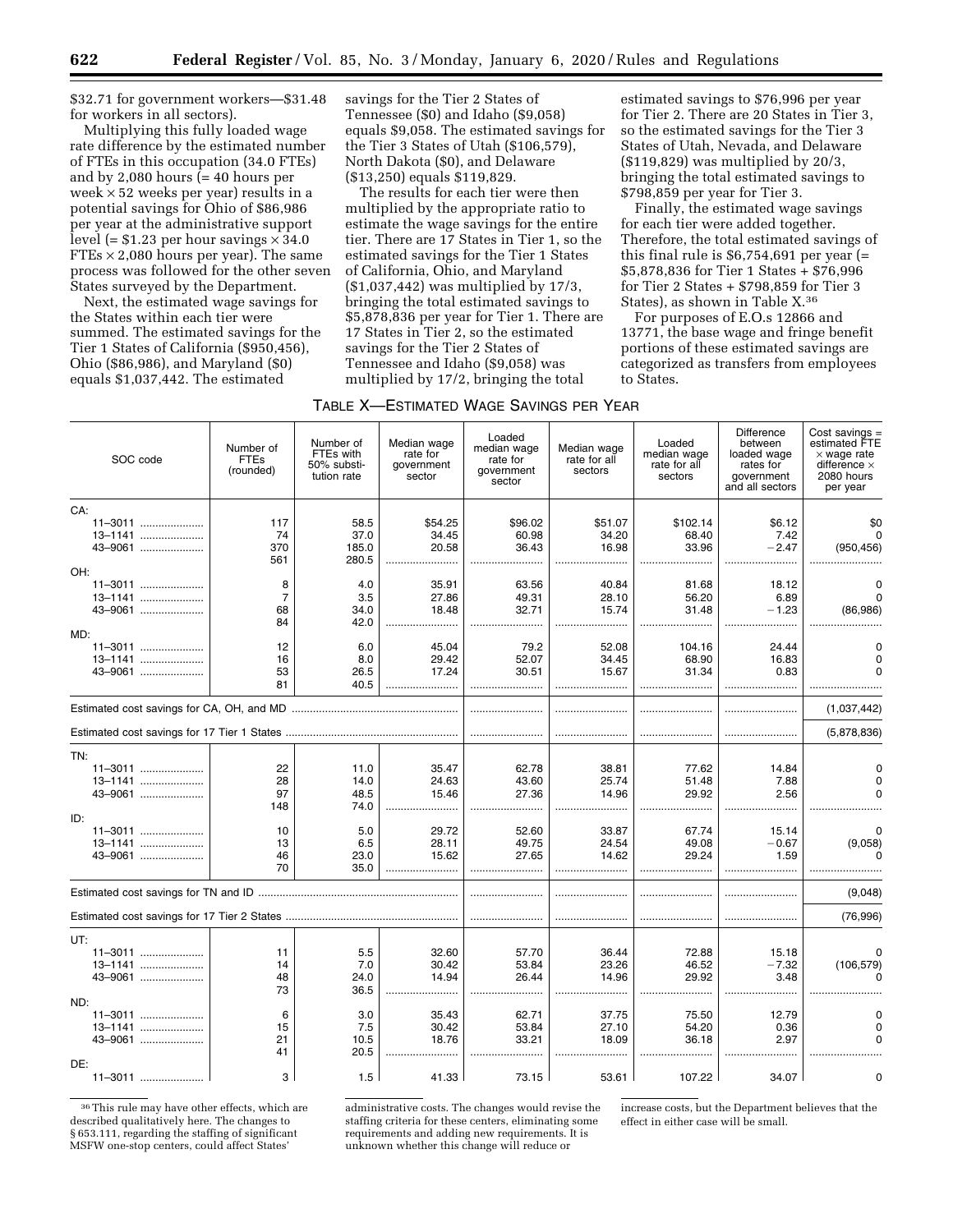\$32.71 for government workers—\$31.48 for workers in all sectors).

Multiplying this fully loaded wage rate difference by the estimated number of FTEs in this occupation (34.0 FTEs) and by 2,080 hours  $\bar{(-40)}$  hours per week  $\times$  52 weeks per year) results in a potential savings for Ohio of \$86,986 per year at the administrative support level (=  $$1.23$  per hour savings  $\times$  34.0  $FTEs \times 2,080$  hours per year). The same process was followed for the other seven States surveyed by the Department.

Next, the estimated wage savings for the States within each tier were summed. The estimated savings for the Tier 1 States of California (\$950,456), Ohio (\$86,986), and Maryland (\$0) equals \$1,037,442. The estimated

savings for the Tier 2 States of Tennessee (\$0) and Idaho (\$9,058) equals \$9,058. The estimated savings for the Tier 3 States of Utah (\$106,579), North Dakota (\$0), and Delaware (\$13,250) equals \$119,829.

The results for each tier were then multiplied by the appropriate ratio to estimate the wage savings for the entire tier. There are 17 States in Tier 1, so the estimated savings for the Tier 1 States of California, Ohio, and Maryland (\$1,037,442) was multiplied by 17/3, bringing the total estimated savings to \$5,878,836 per year for Tier 1. There are 17 States in Tier 2, so the estimated savings for the Tier 2 States of Tennessee and Idaho (\$9,058) was multiplied by 17/2, bringing the total

|  | Table X—Estimated Wage Savings per Year |  |
|--|-----------------------------------------|--|
|--|-----------------------------------------|--|

SOC code Number of FTEs (rounded) Number of FTEs with 50% substitution rate Median wage rate for government sector Loaded median wage rate for government sector Median wage rate for all sectors Loaded median wage rate for all sectors **Difference** between loaded wage rates for government and all sectors Cost savings = estimated FTE × wage rate difference × 2080 hours per year CA: 11-3011 11–3011 ..................... 117 58.5 \$54.25 \$96.02 \$51.07 \$102.14 \$6.12 \$0 13–1141 ..................... 74 37.0 34.45 60.98 34.20 68.40 7.42 0 43–9061 ....................... | 370 | 185.0 | 20.58 | 36.43 | 16.98 | 33.96 | −2.47 | (950,456) 561 280.5 ........................ ........................ ........................ ........................ ........................ ........................ OH: 11–3011 ..................... 8 4.0 35.91 63.56 40.84 81.68 18.12 0 13–1141 ..................... 7 3.5 27.86 49.31 28.10 56.20 6.89 0 43–9061 .................... │ 68 │ 34.0 │ 18.48 │ 32.71 │ 15.74 │ 31.48 │ −1.23 │ (86,986) 84 42.0 ........................ ........................ ........................ ........................ ........................ ........................ MD:<br>11-3011 11–3011 ..................... 12 6.0 45.04 79.2 52.08 104.16 24.44 0 13–1141 ..................... 16 8.0 29.42 52.07 34.45 68.90 16.83 0 43–9061 ..................... 53 26.5 17.24 30.51 15.67 31.34 0.83 0 81 40.5 ........................ ........................ ........................ ........................ ........................ ........................ Estimated cost savings for CA, OH, and MD ....................................................... ........................ ........................ ........................ ........................ (1,037,442) Estimated cost savings for 17 Tier 1 States ......................................................... ........................ ........................ ........................ ........................ (5,878,836) TN:<br>11-3011 11–3011 ..................... 22 11.0 35.47 62.78 38.81 77.62 14.84 0 13–1141 ..................... 28 14.0 24.63 43.60 25.74 51.48 7.88 0 43–9061 ..................... 97 48.5 15.46 27.36 14.96 29.92 2.56 0 148 74.0 ........................ ........................ ........................ ........................ ........................ ........................ ID: 11–3011 ..................... 10 5.0 29.72 52.60 33.87 67.74 15.14 0 13–1141 ..................... 13 6.5 28.11 49.75 24.54 49.08 ¥0.67 (9,058) 43–9061 ..................... 46 23.0 15.62 27.65 14.62 29.24 1.59 0 70 35.0 ........................ ........................ ........................ ........................ ........................ ........................ Estimated cost savings for TN and ID .................................................................. ........................ ........................ ........................ ........................ (9,048) Estimated cost savings for 17 Tier 2 States ......................................................... ........................ ........................ ........................ ........................ (76,996) UT:<br>.... 11-3011 11–3011 ..................... 11 5.5 32.60 57.70 36.44 72.88 15.18 0 13–1141 ..................... 14 7.0 30.42 53.84 23.26 46.52 ¥7.32 (106,579) 43–9061 ..................... 48 24.0 14.94 26.44 14.96 29.92 3.48 0 73 36.5 ........................ ........................ ........................ ........................ ........................ ........................ ND:<br>11-3011 11–3011 ..................... 6 3.0 35.43 62.71 37.75 75.50 12.79 0 13–1141 ............................ | 15 | 7.5 | 30.42 | 53.84 | 27.10 | 54.20 | 0.36 | 0 43–9061 ..................... 21 10.5 18.76 33.21 18.09 36.18 2.97 0 41 20.5 ........................ ........................ ........................ ........................ ........................ ........................ DE:<br>11-3011 ....... 11–3011 ..................... 3 1.5 41.33 73.15 53.61 107.22 34.07 0

36This rule may have other effects, which are described qualitatively here. The changes to § 653.111, regarding the staffing of significant MSFW one-stop centers, could affect States'

administrative costs. The changes would revise the staffing criteria for these centers, eliminating some requirements and adding new requirements. It is unknown whether this change will reduce or

increase costs, but the Department believes that the effect in either case will be small.

estimated savings to \$76,996 per year for Tier 2. There are 20 States in Tier 3, so the estimated savings for the Tier 3 States of Utah, Nevada, and Delaware (\$119,829) was multiplied by 20/3, bringing the total estimated savings to

Finally, the estimated wage savings for each tier were added together. Therefore, the total estimated savings of this final rule is  $$6,754,691$  per year (= \$5,878,836 for Tier 1 States + \$76,996 for Tier 2 States + \$798,859 for Tier 3 States), as shown in Table X.36 For purposes of E.O.s 12866 and 13771, the base wage and fringe benefit portions of these estimated savings are categorized as transfers from employees

\$798,859 per year for Tier 3.

to States.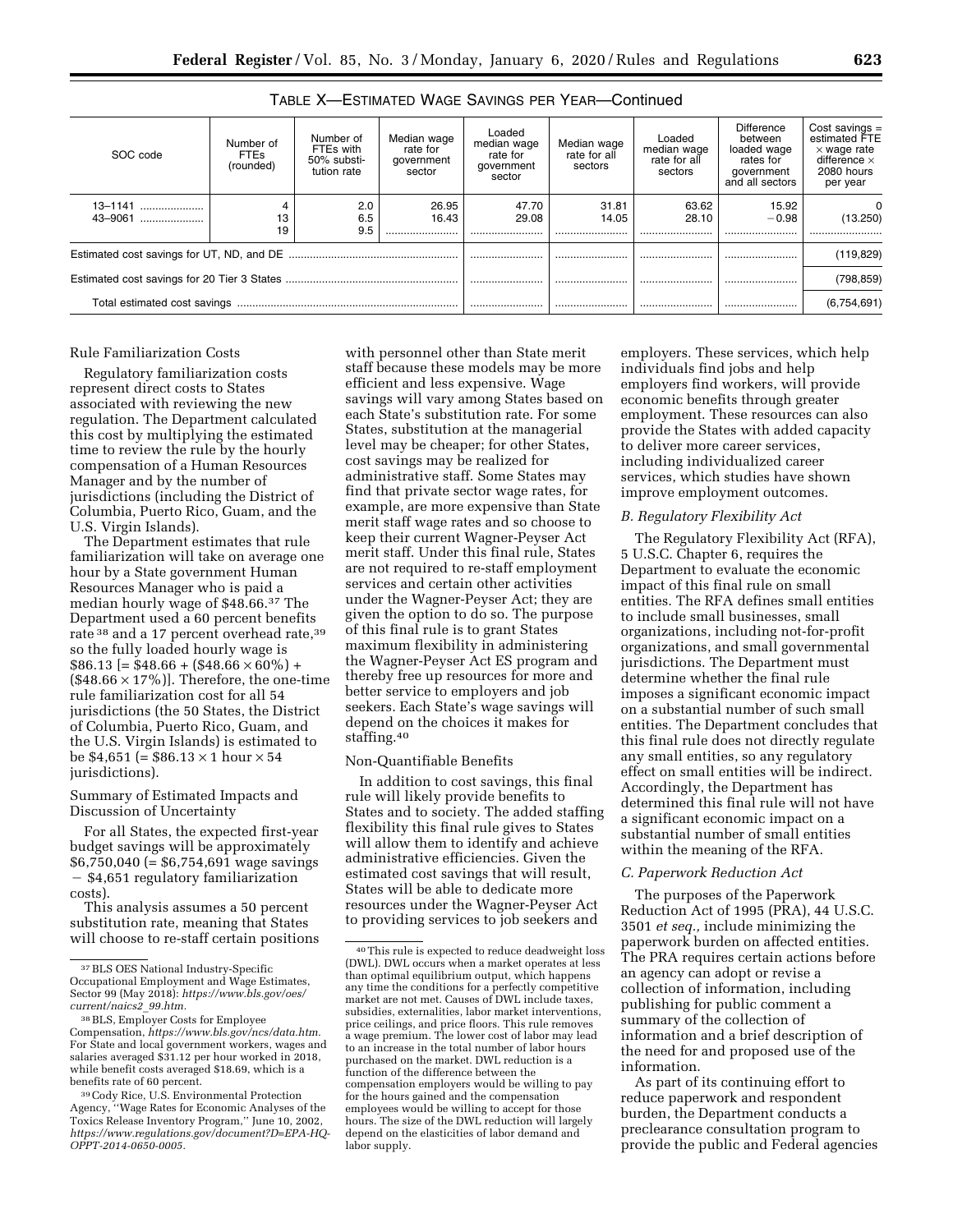| SOC code           | Number of<br><b>FTEs</b><br>(rounded) | Number of<br>FTEs with<br>50% substi-<br>tution rate | Median wage<br>rate for<br>government<br>sector | Loaded<br>median wage<br>rate for<br>government<br>sector | Median wage<br>rate for all<br>sectors | Loaded<br>median wage<br>rate for all<br>sectors | Difference<br>between<br>loaded wage<br>rates for<br>government<br>and all sectors | Cost savings $=$<br>estimated FTE<br>$\times$ wage rate<br>difference $\times$<br>2080 hours<br>per year |
|--------------------|---------------------------------------|------------------------------------------------------|-------------------------------------------------|-----------------------------------------------------------|----------------------------------------|--------------------------------------------------|------------------------------------------------------------------------------------|----------------------------------------------------------------------------------------------------------|
| 13-1141<br>43-9061 | 13<br>19                              | 2.0<br>6.5<br>9.5                                    | 26.95<br>16.43<br>                              | 47.70<br>29.08                                            | 31.81<br>14.05                         | 63.62<br>28.10<br>                               | 15.92<br>$-0.98$                                                                   | 0<br>(13.250)                                                                                            |
|                    |                                       |                                                      |                                                 |                                                           |                                        |                                                  | (119, 829)                                                                         |                                                                                                          |
|                    |                                       |                                                      |                                                 |                                                           |                                        |                                                  |                                                                                    | (798, 859)                                                                                               |
|                    |                                       |                                                      |                                                 |                                                           |                                        |                                                  |                                                                                    | (6,754,691)                                                                                              |

### TABLE X—ESTIMATED WAGE SAVINGS PER YEAR—Continued

### Rule Familiarization Costs

Regulatory familiarization costs represent direct costs to States associated with reviewing the new regulation. The Department calculated this cost by multiplying the estimated time to review the rule by the hourly compensation of a Human Resources Manager and by the number of jurisdictions (including the District of Columbia, Puerto Rico, Guam, and the U.S. Virgin Islands).

The Department estimates that rule familiarization will take on average one hour by a State government Human Resources Manager who is paid a median hourly wage of \$48.66.37 The Department used a 60 percent benefits rate <sup>38</sup> and a 17 percent overhead rate, <sup>39</sup> so the fully loaded hourly wage is  $$86.13$  [= \$48.66 + (\$48.66  $\times$  60%) +  $(\$48.66 \times 17\%)$ . Therefore, the one-time rule familiarization cost for all 54 jurisdictions (the 50 States, the District of Columbia, Puerto Rico, Guam, and the U.S. Virgin Islands) is estimated to be \$4,651 (= \$86.13  $\times$  1 hour  $\times$  54 jurisdictions).

### Summary of Estimated Impacts and Discussion of Uncertainty

For all States, the expected first-year budget savings will be approximately \$6,750,040 (= \$6,754,691 wage savings ¥ \$4,651 regulatory familiarization costs).

This analysis assumes a 50 percent substitution rate, meaning that States will choose to re-staff certain positions

with personnel other than State merit staff because these models may be more efficient and less expensive. Wage savings will vary among States based on each State's substitution rate. For some States, substitution at the managerial level may be cheaper; for other States, cost savings may be realized for administrative staff. Some States may find that private sector wage rates, for example, are more expensive than State merit staff wage rates and so choose to keep their current Wagner-Peyser Act merit staff. Under this final rule, States are not required to re-staff employment services and certain other activities under the Wagner-Peyser Act; they are given the option to do so. The purpose of this final rule is to grant States maximum flexibility in administering the Wagner-Peyser Act ES program and thereby free up resources for more and better service to employers and job seekers. Each State's wage savings will depend on the choices it makes for staffing.40

### Non-Quantifiable Benefits

In addition to cost savings, this final rule will likely provide benefits to States and to society. The added staffing flexibility this final rule gives to States will allow them to identify and achieve administrative efficiencies. Given the estimated cost savings that will result, States will be able to dedicate more resources under the Wagner-Peyser Act to providing services to job seekers and

employers. These services, which help individuals find jobs and help employers find workers, will provide economic benefits through greater employment. These resources can also provide the States with added capacity to deliver more career services, including individualized career services, which studies have shown improve employment outcomes.

### *B. Regulatory Flexibility Act*

The Regulatory Flexibility Act (RFA), 5 U.S.C. Chapter 6, requires the Department to evaluate the economic impact of this final rule on small entities. The RFA defines small entities to include small businesses, small organizations, including not-for-profit organizations, and small governmental jurisdictions. The Department must determine whether the final rule imposes a significant economic impact on a substantial number of such small entities. The Department concludes that this final rule does not directly regulate any small entities, so any regulatory effect on small entities will be indirect. Accordingly, the Department has determined this final rule will not have a significant economic impact on a substantial number of small entities within the meaning of the RFA.

### *C. Paperwork Reduction Act*

The purposes of the Paperwork Reduction Act of 1995 (PRA), 44 U.S.C. 3501 *et seq.,* include minimizing the paperwork burden on affected entities. The PRA requires certain actions before an agency can adopt or revise a collection of information, including publishing for public comment a summary of the collection of information and a brief description of the need for and proposed use of the information.

As part of its continuing effort to reduce paperwork and respondent burden, the Department conducts a preclearance consultation program to provide the public and Federal agencies

<sup>37</sup>BLS OES National Industry-Specific Occupational Employment and Wage Estimates, Sector 99 (May 2018): *[https://www.bls.gov/oes/](https://www.bls.gov/oes/current/naics2_99.htm)  [current/naics2](https://www.bls.gov/oes/current/naics2_99.htm)*\_*99.htm.* 

<sup>38</sup>BLS, Employer Costs for Employee Compensation, *[https://www.bls.gov/ncs/data.htm.](https://www.bls.gov/ncs/data.htm)*  For State and local government workers, wages and salaries averaged \$31.12 per hour worked in 2018, while benefit costs averaged \$18.69, which is a benefits rate of 60 percent.

<sup>39</sup>Cody Rice, U.S. Environmental Protection Agency, ''Wage Rates for Economic Analyses of the Toxics Release Inventory Program,'' June 10, 2002, *[https://www.regulations.gov/document?D=EPA-HQ-](https://www.regulations.gov/document?D=EPA-HQ-OPPT-2014-0650-0005)[OPPT-2014-0650-0005.](https://www.regulations.gov/document?D=EPA-HQ-OPPT-2014-0650-0005)* 

<sup>40</sup>This rule is expected to reduce deadweight loss (DWL). DWL occurs when a market operates at less than optimal equilibrium output, which happens any time the conditions for a perfectly competitive market are not met. Causes of DWL include taxes, subsidies, externalities, labor market interventions, price ceilings, and price floors. This rule removes a wage premium. The lower cost of labor may lead to an increase in the total number of labor hours purchased on the market. DWL reduction is a function of the difference between the compensation employers would be willing to pay for the hours gained and the compensation employees would be willing to accept for those hours. The size of the DWL reduction will largely depend on the elasticities of labor demand and labor supply.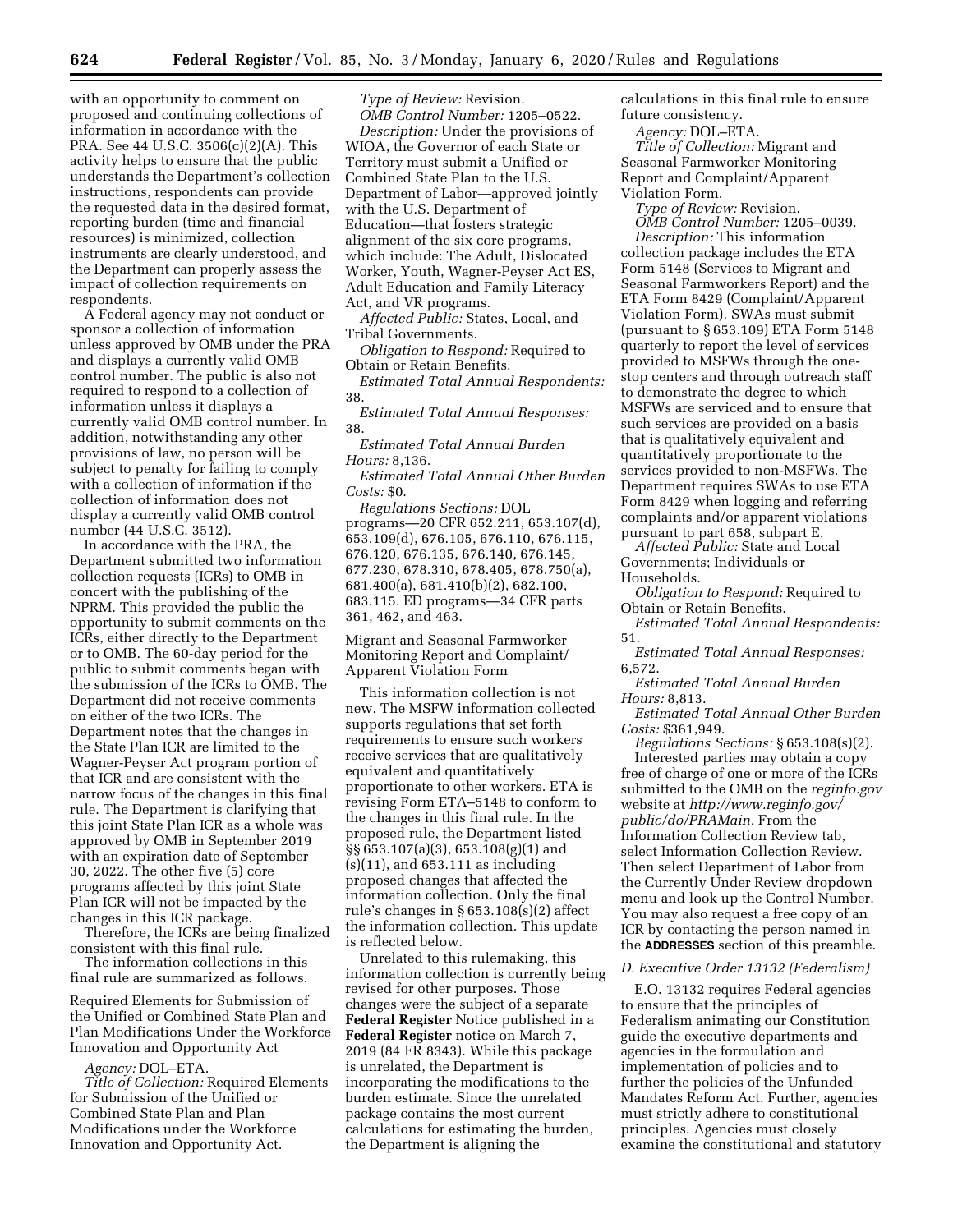with an opportunity to comment on proposed and continuing collections of information in accordance with the PRA. See 44 U.S.C. 3506(c)(2)(A). This activity helps to ensure that the public understands the Department's collection instructions, respondents can provide the requested data in the desired format, reporting burden (time and financial resources) is minimized, collection instruments are clearly understood, and the Department can properly assess the impact of collection requirements on respondents.

A Federal agency may not conduct or sponsor a collection of information unless approved by OMB under the PRA and displays a currently valid OMB control number. The public is also not required to respond to a collection of information unless it displays a currently valid OMB control number. In addition, notwithstanding any other provisions of law, no person will be subject to penalty for failing to comply with a collection of information if the collection of information does not display a currently valid OMB control number (44 U.S.C. 3512).

In accordance with the PRA, the Department submitted two information collection requests (ICRs) to OMB in concert with the publishing of the NPRM. This provided the public the opportunity to submit comments on the ICRs, either directly to the Department or to OMB. The 60-day period for the public to submit comments began with the submission of the ICRs to OMB. The Department did not receive comments on either of the two ICRs. The Department notes that the changes in the State Plan ICR are limited to the Wagner-Peyser Act program portion of that ICR and are consistent with the narrow focus of the changes in this final rule. The Department is clarifying that this joint State Plan ICR as a whole was approved by OMB in September 2019 with an expiration date of September 30, 2022. The other five (5) core programs affected by this joint State Plan ICR will not be impacted by the changes in this ICR package.

Therefore, the ICRs are being finalized consistent with this final rule.

The information collections in this final rule are summarized as follows.

Required Elements for Submission of the Unified or Combined State Plan and Plan Modifications Under the Workforce Innovation and Opportunity Act

### *Agency:* DOL–ETA.

*Title of Collection:* Required Elements for Submission of the Unified or Combined State Plan and Plan Modifications under the Workforce Innovation and Opportunity Act.

*Type of Review:* Revision. *OMB Control Number:* 1205–0522.

*Description:* Under the provisions of WIOA, the Governor of each State or Territory must submit a Unified or Combined State Plan to the U.S. Department of Labor—approved jointly with the U.S. Department of Education—that fosters strategic alignment of the six core programs, which include: The Adult, Dislocated Worker, Youth, Wagner-Peyser Act ES, Adult Education and Family Literacy Act, and VR programs.

*Affected Public:* States, Local, and Tribal Governments.

*Obligation to Respond:* Required to Obtain or Retain Benefits.

*Estimated Total Annual Respondents:*  38.

*Estimated Total Annual Responses:*  38.

*Estimated Total Annual Burden Hours:* 8,136.

*Estimated Total Annual Other Burden Costs:* \$0.

*Regulations Sections:* DOL programs—20 CFR 652.211, 653.107(d), 653.109(d), 676.105, 676.110, 676.115, 676.120, 676.135, 676.140, 676.145, 677.230, 678.310, 678.405, 678.750(a), 681.400(a), 681.410(b)(2), 682.100, 683.115. ED programs—34 CFR parts 361, 462, and 463.

Migrant and Seasonal Farmworker Monitoring Report and Complaint/ Apparent Violation Form

This information collection is not new. The MSFW information collected supports regulations that set forth requirements to ensure such workers receive services that are qualitatively equivalent and quantitatively proportionate to other workers. ETA is revising Form ETA–5148 to conform to the changes in this final rule. In the proposed rule, the Department listed §§ 653.107(a)(3), 653.108(g)(1) and (s)(11), and 653.111 as including proposed changes that affected the information collection. Only the final rule's changes in § 653.108(s)(2) affect the information collection. This update is reflected below.

Unrelated to this rulemaking, this information collection is currently being revised for other purposes. Those changes were the subject of a separate **Federal Register** Notice published in a **Federal Register** notice on March 7, 2019 (84 FR 8343). While this package is unrelated, the Department is incorporating the modifications to the burden estimate. Since the unrelated package contains the most current calculations for estimating the burden, the Department is aligning the

calculations in this final rule to ensure future consistency.

*Agency:* DOL–ETA.

*Title of Collection:* Migrant and Seasonal Farmworker Monitoring Report and Complaint/Apparent Violation Form.

*Type of Review:* Revision.

*OMB Control Number:* 1205–0039. *Description:* This information collection package includes the ETA Form 5148 (Services to Migrant and Seasonal Farmworkers Report) and the ETA Form 8429 (Complaint/Apparent Violation Form). SWAs must submit (pursuant to § 653.109) ETA Form 5148 quarterly to report the level of services provided to MSFWs through the onestop centers and through outreach staff to demonstrate the degree to which MSFWs are serviced and to ensure that such services are provided on a basis that is qualitatively equivalent and quantitatively proportionate to the services provided to non-MSFWs. The Department requires SWAs to use ETA Form 8429 when logging and referring complaints and/or apparent violations pursuant to part 658, subpart E.

*Affected Public:* State and Local Governments; Individuals or Households.

*Obligation to Respond:* Required to Obtain or Retain Benefits.

*Estimated Total Annual Respondents:*  51.

*Estimated Total Annual Responses:*  6,572.

*Estimated Total Annual Burden Hours:* 8,813.

*Estimated Total Annual Other Burden Costs:* \$361,949.

*Regulations Sections:* § 653.108(s)(2). Interested parties may obtain a copy free of charge of one or more of the ICRs submitted to the OMB on the *reginfo.gov*  website at *[http://www.reginfo.gov/](http://www.reginfo.gov/public/do/PRAMain) [public/do/PRAMain.](http://www.reginfo.gov/public/do/PRAMain)* From the Information Collection Review tab, select Information Collection Review. Then select Department of Labor from the Currently Under Review dropdown menu and look up the Control Number. You may also request a free copy of an ICR by contacting the person named in the **ADDRESSES** section of this preamble.

### *D. Executive Order 13132 (Federalism)*

E.O. 13132 requires Federal agencies to ensure that the principles of Federalism animating our Constitution guide the executive departments and agencies in the formulation and implementation of policies and to further the policies of the Unfunded Mandates Reform Act. Further, agencies must strictly adhere to constitutional principles. Agencies must closely examine the constitutional and statutory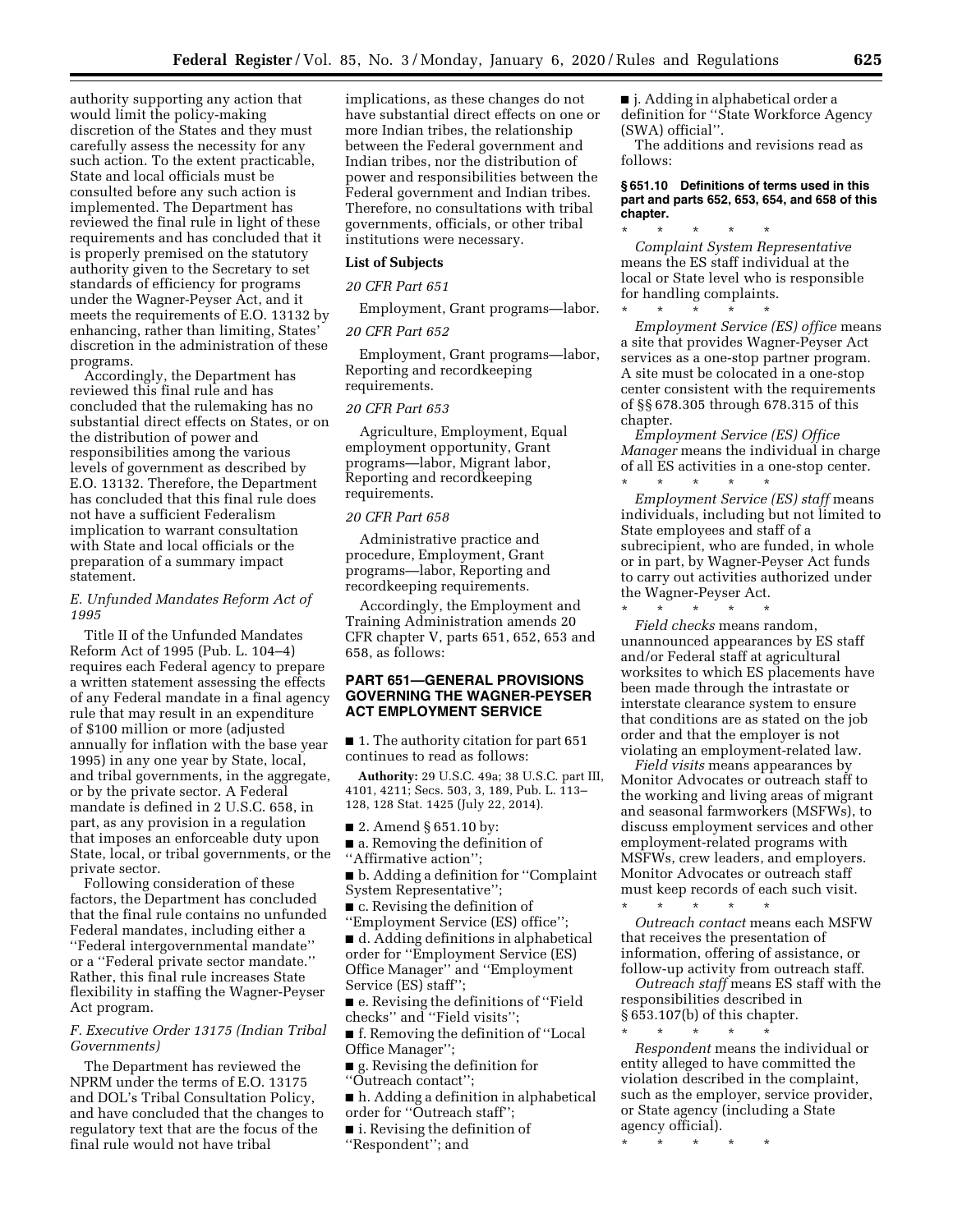authority supporting any action that would limit the policy-making discretion of the States and they must carefully assess the necessity for any such action. To the extent practicable, State and local officials must be consulted before any such action is implemented. The Department has reviewed the final rule in light of these requirements and has concluded that it is properly premised on the statutory authority given to the Secretary to set standards of efficiency for programs under the Wagner-Peyser Act, and it meets the requirements of E.O. 13132 by enhancing, rather than limiting, States' discretion in the administration of these programs.

Accordingly, the Department has reviewed this final rule and has concluded that the rulemaking has no substantial direct effects on States, or on the distribution of power and responsibilities among the various levels of government as described by E.O. 13132. Therefore, the Department has concluded that this final rule does not have a sufficient Federalism implication to warrant consultation with State and local officials or the preparation of a summary impact statement.

### *E. Unfunded Mandates Reform Act of 1995*

Title II of the Unfunded Mandates Reform Act of 1995 (Pub. L. 104–4) requires each Federal agency to prepare a written statement assessing the effects of any Federal mandate in a final agency rule that may result in an expenditure of \$100 million or more (adjusted annually for inflation with the base year 1995) in any one year by State, local, and tribal governments, in the aggregate, or by the private sector. A Federal mandate is defined in 2 U.S.C. 658, in part, as any provision in a regulation that imposes an enforceable duty upon State, local, or tribal governments, or the private sector.

Following consideration of these factors, the Department has concluded that the final rule contains no unfunded Federal mandates, including either a ''Federal intergovernmental mandate'' or a ''Federal private sector mandate.'' Rather, this final rule increases State flexibility in staffing the Wagner-Peyser Act program.

### *F. Executive Order 13175 (Indian Tribal Governments)*

The Department has reviewed the NPRM under the terms of E.O. 13175 and DOL's Tribal Consultation Policy, and have concluded that the changes to regulatory text that are the focus of the final rule would not have tribal

implications, as these changes do not have substantial direct effects on one or more Indian tribes, the relationship between the Federal government and Indian tribes, nor the distribution of power and responsibilities between the Federal government and Indian tribes. Therefore, no consultations with tribal governments, officials, or other tribal institutions were necessary.

### **List of Subjects**

#### *20 CFR Part 651*

Employment, Grant programs—labor.

#### *20 CFR Part 652*

Employment, Grant programs—labor, Reporting and recordkeeping requirements.

#### *20 CFR Part 653*

Agriculture, Employment, Equal employment opportunity, Grant programs—labor, Migrant labor, Reporting and recordkeeping requirements.

#### *20 CFR Part 658*

Administrative practice and procedure, Employment, Grant programs—labor, Reporting and recordkeeping requirements.

Accordingly, the Employment and Training Administration amends 20 CFR chapter V, parts 651, 652, 653 and 658, as follows:

### **PART 651—GENERAL PROVISIONS GOVERNING THE WAGNER-PEYSER ACT EMPLOYMENT SERVICE**

■ 1. The authority citation for part 651 continues to read as follows:

**Authority:** 29 U.S.C. 49a; 38 U.S.C. part III, 4101, 4211; Secs. 503, 3, 189, Pub. L. 113– 128, 128 Stat. 1425 (July 22, 2014).

■ 2. Amend § 651.10 by:

■ a. Removing the definition of ''Affirmative action'';

■ b. Adding a definition for "Complaint" System Representative'';

■ c. Revising the definition of

''Employment Service (ES) office'';

■ d. Adding definitions in alphabetical order for ''Employment Service (ES) Office Manager'' and ''Employment Service (ES) staff'';

■ e. Revising the definitions of ''Field checks'' and ''Field visits'';

■ f. Removing the definition of "Local Office Manager'';

■ g. Revising the definition for

''Outreach contact'';

■ h. Adding a definition in alphabetical order for ''Outreach staff'';

- i. Revising the definition of
- ''Respondent''; and

■ *j.* Adding in alphabetical order a definition for ''State Workforce Agency (SWA) official''.

The additions and revisions read as follows:

### **§ 651.10 Definitions of terms used in this part and parts 652, 653, 654, and 658 of this chapter.**

\* \* \* \* \* *Complaint System Representative*  means the ES staff individual at the local or State level who is responsible for handling complaints.

\* \* \* \* \* *Employment Service (ES) office* means a site that provides Wagner-Peyser Act services as a one-stop partner program. A site must be colocated in a one-stop center consistent with the requirements of §§ 678.305 through 678.315 of this chapter.

*Employment Service (ES) Office Manager* means the individual in charge of all ES activities in a one-stop center.

\* \* \* \* \* *Employment Service (ES) staff* means individuals, including but not limited to State employees and staff of a subrecipient, who are funded, in whole or in part, by Wagner-Peyser Act funds to carry out activities authorized under the Wagner-Peyser Act.

\* \* \* \* \* *Field checks* means random, unannounced appearances by ES staff and/or Federal staff at agricultural worksites to which ES placements have been made through the intrastate or interstate clearance system to ensure that conditions are as stated on the job order and that the employer is not violating an employment-related law.

*Field visits* means appearances by Monitor Advocates or outreach staff to the working and living areas of migrant and seasonal farmworkers (MSFWs), to discuss employment services and other employment-related programs with MSFWs, crew leaders, and employers. Monitor Advocates or outreach staff must keep records of each such visit.

\* \* \* \* \* *Outreach contact* means each MSFW that receives the presentation of information, offering of assistance, or follow-up activity from outreach staff.

*Outreach staff* means ES staff with the responsibilities described in § 653.107(b) of this chapter.

\* \* \* \* \* *Respondent* means the individual or entity alleged to have committed the violation described in the complaint, such as the employer, service provider, or State agency (including a State agency official).

\* \* \* \* \*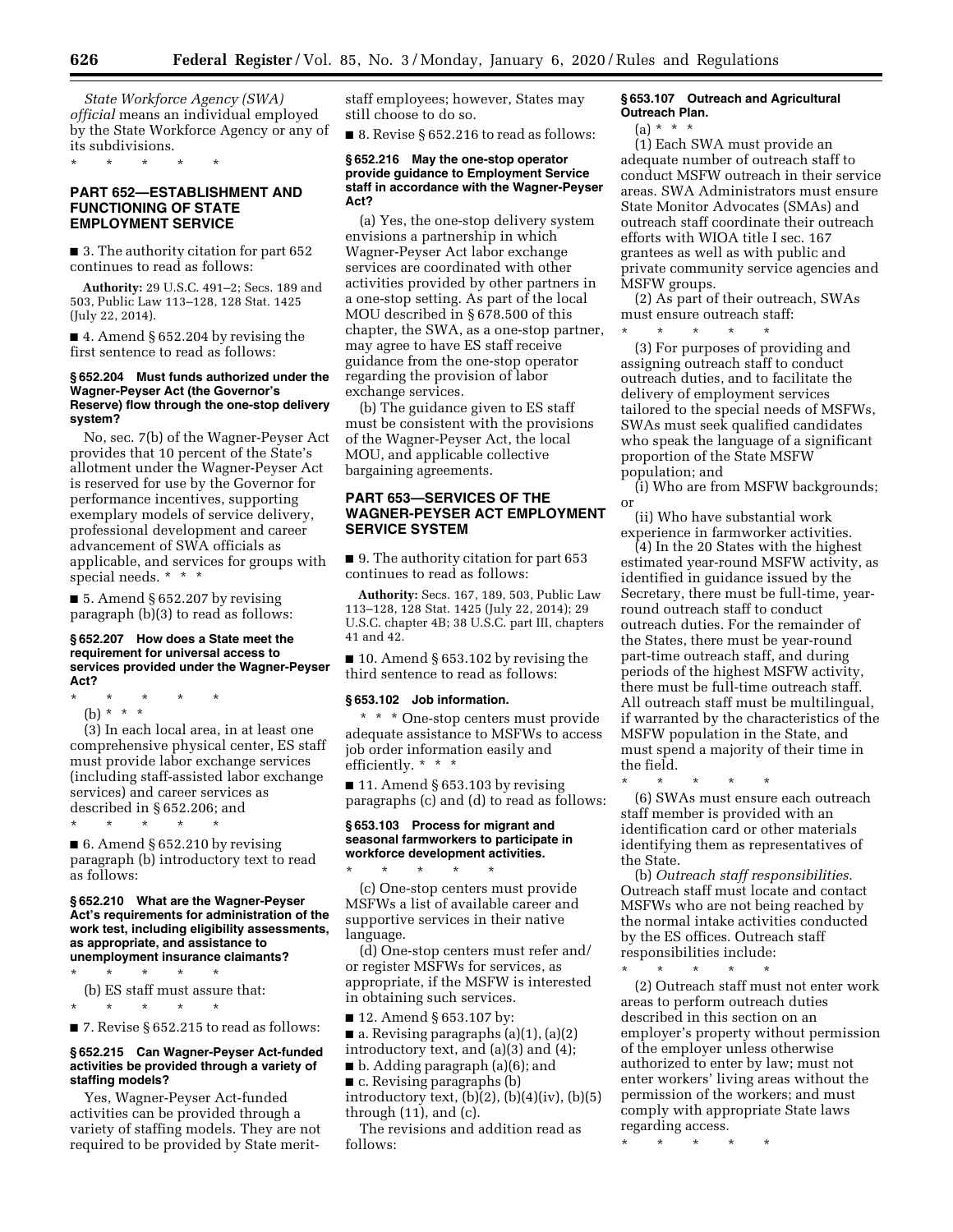*State Workforce Agency (SWA) official* means an individual employed by the State Workforce Agency or any of its subdivisions.

\* \* \* \* \*

### **PART 652—ESTABLISHMENT AND FUNCTIONING OF STATE EMPLOYMENT SERVICE**

■ 3. The authority citation for part 652 continues to read as follows:

**Authority:** 29 U.S.C. 491–2; Secs. 189 and 503, Public Law 113–128, 128 Stat. 1425 (July 22, 2014).

■ 4. Amend § 652.204 by revising the first sentence to read as follows:

#### **§ 652.204 Must funds authorized under the Wagner-Peyser Act (the Governor's Reserve) flow through the one-stop delivery system?**

No, sec. 7(b) of the Wagner-Peyser Act provides that 10 percent of the State's allotment under the Wagner-Peyser Act is reserved for use by the Governor for performance incentives, supporting exemplary models of service delivery, professional development and career advancement of SWA officials as applicable, and services for groups with special needs. \* \* \*

■ 5. Amend § 652.207 by revising paragraph (b)(3) to read as follows:

#### **§ 652.207 How does a State meet the requirement for universal access to services provided under the Wagner-Peyser Act?**

\* \* \* \* \*

(b) \* \* \*

(3) In each local area, in at least one comprehensive physical center, ES staff must provide labor exchange services (including staff-assisted labor exchange services) and career services as described in § 652.206; and \* \* \* \* \*

 $\blacksquare$  6. Amend § 652.210 by revising paragraph (b) introductory text to read as follows:

#### **§ 652.210 What are the Wagner-Peyser Act's requirements for administration of the work test, including eligibility assessments, as appropriate, and assistance to unemployment insurance claimants?**

\* \* \* \* \*

(b) ES staff must assure that: \* \* \* \* \*

 $\blacksquare$  7. Revise § 652.215 to read as follows:

#### **§ 652.215 Can Wagner-Peyser Act-funded activities be provided through a variety of staffing models?**

Yes, Wagner-Peyser Act-funded activities can be provided through a variety of staffing models. They are not required to be provided by State meritstaff employees; however, States may still choose to do so.

 $\blacksquare$  8. Revise § 652.216 to read as follows:

#### **§ 652.216 May the one-stop operator provide guidance to Employment Service staff in accordance with the Wagner-Peyser Act?**

(a) Yes, the one-stop delivery system envisions a partnership in which Wagner-Peyser Act labor exchange services are coordinated with other activities provided by other partners in a one-stop setting. As part of the local MOU described in § 678.500 of this chapter, the SWA, as a one-stop partner, may agree to have ES staff receive guidance from the one-stop operator regarding the provision of labor exchange services.

(b) The guidance given to ES staff must be consistent with the provisions of the Wagner-Peyser Act, the local MOU, and applicable collective bargaining agreements.

# **PART 653—SERVICES OF THE WAGNER-PEYSER ACT EMPLOYMENT SERVICE SYSTEM**

■ 9. The authority citation for part 653 continues to read as follows:

**Authority:** Secs. 167, 189, 503, Public Law 113–128, 128 Stat. 1425 (July 22, 2014); 29 U.S.C. chapter 4B; 38 U.S.C. part III, chapters 41 and 42.

■ 10. Amend § 653.102 by revising the third sentence to read as follows:

### **§ 653.102 Job information.**

\* \* \* One-stop centers must provide adequate assistance to MSFWs to access job order information easily and efficiently. \* \* \*

 $\blacksquare$  11. Amend § 653.103 by revising paragraphs (c) and (d) to read as follows:

#### **§ 653.103 Process for migrant and seasonal farmworkers to participate in workforce development activities.**

\* \* \* \* \* (c) One-stop centers must provide MSFWs a list of available career and supportive services in their native language.

(d) One-stop centers must refer and/ or register MSFWs for services, as appropriate, if the MSFW is interested in obtaining such services.

■ 12. Amend § 653.107 by:

 $\blacksquare$  a. Revising paragraphs (a)(1), (a)(2)

- introductory text, and (a)(3) and (4);
- b. Adding paragraph (a)(6); and ■ c. Revising paragraphs (b)
- introductory text,  $(b)(2)$ ,  $(b)(4)(iv)$ ,  $(b)(5)$ through  $(11)$ , and  $(c)$ .

The revisions and addition read as follows:

### **§ 653.107 Outreach and Agricultural Outreach Plan.**

 $(a) * * * *$ 

(1) Each SWA must provide an adequate number of outreach staff to conduct MSFW outreach in their service areas. SWA Administrators must ensure State Monitor Advocates (SMAs) and outreach staff coordinate their outreach efforts with WIOA title I sec. 167 grantees as well as with public and private community service agencies and MSFW groups.

(2) As part of their outreach, SWAs must ensure outreach staff:

\* \* \* \* \* (3) For purposes of providing and assigning outreach staff to conduct outreach duties, and to facilitate the delivery of employment services tailored to the special needs of MSFWs,

SWAs must seek qualified candidates who speak the language of a significant proportion of the State MSFW population; and

(i) Who are from MSFW backgrounds; or

(ii) Who have substantial work experience in farmworker activities.

(4) In the 20 States with the highest estimated year-round MSFW activity, as identified in guidance issued by the Secretary, there must be full-time, yearround outreach staff to conduct outreach duties. For the remainder of the States, there must be year-round part-time outreach staff, and during periods of the highest MSFW activity, there must be full-time outreach staff. All outreach staff must be multilingual, if warranted by the characteristics of the MSFW population in the State, and must spend a majority of their time in the field.

\* \* \* \* \*

(6) SWAs must ensure each outreach staff member is provided with an identification card or other materials identifying them as representatives of the State.

(b) *Outreach staff responsibilities.*  Outreach staff must locate and contact MSFWs who are not being reached by the normal intake activities conducted by the ES offices. Outreach staff responsibilities include:

\* \* \* \* \*

(2) Outreach staff must not enter work areas to perform outreach duties described in this section on an employer's property without permission of the employer unless otherwise authorized to enter by law; must not enter workers' living areas without the permission of the workers; and must comply with appropriate State laws regarding access.

\* \* \* \* \*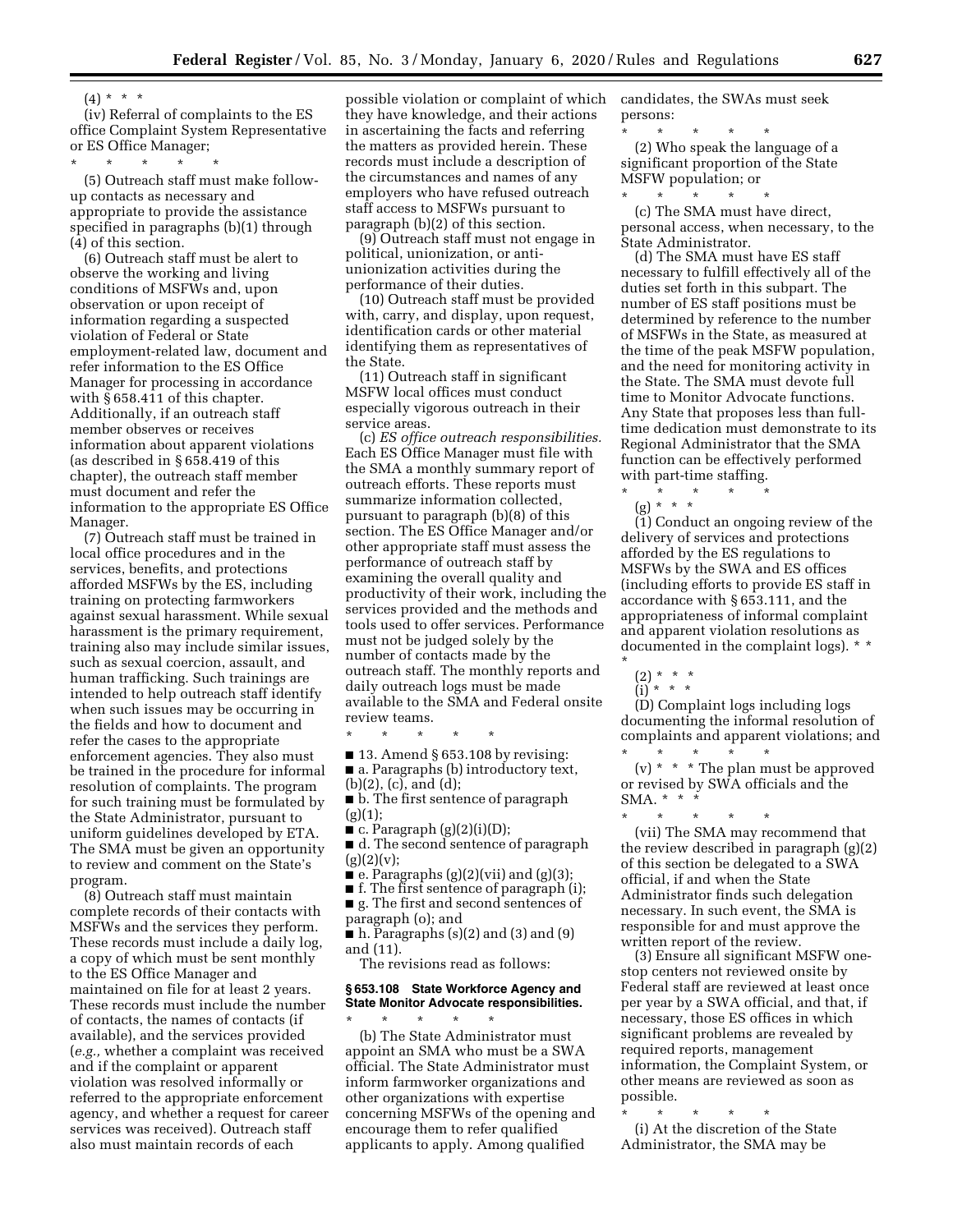$(4) * * * *$ 

(iv) Referral of complaints to the ES office Complaint System Representative or ES Office Manager;

\* \* \* \* \*

(5) Outreach staff must make followup contacts as necessary and appropriate to provide the assistance specified in paragraphs (b)(1) through (4) of this section.

(6) Outreach staff must be alert to observe the working and living conditions of MSFWs and, upon observation or upon receipt of information regarding a suspected violation of Federal or State employment-related law, document and refer information to the ES Office Manager for processing in accordance with § 658.411 of this chapter. Additionally, if an outreach staff member observes or receives information about apparent violations (as described in § 658.419 of this chapter), the outreach staff member must document and refer the information to the appropriate ES Office Manager.

(7) Outreach staff must be trained in local office procedures and in the services, benefits, and protections afforded MSFWs by the ES, including training on protecting farmworkers against sexual harassment. While sexual harassment is the primary requirement, training also may include similar issues, such as sexual coercion, assault, and human trafficking. Such trainings are intended to help outreach staff identify when such issues may be occurring in the fields and how to document and refer the cases to the appropriate enforcement agencies. They also must be trained in the procedure for informal resolution of complaints. The program for such training must be formulated by the State Administrator, pursuant to uniform guidelines developed by ETA. The SMA must be given an opportunity to review and comment on the State's program.

(8) Outreach staff must maintain complete records of their contacts with MSFWs and the services they perform. These records must include a daily log, a copy of which must be sent monthly to the ES Office Manager and maintained on file for at least 2 years. These records must include the number of contacts, the names of contacts (if available), and the services provided (*e.g.,* whether a complaint was received and if the complaint or apparent violation was resolved informally or referred to the appropriate enforcement agency, and whether a request for career services was received). Outreach staff also must maintain records of each

possible violation or complaint of which they have knowledge, and their actions in ascertaining the facts and referring the matters as provided herein. These records must include a description of the circumstances and names of any employers who have refused outreach staff access to MSFWs pursuant to paragraph (b)(2) of this section.

(9) Outreach staff must not engage in political, unionization, or antiunionization activities during the performance of their duties.

(10) Outreach staff must be provided with, carry, and display, upon request, identification cards or other material identifying them as representatives of the State.

(11) Outreach staff in significant MSFW local offices must conduct especially vigorous outreach in their service areas.

(c) *ES office outreach responsibilities.*  Each ES Office Manager must file with the SMA a monthly summary report of outreach efforts. These reports must summarize information collected, pursuant to paragraph (b)(8) of this section. The ES Office Manager and/or other appropriate staff must assess the performance of outreach staff by examining the overall quality and productivity of their work, including the services provided and the methods and tools used to offer services. Performance must not be judged solely by the number of contacts made by the outreach staff. The monthly reports and daily outreach logs must be made available to the SMA and Federal onsite review teams.

\* \* \* \* \*  $\blacksquare$  13. Amend § 653.108 by revising: ■ a. Paragraphs (b) introductory text,

- (b)(2), (c), and (d);
- b. The first sentence of paragraph  $(g)(1);$
- $\blacksquare$  c. Paragraph (g)(2)(i)(D);

■ d. The second sentence of paragraph  $(g)(2)(v);$ 

 $\bullet$  e. Paragraphs (g)(2)(vii) and (g)(3);

■ f. The first sentence of paragraph (i); ■ g. The first and second sentences of

paragraph (o); and

 $\blacksquare$  h. Paragraphs (s)(2) and (3) and (9) and (11).

The revisions read as follows:

#### **§ 653.108 State Workforce Agency and State Monitor Advocate responsibilities.**

\* \* \* \* \* (b) The State Administrator must appoint an SMA who must be a SWA official. The State Administrator must inform farmworker organizations and other organizations with expertise concerning MSFWs of the opening and encourage them to refer qualified applicants to apply. Among qualified

candidates, the SWAs must seek persons:

\* \* \* \* \* (2) Who speak the language of a significant proportion of the State MSFW population; or

\* \* \* \* \* (c) The SMA must have direct, personal access, when necessary, to the State Administrator.

(d) The SMA must have ES staff necessary to fulfill effectively all of the duties set forth in this subpart. The number of ES staff positions must be determined by reference to the number of MSFWs in the State, as measured at the time of the peak MSFW population, and the need for monitoring activity in the State. The SMA must devote full time to Monitor Advocate functions. Any State that proposes less than fulltime dedication must demonstrate to its Regional Administrator that the SMA function can be effectively performed with part-time staffing.

\* \* \* \* \* (g) \* \* \*

(1) Conduct an ongoing review of the delivery of services and protections afforded by the ES regulations to MSFWs by the SWA and ES offices (including efforts to provide ES staff in accordance with § 653.111, and the appropriateness of informal complaint and apparent violation resolutions as documented in the complaint logs). \* \*

(2) \* \* \*

\*

(i) \* \* \*

(D) Complaint logs including logs documenting the informal resolution of complaints and apparent violations; and

\* \* \* \* \* (v) \* \* \* The plan must be approved or revised by SWA officials and the SMA. \* \* \*

\* \* \* \* \* (vii) The SMA may recommend that the review described in paragraph (g)(2) of this section be delegated to a SWA official, if and when the State Administrator finds such delegation necessary. In such event, the SMA is responsible for and must approve the written report of the review.

(3) Ensure all significant MSFW onestop centers not reviewed onsite by Federal staff are reviewed at least once per year by a SWA official, and that, if necessary, those ES offices in which significant problems are revealed by required reports, management information, the Complaint System, or other means are reviewed as soon as possible.

\* \* \* \* \*

(i) At the discretion of the State Administrator, the SMA may be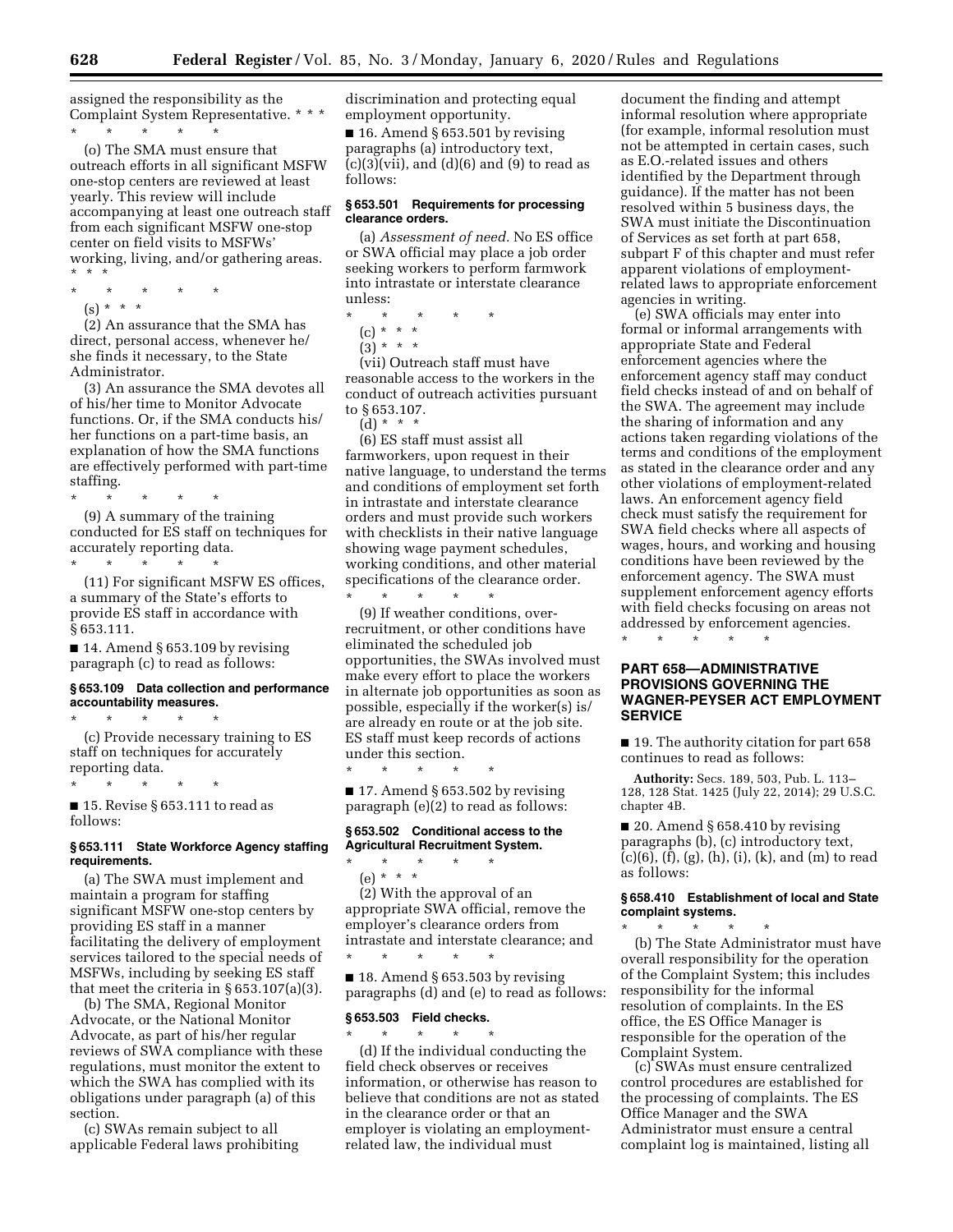assigned the responsibility as the Complaint System Representative. \* \* \* \* \* \* \* \*

(o) The SMA must ensure that outreach efforts in all significant MSFW one-stop centers are reviewed at least yearly. This review will include accompanying at least one outreach staff from each significant MSFW one-stop center on field visits to MSFWs' working, living, and/or gathering areas. \* \* \*

- \* \* \* \* \*
	- $(s) * * * *$

(2) An assurance that the SMA has direct, personal access, whenever he/ she finds it necessary, to the State Administrator.

(3) An assurance the SMA devotes all of his/her time to Monitor Advocate functions. Or, if the SMA conducts his/ her functions on a part-time basis, an explanation of how the SMA functions are effectively performed with part-time staffing.

\* \* \* \* \* (9) A summary of the training conducted for ES staff on techniques for accurately reporting data. \* \* \* \* \*

(11) For significant MSFW ES offices, a summary of the State's efforts to provide ES staff in accordance with § 653.111.

 $\blacksquare$  14. Amend § 653.109 by revising paragraph (c) to read as follows:

#### **§ 653.109 Data collection and performance accountability measures.**

\* \* \* \* \*

\* \* \* \* \*

(c) Provide necessary training to ES staff on techniques for accurately reporting data.

■ 15. Revise § 653.111 to read as follows:

#### **§ 653.111 State Workforce Agency staffing requirements.**

(a) The SWA must implement and maintain a program for staffing significant MSFW one-stop centers by providing ES staff in a manner facilitating the delivery of employment services tailored to the special needs of MSFWs, including by seeking ES staff that meet the criteria in § 653.107(a)(3).

(b) The SMA, Regional Monitor Advocate, or the National Monitor Advocate, as part of his/her regular reviews of SWA compliance with these regulations, must monitor the extent to which the SWA has complied with its obligations under paragraph (a) of this section.

(c) SWAs remain subject to all applicable Federal laws prohibiting discrimination and protecting equal employment opportunity.

 $\blacksquare$  16. Amend § 653.501 by revising paragraphs (a) introductory text,  $(c)(3)(vii)$ , and  $(d)(6)$  and  $(9)$  to read as follows:

### **§ 653.501 Requirements for processing clearance orders.**

(a) *Assessment of need.* No ES office or SWA official may place a job order seeking workers to perform farmwork into intrastate or interstate clearance unless:

- \* \* \* \* \*
	- (c) \* \* \*
	- $(3) * * * *$

(vii) Outreach staff must have reasonable access to the workers in the conduct of outreach activities pursuant to § 653.107. (d) \* \* \*

(6) ES staff must assist all farmworkers, upon request in their native language, to understand the terms and conditions of employment set forth in intrastate and interstate clearance orders and must provide such workers with checklists in their native language showing wage payment schedules, working conditions, and other material specifications of the clearance order.

\* \* \* \* \* (9) If weather conditions, overrecruitment, or other conditions have eliminated the scheduled job opportunities, the SWAs involved must make every effort to place the workers in alternate job opportunities as soon as possible, especially if the worker(s) is/ are already en route or at the job site. ES staff must keep records of actions under this section.

 $\blacksquare$  17. Amend § 653.502 by revising paragraph (e)(2) to read as follows:

\* \* \* \* \*

### **§ 653.502 Conditional access to the Agricultural Recruitment System.**

- \* \* \* \* \*
- (e) \* \* \*

(2) With the approval of an appropriate SWA official, remove the employer's clearance orders from intrastate and interstate clearance; and \* \* \* \* \*

 $\blacksquare$  18. Amend § 653.503 by revising paragraphs (d) and (e) to read as follows:

### **§ 653.503 Field checks.**

\* \* \* \* \* (d) If the individual conducting the field check observes or receives information, or otherwise has reason to believe that conditions are not as stated in the clearance order or that an employer is violating an employmentrelated law, the individual must

document the finding and attempt informal resolution where appropriate (for example, informal resolution must not be attempted in certain cases, such as E.O.-related issues and others identified by the Department through guidance). If the matter has not been resolved within 5 business days, the SWA must initiate the Discontinuation of Services as set forth at part 658, subpart F of this chapter and must refer apparent violations of employmentrelated laws to appropriate enforcement agencies in writing.

(e) SWA officials may enter into formal or informal arrangements with appropriate State and Federal enforcement agencies where the enforcement agency staff may conduct field checks instead of and on behalf of the SWA. The agreement may include the sharing of information and any actions taken regarding violations of the terms and conditions of the employment as stated in the clearance order and any other violations of employment-related laws. An enforcement agency field check must satisfy the requirement for SWA field checks where all aspects of wages, hours, and working and housing conditions have been reviewed by the enforcement agency. The SWA must supplement enforcement agency efforts with field checks focusing on areas not addressed by enforcement agencies. \* \* \* \* \*

# **PART 658—ADMINISTRATIVE PROVISIONS GOVERNING THE WAGNER-PEYSER ACT EMPLOYMENT SERVICE**

■ 19. The authority citation for part 658 continues to read as follows:

**Authority:** Secs. 189, 503, Pub. L. 113– 128, 128 Stat. 1425 (July 22, 2014); 29 U.S.C. chapter 4B.

 $\blacksquare$  20. Amend § 658.410 by revising paragraphs (b), (c) introductory text,  $(c)(6)$ ,  $(f)$ ,  $(g)$ ,  $(h)$ ,  $(i)$ ,  $(k)$ , and  $(m)$  to read as follows:

### **§ 658.410 Establishment of local and State complaint systems.**  \* \* \* \* \*

(b) The State Administrator must have overall responsibility for the operation of the Complaint System; this includes responsibility for the informal resolution of complaints. In the ES office, the ES Office Manager is responsible for the operation of the Complaint System.

(c) SWAs must ensure centralized control procedures are established for the processing of complaints. The ES Office Manager and the SWA Administrator must ensure a central complaint log is maintained, listing all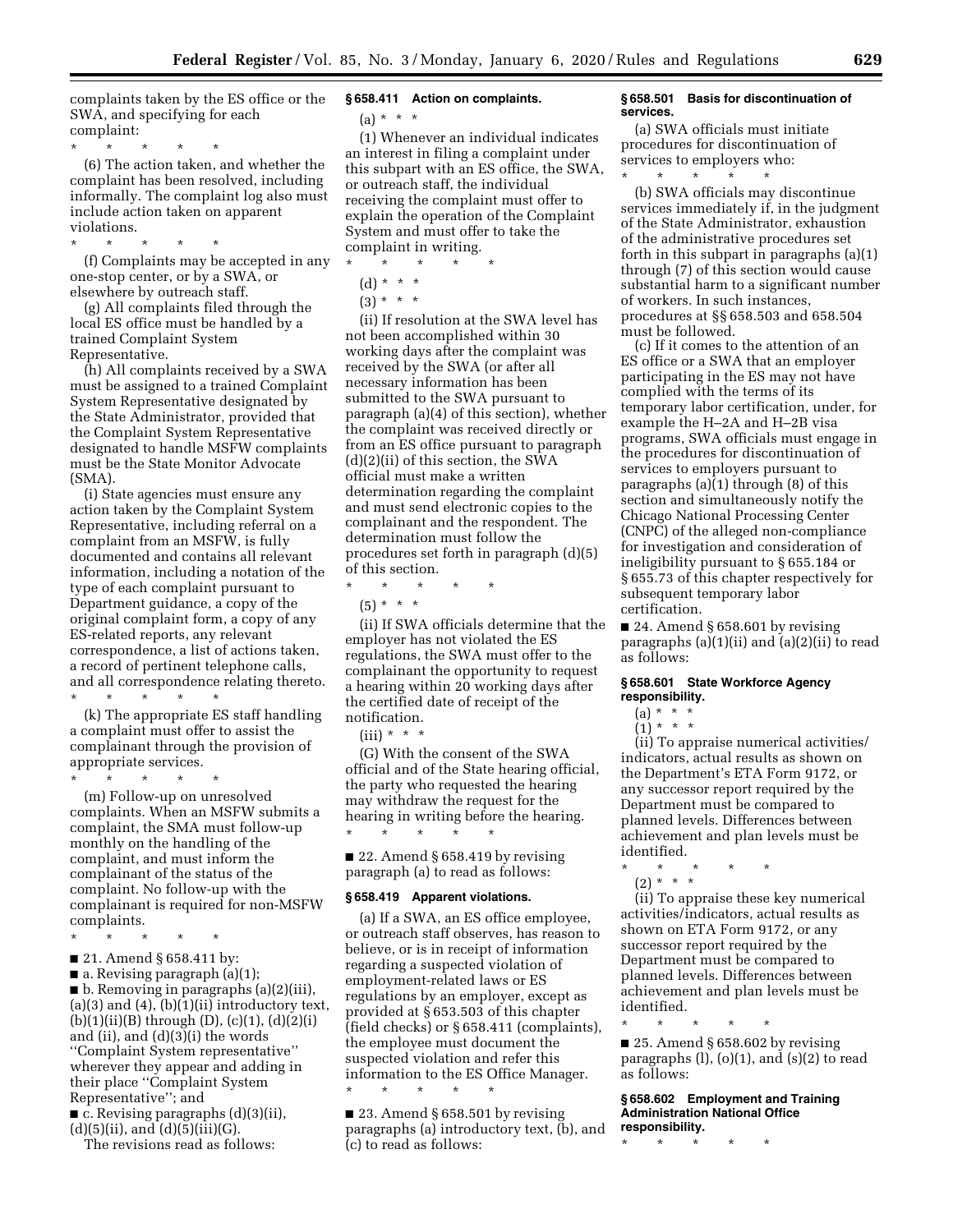complaints taken by the ES office or the SWA, and specifying for each complaint:

\* \* \* \* \*

(6) The action taken, and whether the complaint has been resolved, including informally. The complaint log also must include action taken on apparent violations.

\* \* \* \* \*

(f) Complaints may be accepted in any one-stop center, or by a SWA, or elsewhere by outreach staff.

(g) All complaints filed through the local ES office must be handled by a trained Complaint System Representative.

(h) All complaints received by a SWA must be assigned to a trained Complaint System Representative designated by the State Administrator, provided that the Complaint System Representative designated to handle MSFW complaints must be the State Monitor Advocate (SMA).

(i) State agencies must ensure any action taken by the Complaint System Representative, including referral on a complaint from an MSFW, is fully documented and contains all relevant information, including a notation of the type of each complaint pursuant to Department guidance, a copy of the original complaint form, a copy of any ES-related reports, any relevant correspondence, a list of actions taken, a record of pertinent telephone calls, and all correspondence relating thereto. \* \* \* \* \*

(k) The appropriate ES staff handling a complaint must offer to assist the complainant through the provision of appropriate services.

\* \* \* \* \* (m) Follow-up on unresolved complaints. When an MSFW submits a complaint, the SMA must follow-up monthly on the handling of the complaint, and must inform the complainant of the status of the complaint. No follow-up with the complainant is required for non-MSFW

complaints. \* \* \* \* \*

■ 21. Amend § 658.411 by:

■ a. Revising paragraph (a)(1);

■ b. Removing in paragraphs (a)(2)(iii),  $(a)(3)$  and  $(4)$ ,  $(b)(1)(ii)$  introductory text,  $(b)(1)(ii)(B)$  through  $(D)$ ,  $(c)(1)$ ,  $(d)(2)(i)$ and (ii), and (d)(3)(i) the words ''Complaint System representative'' wherever they appear and adding in their place ''Complaint System Representative''; and

■ c. Revising paragraphs (d)(3)(ii),  $(d)(5)(ii)$ , and  $(d)(5)(iii)(G)$ .

The revisions read as follows:

# **§ 658.411 Action on complaints.**

 $(a) * * * *$ 

(1) Whenever an individual indicates an interest in filing a complaint under this subpart with an ES office, the SWA, or outreach staff, the individual receiving the complaint must offer to explain the operation of the Complaint System and must offer to take the complaint in writing.

\* \* \* \* \* (d) \* \* \*  $(3) * * * *$ 

(ii) If resolution at the SWA level has not been accomplished within 30 working days after the complaint was received by the SWA (or after all necessary information has been submitted to the SWA pursuant to paragraph (a)(4) of this section), whether the complaint was received directly or from an ES office pursuant to paragraph (d)(2)(ii) of this section, the SWA official must make a written determination regarding the complaint and must send electronic copies to the complainant and the respondent. The determination must follow the procedures set forth in paragraph (d)(5) of this section.

\* \* \* \* \*

(5) \* \* \*

(ii) If SWA officials determine that the employer has not violated the ES regulations, the SWA must offer to the complainant the opportunity to request a hearing within 20 working days after the certified date of receipt of the notification.

 $(iii) * * * *$ 

(G) With the consent of the SWA official and of the State hearing official, the party who requested the hearing may withdraw the request for the hearing in writing before the hearing. \* \* \* \* \*

 $\blacksquare$  22. Amend § 658.419 by revising paragraph (a) to read as follows:

#### **§ 658.419 Apparent violations.**

(a) If a SWA, an ES office employee, or outreach staff observes, has reason to believe, or is in receipt of information regarding a suspected violation of employment-related laws or ES regulations by an employer, except as provided at § 653.503 of this chapter (field checks) or § 658.411 (complaints), the employee must document the suspected violation and refer this information to the ES Office Manager.

\* \* \* \* \*

■ 23. Amend § 658.501 by revising paragraphs (a) introductory text, (b), and (c) to read as follows:

#### **§ 658.501 Basis for discontinuation of services.**

(a) SWA officials must initiate procedures for discontinuation of services to employers who:

\* \* \* \* \* (b) SWA officials may discontinue services immediately if, in the judgment of the State Administrator, exhaustion of the administrative procedures set forth in this subpart in paragraphs (a)(1) through (7) of this section would cause substantial harm to a significant number of workers. In such instances, procedures at §§ 658.503 and 658.504 must be followed.

(c) If it comes to the attention of an ES office or a SWA that an employer participating in the ES may not have complied with the terms of its temporary labor certification, under, for example the H–2A and H–2B visa programs, SWA officials must engage in the procedures for discontinuation of services to employers pursuant to paragraphs (a)(1) through (8) of this section and simultaneously notify the Chicago National Processing Center (CNPC) of the alleged non-compliance for investigation and consideration of ineligibility pursuant to § 655.184 or § 655.73 of this chapter respectively for subsequent temporary labor certification.

 $\blacksquare$  24. Amend § 658.601 by revising paragraphs (a)(1)(ii) and (a)(2)(ii) to read as follows:

### **§ 658.601 State Workforce Agency responsibility.**

# (a) \* \* \*

(1) \* \* \* (ii) To appraise numerical activities/ indicators, actual results as shown on the Department's ETA Form 9172, or any successor report required by the Department must be compared to planned levels. Differences between achievement and plan levels must be identified.

\* \* \* \* \* (2) \* \* \*

(ii) To appraise these key numerical activities/indicators, actual results as shown on ETA Form 9172, or any successor report required by the Department must be compared to planned levels. Differences between achievement and plan levels must be identified.

\* \* \* \* \*  $\blacksquare$  25. Amend § 658.602 by revising paragraphs  $(l)$ ,  $(o)(1)$ , and  $(s)(2)$  to read as follows:

**§ 658.602 Employment and Training Administration National Office responsibility.** 

\* \* \* \* \*